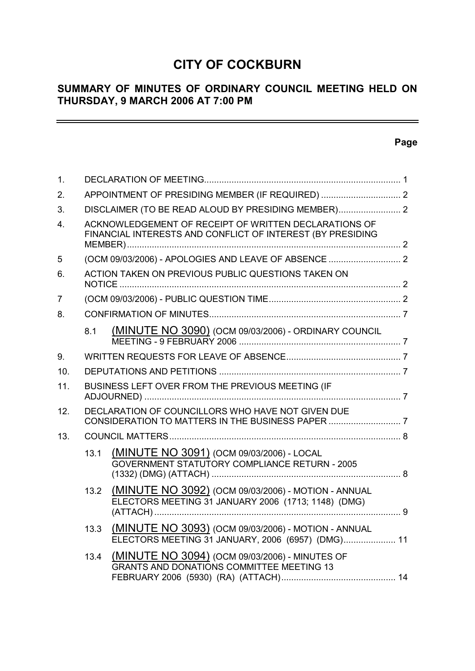# **CITY OF COCKBURN**

# **SUMMARY OF MINUTES OF ORDINARY COUNCIL MEETING HELD ON THURSDAY, 9 MARCH 2006 AT 7:00 PM**

# **Page**

 $\equiv$ 

| 1.             |                                                                                                                     |                                                                                                            |  |  |  |
|----------------|---------------------------------------------------------------------------------------------------------------------|------------------------------------------------------------------------------------------------------------|--|--|--|
| 2.             |                                                                                                                     |                                                                                                            |  |  |  |
| 3.             | DISCLAIMER (TO BE READ ALOUD BY PRESIDING MEMBER) 2                                                                 |                                                                                                            |  |  |  |
| 4.             | ACKNOWLEDGEMENT OF RECEIPT OF WRITTEN DECLARATIONS OF<br>FINANCIAL INTERESTS AND CONFLICT OF INTEREST (BY PRESIDING |                                                                                                            |  |  |  |
| 5              |                                                                                                                     |                                                                                                            |  |  |  |
| 6.             | ACTION TAKEN ON PREVIOUS PUBLIC QUESTIONS TAKEN ON                                                                  |                                                                                                            |  |  |  |
| $\overline{7}$ |                                                                                                                     |                                                                                                            |  |  |  |
| 8.             |                                                                                                                     |                                                                                                            |  |  |  |
|                | 8.1                                                                                                                 | (MINUTE NO 3090) (OCM 09/03/2006) - ORDINARY COUNCIL                                                       |  |  |  |
| 9.             |                                                                                                                     |                                                                                                            |  |  |  |
| 10.            |                                                                                                                     |                                                                                                            |  |  |  |
| 11.            | BUSINESS LEFT OVER FROM THE PREVIOUS MEETING (IF                                                                    |                                                                                                            |  |  |  |
| 12.            | DECLARATION OF COUNCILLORS WHO HAVE NOT GIVEN DUE                                                                   |                                                                                                            |  |  |  |
| 13.            |                                                                                                                     |                                                                                                            |  |  |  |
|                | 13.1                                                                                                                | (MINUTE NO 3091) (OCM 09/03/2006) - LOCAL<br><b>GOVERNMENT STATUTORY COMPLIANCE RETURN - 2005</b>          |  |  |  |
|                | 13.2                                                                                                                | (MINUTE NO 3092) (OCM 09/03/2006) - MOTION - ANNUAL<br>ELECTORS MEETING 31 JANUARY 2006 (1713; 1148) (DMG) |  |  |  |
|                | 13.3                                                                                                                | (MINUTE NO 3093) (OCM 09/03/2006) - MOTION - ANNUAL<br>ELECTORS MEETING 31 JANUARY, 2006 (6957) (DMG) 11   |  |  |  |
|                | 13.4                                                                                                                | (MINUTE NO 3094) (OCM 09/03/2006) - MINUTES OF<br><b>GRANTS AND DONATIONS COMMITTEE MEETING 13</b>         |  |  |  |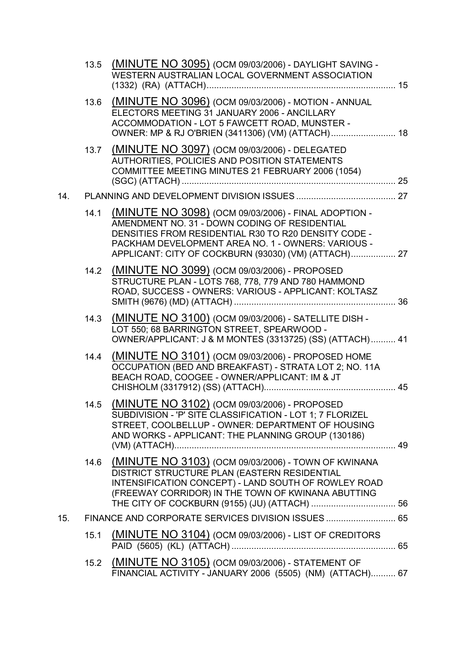|     |      | 13.5 (MINUTE NO 3095) (OCM 09/03/2006) - DAYLIGHT SAVING -<br>WESTERN AUSTRALIAN LOCAL GOVERNMENT ASSOCIATION                                                                                                                                                               |  |
|-----|------|-----------------------------------------------------------------------------------------------------------------------------------------------------------------------------------------------------------------------------------------------------------------------------|--|
|     | 13.6 | (MINUTE NO 3096) (OCM 09/03/2006) - MOTION - ANNUAL<br>ELECTORS MEETING 31 JANUARY 2006 - ANCILLARY<br>ACCOMMODATION - LOT 5 FAWCETT ROAD, MUNSTER -<br>OWNER: MP & RJ O'BRIEN (3411306) (VM) (ATTACH) 18                                                                   |  |
|     | 13.7 | (MINUTE NO 3097) (OCM 09/03/2006) - DELEGATED<br>AUTHORITIES, POLICIES AND POSITION STATEMENTS<br>COMMITTEE MEETING MINUTES 21 FEBRUARY 2006 (1054)                                                                                                                         |  |
| 14. |      |                                                                                                                                                                                                                                                                             |  |
|     | 14.1 | (MINUTE NO 3098) (OCM 09/03/2006) - FINAL ADOPTION -<br>AMENDMENT NO. 31 - DOWN CODING OF RESIDENTIAL<br>DENSITIES FROM RESIDENTIAL R30 TO R20 DENSITY CODE -<br>PACKHAM DEVELOPMENT AREA NO. 1 - OWNERS: VARIOUS -<br>APPLICANT: CITY OF COCKBURN (93030) (VM) (ATTACH) 27 |  |
|     |      | 14.2 (MINUTE NO 3099) (OCM 09/03/2006) - PROPOSED<br>STRUCTURE PLAN - LOTS 768, 778, 779 AND 780 HAMMOND<br>ROAD, SUCCESS - OWNERS: VARIOUS - APPLICANT: KOLTASZ                                                                                                            |  |
|     | 14.3 | (MINUTE NO 3100) (OCM 09/03/2006) - SATELLITE DISH -<br>LOT 550; 68 BARRINGTON STREET, SPEARWOOD -<br>OWNER/APPLICANT: J & M MONTES (3313725) (SS) (ATTACH) 41                                                                                                              |  |
|     | 14.4 | (MINUTE NO 3101) (OCM 09/03/2006) - PROPOSED HOME<br>OCCUPATION (BED AND BREAKFAST) - STRATA LOT 2; NO. 11A<br>BEACH ROAD, COOGEE - OWNER/APPLICANT: IM & JT                                                                                                                |  |
|     | 14.5 | (MINUTE NO 3102) (OCM 09/03/2006) - PROPOSED<br>SUBDIVISION - 'P' SITE CLASSIFICATION - LOT 1; 7 FLORIZEL<br>STREET, COOLBELLUP - OWNER: DEPARTMENT OF HOUSING<br>AND WORKS - APPLICANT: THE PLANNING GROUP (130186)                                                        |  |
|     | 14.6 | (MINUTE NO 3103) (OCM 09/03/2006) - TOWN OF KWINANA<br>DISTRICT STRUCTURE PLAN (EASTERN RESIDENTIAL<br>INTENSIFICATION CONCEPT) - LAND SOUTH OF ROWLEY ROAD<br>(FREEWAY CORRIDOR) IN THE TOWN OF KWINANA ABUTTING                                                           |  |
| 15. |      | FINANCE AND CORPORATE SERVICES DIVISION ISSUES  65                                                                                                                                                                                                                          |  |
|     | 15.1 | (MINUTE NO 3104) (OCM 09/03/2006) - LIST OF CREDITORS                                                                                                                                                                                                                       |  |
|     | 15.2 | (MINUTE NO 3105) (OCM 09/03/2006) - STATEMENT OF<br>FINANCIAL ACTIVITY - JANUARY 2006 (5505) (NM) (ATTACH) 67                                                                                                                                                               |  |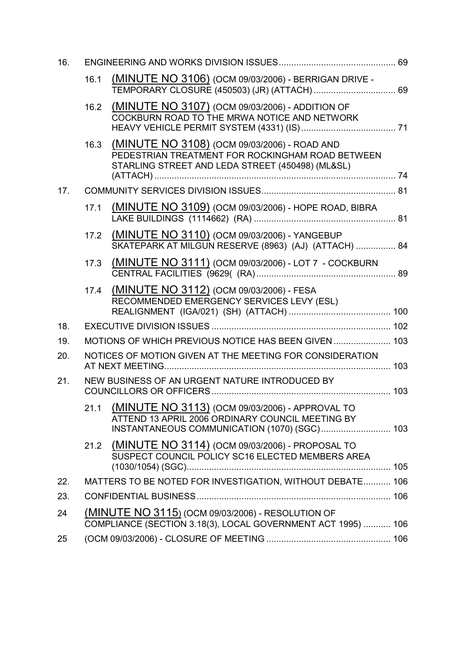| 16. |      |                                                                                                                                                      |  |  |  |
|-----|------|------------------------------------------------------------------------------------------------------------------------------------------------------|--|--|--|
|     | 16.1 | (MINUTE NO 3106) (OCM 09/03/2006) - BERRIGAN DRIVE -                                                                                                 |  |  |  |
|     | 16.2 | (MINUTE NO 3107) (OCM 09/03/2006) - ADDITION OF<br>COCKBURN ROAD TO THE MRWA NOTICE AND NETWORK                                                      |  |  |  |
|     | 16.3 | (MINUTE NO 3108) (OCM 09/03/2006) - ROAD AND<br>PEDESTRIAN TREATMENT FOR ROCKINGHAM ROAD BETWEEN<br>STARLING STREET AND LEDA STREET (450498) (ML&SL) |  |  |  |
| 17. |      |                                                                                                                                                      |  |  |  |
|     | 17.1 | (MINUTE NO 3109) (OCM 09/03/2006) - HOPE ROAD, BIBRA                                                                                                 |  |  |  |
|     | 17.2 | (MINUTE NO 3110) (OCM 09/03/2006) - YANGEBUP<br>SKATEPARK AT MILGUN RESERVE (8963) (AJ) (ATTACH)  84                                                 |  |  |  |
|     | 17.3 | (MINUTE NO 3111) (OCM 09/03/2006) - LOT 7 - COCKBURN                                                                                                 |  |  |  |
|     | 17.4 | (MINUTE NO 3112) (OCM 09/03/2006) - FESA<br>RECOMMENDED EMERGENCY SERVICES LEVY (ESL)                                                                |  |  |  |
| 18. |      |                                                                                                                                                      |  |  |  |
| 19. |      | MOTIONS OF WHICH PREVIOUS NOTICE HAS BEEN GIVEN  103                                                                                                 |  |  |  |
| 20. |      | NOTICES OF MOTION GIVEN AT THE MEETING FOR CONSIDERATION                                                                                             |  |  |  |
| 21. |      | NEW BUSINESS OF AN URGENT NATURE INTRODUCED BY                                                                                                       |  |  |  |
|     | 21.1 | (MINUTE NO 3113) (OCM 09/03/2006) - APPROVAL TO<br>ATTEND 13 APRIL 2006 ORDINARY COUNCIL MEETING BY<br>INSTANTANEOUS COMMUNICATION (1070) (SGC) 103  |  |  |  |
|     | 21.2 | (MINUTE NO 3114) (OCM 09/03/2006) - PROPOSAL TO<br>SUSPECT COUNCIL POLICY SC16 ELECTED MEMBERS AREA                                                  |  |  |  |
| 22. |      | MATTERS TO BE NOTED FOR INVESTIGATION, WITHOUT DEBATE 106                                                                                            |  |  |  |
| 23. |      |                                                                                                                                                      |  |  |  |
| 24  |      | (MINUTE NO 3115) (OCM 09/03/2006) - RESOLUTION OF<br>COMPLIANCE (SECTION 3.18(3), LOCAL GOVERNMENT ACT 1995)  106                                    |  |  |  |
| 25  |      |                                                                                                                                                      |  |  |  |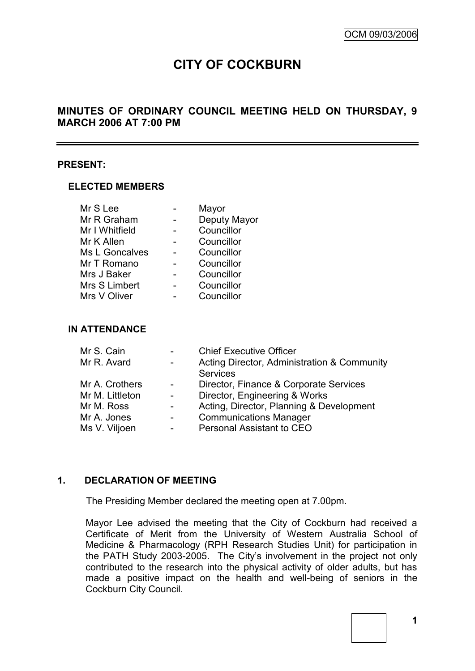# **CITY OF COCKBURN**

# **MINUTES OF ORDINARY COUNCIL MEETING HELD ON THURSDAY, 9 MARCH 2006 AT 7:00 PM**

#### **PRESENT:**

#### **ELECTED MEMBERS**

| Mr S Lee       | Mayor        |
|----------------|--------------|
| Mr R Graham    | Deputy Mayor |
| Mr I Whitfield | Councillor   |
| Mr K Allen     | Councillor   |
| Ms L Goncalves | Councillor   |
| Mr T Romano    | Councillor   |
| Mrs J Baker    | Councillor   |
| Mrs S Limbert  | Councillor   |
| Mrs V Oliver   | Councillor   |
|                |              |

#### **IN ATTENDANCE**

|                | <b>Chief Executive Officer</b>              |
|----------------|---------------------------------------------|
|                | Acting Director, Administration & Community |
|                | <b>Services</b>                             |
| $\overline{a}$ | Director, Finance & Corporate Services      |
|                | Director, Engineering & Works               |
|                | Acting, Director, Planning & Development    |
|                | <b>Communications Manager</b>               |
|                | Personal Assistant to CEO                   |
|                |                                             |

### **1. DECLARATION OF MEETING**

The Presiding Member declared the meeting open at 7.00pm.

Mayor Lee advised the meeting that the City of Cockburn had received a Certificate of Merit from the University of Western Australia School of Medicine & Pharmacology (RPH Research Studies Unit) for participation in the PATH Study 2003-2005. The City"s involvement in the project not only contributed to the research into the physical activity of older adults, but has made a positive impact on the health and well-being of seniors in the Cockburn City Council.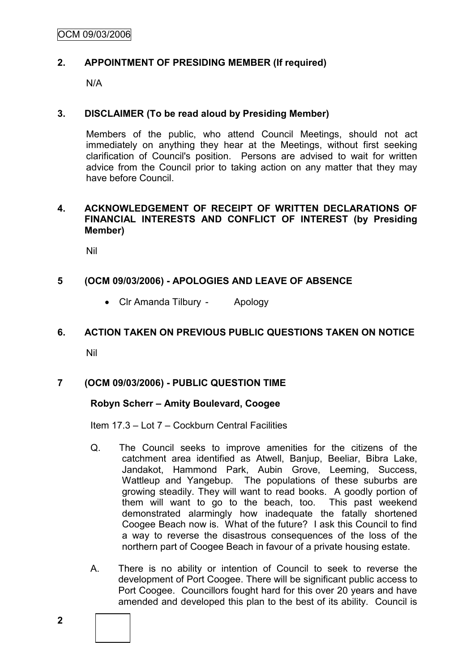# **2. APPOINTMENT OF PRESIDING MEMBER (If required)**

N/A

### **3. DISCLAIMER (To be read aloud by Presiding Member)**

Members of the public, who attend Council Meetings, should not act immediately on anything they hear at the Meetings, without first seeking clarification of Council's position. Persons are advised to wait for written advice from the Council prior to taking action on any matter that they may have before Council.

### **4. ACKNOWLEDGEMENT OF RECEIPT OF WRITTEN DECLARATIONS OF FINANCIAL INTERESTS AND CONFLICT OF INTEREST (by Presiding Member)**

Nil

# **5 (OCM 09/03/2006) - APOLOGIES AND LEAVE OF ABSENCE**

Clr Amanda Tilbury - Apology

### **6. ACTION TAKEN ON PREVIOUS PUBLIC QUESTIONS TAKEN ON NOTICE**

Nil

# **7 (OCM 09/03/2006) - PUBLIC QUESTION TIME**

### **Robyn Scherr – Amity Boulevard, Coogee**

Item 17.3 – Lot 7 – Cockburn Central Facilities

- Q. The Council seeks to improve amenities for the citizens of the catchment area identified as Atwell, Banjup, Beeliar, Bibra Lake, Jandakot, Hammond Park, Aubin Grove, Leeming, Success, Wattleup and Yangebup. The populations of these suburbs are growing steadily. They will want to read books. A goodly portion of them will want to go to the beach, too. This past weekend demonstrated alarmingly how inadequate the fatally shortened Coogee Beach now is. What of the future? I ask this Council to find a way to reverse the disastrous consequences of the loss of the northern part of Coogee Beach in favour of a private housing estate.
- A. There is no ability or intention of Council to seek to reverse the development of Port Coogee. There will be significant public access to Port Coogee. Councillors fought hard for this over 20 years and have amended and developed this plan to the best of its ability. Council is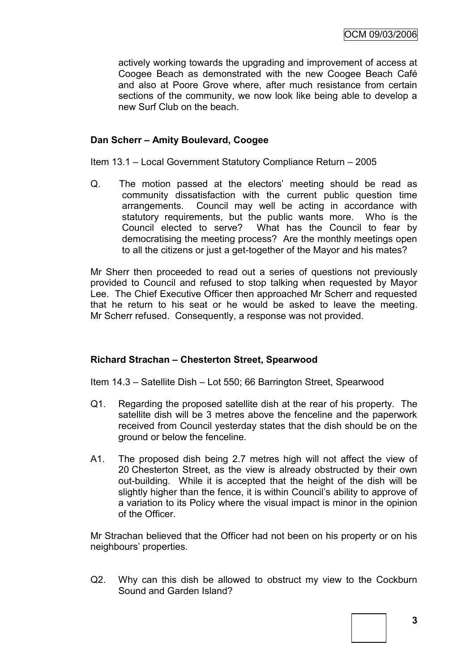actively working towards the upgrading and improvement of access at Coogee Beach as demonstrated with the new Coogee Beach Café and also at Poore Grove where, after much resistance from certain sections of the community, we now look like being able to develop a new Surf Club on the beach.

### **Dan Scherr – Amity Boulevard, Coogee**

Item 13.1 – Local Government Statutory Compliance Return – 2005

Q. The motion passed at the electors' meeting should be read as community dissatisfaction with the current public question time arrangements. Council may well be acting in accordance with statutory requirements, but the public wants more. Who is the Council elected to serve? What has the Council to fear by democratising the meeting process? Are the monthly meetings open to all the citizens or just a get-together of the Mayor and his mates?

Mr Sherr then proceeded to read out a series of questions not previously provided to Council and refused to stop talking when requested by Mayor Lee. The Chief Executive Officer then approached Mr Scherr and requested that he return to his seat or he would be asked to leave the meeting. Mr Scherr refused. Consequently, a response was not provided.

### **Richard Strachan – Chesterton Street, Spearwood**

Item 14.3 – Satellite Dish – Lot 550; 66 Barrington Street, Spearwood

- Q1. Regarding the proposed satellite dish at the rear of his property. The satellite dish will be 3 metres above the fenceline and the paperwork received from Council yesterday states that the dish should be on the ground or below the fenceline.
- A1. The proposed dish being 2.7 metres high will not affect the view of 20 Chesterton Street, as the view is already obstructed by their own out-building. While it is accepted that the height of the dish will be slightly higher than the fence, it is within Council"s ability to approve of a variation to its Policy where the visual impact is minor in the opinion of the Officer.

Mr Strachan believed that the Officer had not been on his property or on his neighbours" properties.

Q2. Why can this dish be allowed to obstruct my view to the Cockburn Sound and Garden Island?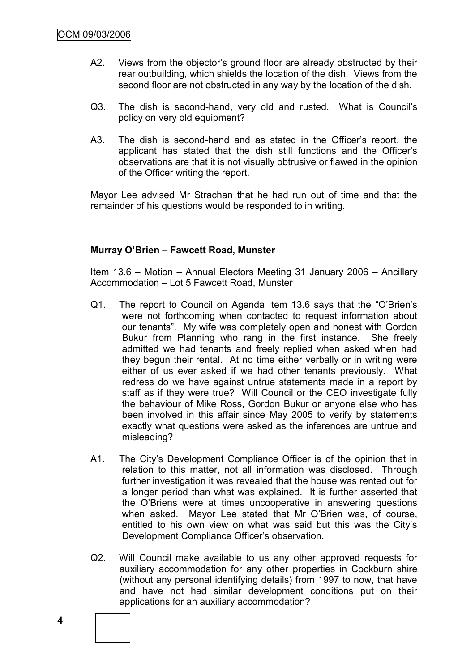- A2. Views from the objector's ground floor are already obstructed by their rear outbuilding, which shields the location of the dish. Views from the second floor are not obstructed in any way by the location of the dish.
- Q3. The dish is second-hand, very old and rusted. What is Council"s policy on very old equipment?
- A3. The dish is second-hand and as stated in the Officer's report, the applicant has stated that the dish still functions and the Officer"s observations are that it is not visually obtrusive or flawed in the opinion of the Officer writing the report.

Mayor Lee advised Mr Strachan that he had run out of time and that the remainder of his questions would be responded to in writing.

### **Murray O'Brien – Fawcett Road, Munster**

Item 13.6 – Motion – Annual Electors Meeting 31 January 2006 – Ancillary Accommodation – Lot 5 Fawcett Road, Munster

- Q1. The report to Council on Agenda Item 13.6 says that the "O"Brien"s were not forthcoming when contacted to request information about our tenants". My wife was completely open and honest with Gordon Bukur from Planning who rang in the first instance. She freely admitted we had tenants and freely replied when asked when had they begun their rental. At no time either verbally or in writing were either of us ever asked if we had other tenants previously. What redress do we have against untrue statements made in a report by staff as if they were true? Will Council or the CEO investigate fully the behaviour of Mike Ross, Gordon Bukur or anyone else who has been involved in this affair since May 2005 to verify by statements exactly what questions were asked as the inferences are untrue and misleading?
- A1. The City"s Development Compliance Officer is of the opinion that in relation to this matter, not all information was disclosed. Through further investigation it was revealed that the house was rented out for a longer period than what was explained. It is further asserted that the O"Briens were at times uncooperative in answering questions when asked. Mayor Lee stated that Mr O"Brien was, of course, entitled to his own view on what was said but this was the City"s Development Compliance Officer's observation.
- Q2. Will Council make available to us any other approved requests for auxiliary accommodation for any other properties in Cockburn shire (without any personal identifying details) from 1997 to now, that have and have not had similar development conditions put on their applications for an auxiliary accommodation?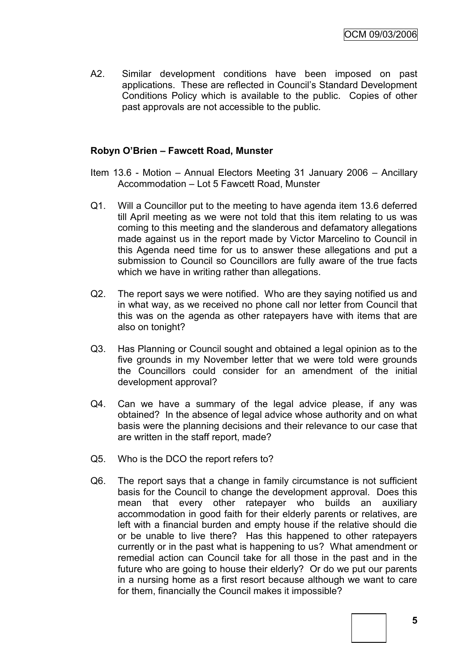A2. Similar development conditions have been imposed on past applications. These are reflected in Council"s Standard Development Conditions Policy which is available to the public. Copies of other past approvals are not accessible to the public.

### **Robyn O'Brien – Fawcett Road, Munster**

- Item 13.6 Motion Annual Electors Meeting 31 January 2006 Ancillary Accommodation – Lot 5 Fawcett Road, Munster
- Q1. Will a Councillor put to the meeting to have agenda item 13.6 deferred till April meeting as we were not told that this item relating to us was coming to this meeting and the slanderous and defamatory allegations made against us in the report made by Victor Marcelino to Council in this Agenda need time for us to answer these allegations and put a submission to Council so Councillors are fully aware of the true facts which we have in writing rather than allegations.
- Q2. The report says we were notified. Who are they saying notified us and in what way, as we received no phone call nor letter from Council that this was on the agenda as other ratepayers have with items that are also on tonight?
- Q3. Has Planning or Council sought and obtained a legal opinion as to the five grounds in my November letter that we were told were grounds the Councillors could consider for an amendment of the initial development approval?
- Q4. Can we have a summary of the legal advice please, if any was obtained? In the absence of legal advice whose authority and on what basis were the planning decisions and their relevance to our case that are written in the staff report, made?
- Q5. Who is the DCO the report refers to?
- Q6. The report says that a change in family circumstance is not sufficient basis for the Council to change the development approval. Does this mean that every other ratepayer who builds an auxiliary accommodation in good faith for their elderly parents or relatives, are left with a financial burden and empty house if the relative should die or be unable to live there? Has this happened to other ratepayers currently or in the past what is happening to us? What amendment or remedial action can Council take for all those in the past and in the future who are going to house their elderly? Or do we put our parents in a nursing home as a first resort because although we want to care for them, financially the Council makes it impossible?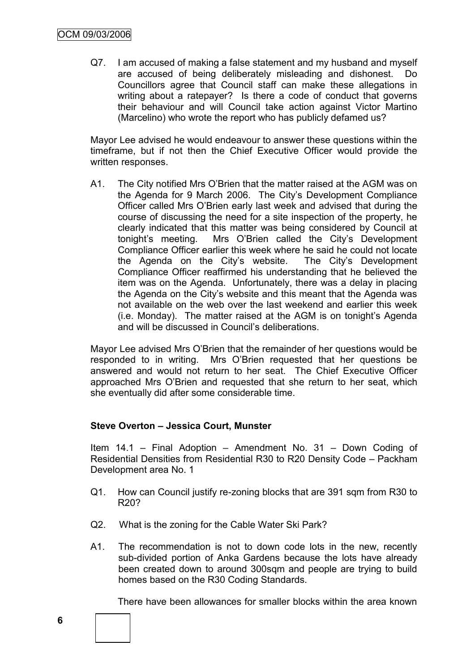Q7. I am accused of making a false statement and my husband and myself are accused of being deliberately misleading and dishonest. Do Councillors agree that Council staff can make these allegations in writing about a ratepayer? Is there a code of conduct that governs their behaviour and will Council take action against Victor Martino (Marcelino) who wrote the report who has publicly defamed us?

Mayor Lee advised he would endeavour to answer these questions within the timeframe, but if not then the Chief Executive Officer would provide the written responses.

A1. The City notified Mrs O"Brien that the matter raised at the AGM was on the Agenda for 9 March 2006. The City's Development Compliance Officer called Mrs O"Brien early last week and advised that during the course of discussing the need for a site inspection of the property, he clearly indicated that this matter was being considered by Council at tonight"s meeting. Mrs O"Brien called the City"s Development Compliance Officer earlier this week where he said he could not locate the Agenda on the City"s website. The City"s Development Compliance Officer reaffirmed his understanding that he believed the item was on the Agenda. Unfortunately, there was a delay in placing the Agenda on the City"s website and this meant that the Agenda was not available on the web over the last weekend and earlier this week (i.e. Monday). The matter raised at the AGM is on tonight"s Agenda and will be discussed in Council"s deliberations.

Mayor Lee advised Mrs O"Brien that the remainder of her questions would be responded to in writing. Mrs O"Brien requested that her questions be answered and would not return to her seat. The Chief Executive Officer approached Mrs O"Brien and requested that she return to her seat, which she eventually did after some considerable time.

### **Steve Overton – Jessica Court, Munster**

Item 14.1 – Final Adoption – Amendment No. 31 – Down Coding of Residential Densities from Residential R30 to R20 Density Code – Packham Development area No. 1

- Q1. How can Council justify re-zoning blocks that are 391 sqm from R30 to R20?
- Q2. What is the zoning for the Cable Water Ski Park?
- A1. The recommendation is not to down code lots in the new, recently sub-divided portion of Anka Gardens because the lots have already been created down to around 300sqm and people are trying to build homes based on the R30 Coding Standards.

There have been allowances for smaller blocks within the area known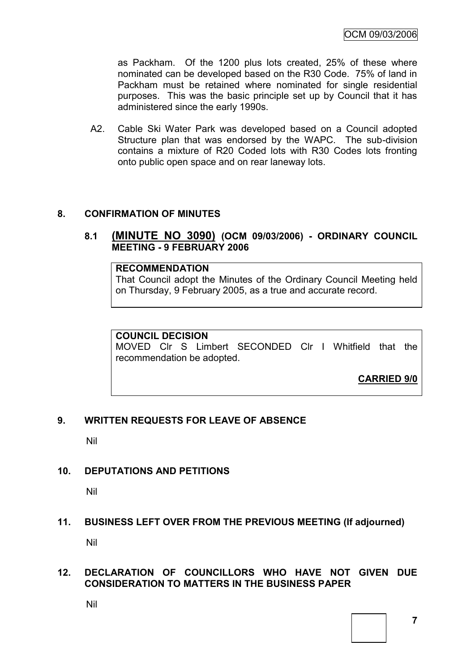as Packham. Of the 1200 plus lots created, 25% of these where nominated can be developed based on the R30 Code. 75% of land in Packham must be retained where nominated for single residential purposes. This was the basic principle set up by Council that it has administered since the early 1990s.

A2. Cable Ski Water Park was developed based on a Council adopted Structure plan that was endorsed by the WAPC. The sub-division contains a mixture of R20 Coded lots with R30 Codes lots fronting onto public open space and on rear laneway lots.

#### **8. CONFIRMATION OF MINUTES**

### **8.1 (MINUTE NO 3090) (OCM 09/03/2006) - ORDINARY COUNCIL MEETING - 9 FEBRUARY 2006**

#### **RECOMMENDATION**

That Council adopt the Minutes of the Ordinary Council Meeting held on Thursday, 9 February 2005, as a true and accurate record.

### **COUNCIL DECISION**

MOVED Clr S Limbert SECONDED Clr I Whitfield that the recommendation be adopted.

**CARRIED 9/0**

### **9. WRITTEN REQUESTS FOR LEAVE OF ABSENCE**

Nil

### **10. DEPUTATIONS AND PETITIONS**

Nil

### **11. BUSINESS LEFT OVER FROM THE PREVIOUS MEETING (If adjourned)**

Nil

#### **12. DECLARATION OF COUNCILLORS WHO HAVE NOT GIVEN DUE CONSIDERATION TO MATTERS IN THE BUSINESS PAPER**

Nil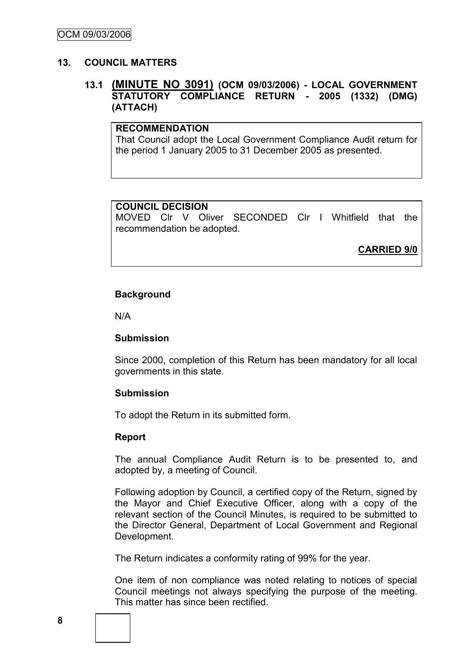### **13. COUNCIL MATTERS**

### **13.1 (MINUTE NO 3091) (OCM 09/03/2006) - LOCAL GOVERNMENT STATUTORY COMPLIANCE RETURN - 2005 (1332) (DMG) (ATTACH)**

### **RECOMMENDATION**

That Council adopt the Local Government Compliance Audit return for the period 1 January 2005 to 31 December 2005 as presented.

### **COUNCIL DECISION**

MOVED Clr V Oliver SECONDED Clr I Whitfield that the recommendation be adopted.

**CARRIED 9/0**

#### **Background**

N/A

#### **Submission**

Since 2000, completion of this Return has been mandatory for all local governments in this state.

#### **Submission**

To adopt the Return in its submitted form.

#### **Report**

The annual Compliance Audit Return is to be presented to, and adopted by, a meeting of Council.

Following adoption by Council, a certified copy of the Return, signed by the Mayor and Chief Executive Officer, along with a copy of the relevant section of the Council Minutes, is required to be submitted to the Director General, Department of Local Government and Regional Development.

The Return indicates a conformity rating of 99% for the year.

One item of non compliance was noted relating to notices of special Council meetings not always specifying the purpose of the meeting. This matter has since been rectified.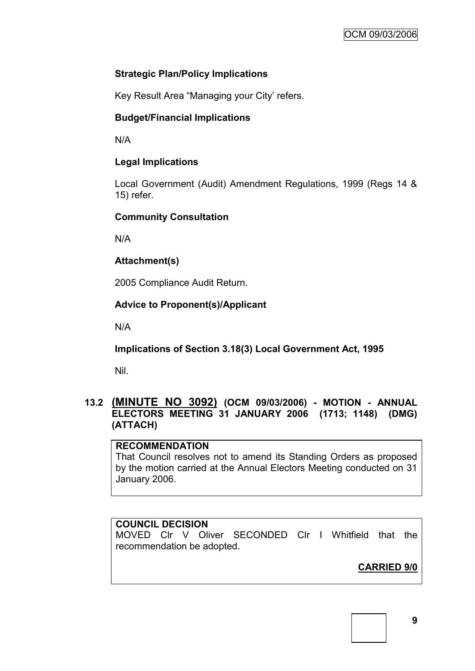# **Strategic Plan/Policy Implications**

Key Result Area "Managing your City' refers.

# **Budget/Financial Implications**

N/A

# **Legal Implications**

Local Government (Audit) Amendment Regulations, 1999 (Regs 14 & 15) refer.

# **Community Consultation**

N/A

# **Attachment(s)**

2005 Compliance Audit Return.

# **Advice to Proponent(s)/Applicant**

N/A

**Implications of Section 3.18(3) Local Government Act, 1995**

Nil.

# **13.2 (MINUTE NO 3092) (OCM 09/03/2006) - MOTION - ANNUAL ELECTORS MEETING 31 JANUARY 2006 (1713; 1148) (DMG) (ATTACH)**

# **RECOMMENDATION**

That Council resolves not to amend its Standing Orders as proposed by the motion carried at the Annual Electors Meeting conducted on 31 January 2006.

# **COUNCIL DECISION**

MOVED Clr V Oliver SECONDED Clr I Whitfield that the recommendation be adopted.

**CARRIED 9/0**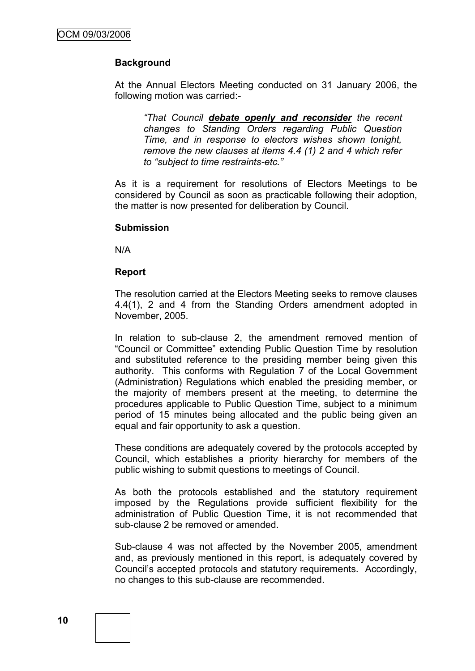### **Background**

At the Annual Electors Meeting conducted on 31 January 2006, the following motion was carried:-

*"That Council debate openly and reconsider the recent changes to Standing Orders regarding Public Question Time, and in response to electors wishes shown tonight, remove the new clauses at items 4.4 (1) 2 and 4 which refer to "subject to time restraints-etc."*

As it is a requirement for resolutions of Electors Meetings to be considered by Council as soon as practicable following their adoption, the matter is now presented for deliberation by Council.

#### **Submission**

N/A

#### **Report**

The resolution carried at the Electors Meeting seeks to remove clauses 4.4(1), 2 and 4 from the Standing Orders amendment adopted in November, 2005.

In relation to sub-clause 2, the amendment removed mention of "Council or Committee" extending Public Question Time by resolution and substituted reference to the presiding member being given this authority. This conforms with Regulation 7 of the Local Government (Administration) Regulations which enabled the presiding member, or the majority of members present at the meeting, to determine the procedures applicable to Public Question Time, subject to a minimum period of 15 minutes being allocated and the public being given an equal and fair opportunity to ask a question.

These conditions are adequately covered by the protocols accepted by Council, which establishes a priority hierarchy for members of the public wishing to submit questions to meetings of Council.

As both the protocols established and the statutory requirement imposed by the Regulations provide sufficient flexibility for the administration of Public Question Time, it is not recommended that sub-clause 2 be removed or amended.

Sub-clause 4 was not affected by the November 2005, amendment and, as previously mentioned in this report, is adequately covered by Council"s accepted protocols and statutory requirements. Accordingly, no changes to this sub-clause are recommended.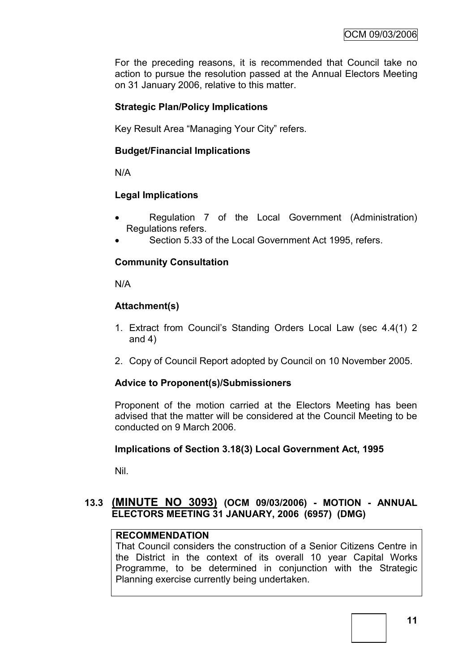For the preceding reasons, it is recommended that Council take no action to pursue the resolution passed at the Annual Electors Meeting on 31 January 2006, relative to this matter.

### **Strategic Plan/Policy Implications**

Key Result Area "Managing Your City" refers.

### **Budget/Financial Implications**

N/A

### **Legal Implications**

- Regulation 7 of the Local Government (Administration) Regulations refers.
- Section 5.33 of the Local Government Act 1995, refers.

# **Community Consultation**

N/A

### **Attachment(s)**

- 1. Extract from Council"s Standing Orders Local Law (sec 4.4(1) 2 and 4)
- 2. Copy of Council Report adopted by Council on 10 November 2005.

### **Advice to Proponent(s)/Submissioners**

Proponent of the motion carried at the Electors Meeting has been advised that the matter will be considered at the Council Meeting to be conducted on 9 March 2006.

### **Implications of Section 3.18(3) Local Government Act, 1995**

Nil.

### **13.3 (MINUTE NO 3093) (OCM 09/03/2006) - MOTION - ANNUAL ELECTORS MEETING 31 JANUARY, 2006 (6957) (DMG)**

### **RECOMMENDATION**

That Council considers the construction of a Senior Citizens Centre in the District in the context of its overall 10 year Capital Works Programme, to be determined in conjunction with the Strategic Planning exercise currently being undertaken.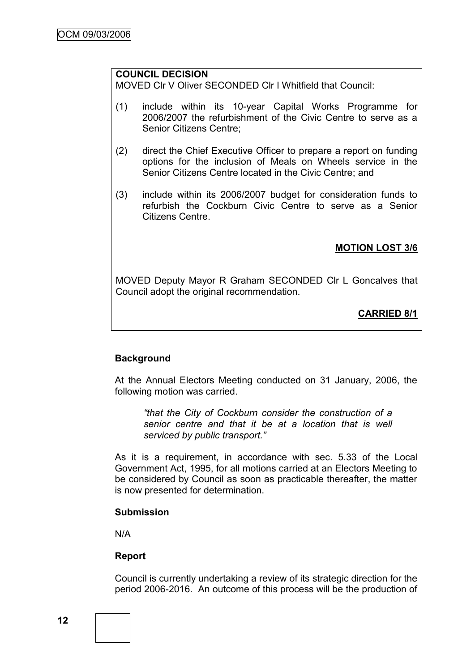# **COUNCIL DECISION**

MOVED Clr V Oliver SECONDED Clr I Whitfield that Council:

- (1) include within its 10-year Capital Works Programme for 2006/2007 the refurbishment of the Civic Centre to serve as a Senior Citizens Centre;
- (2) direct the Chief Executive Officer to prepare a report on funding options for the inclusion of Meals on Wheels service in the Senior Citizens Centre located in the Civic Centre; and
- (3) include within its 2006/2007 budget for consideration funds to refurbish the Cockburn Civic Centre to serve as a Senior Citizens Centre.

### **MOTION LOST 3/6**

MOVED Deputy Mayor R Graham SECONDED Clr L Goncalves that Council adopt the original recommendation.

# **CARRIED 8/1**

### **Background**

At the Annual Electors Meeting conducted on 31 January, 2006, the following motion was carried.

*"that the City of Cockburn consider the construction of a senior centre and that it be at a location that is well serviced by public transport."*

As it is a requirement, in accordance with sec. 5.33 of the Local Government Act, 1995, for all motions carried at an Electors Meeting to be considered by Council as soon as practicable thereafter, the matter is now presented for determination.

#### **Submission**

N/A

### **Report**

Council is currently undertaking a review of its strategic direction for the period 2006-2016. An outcome of this process will be the production of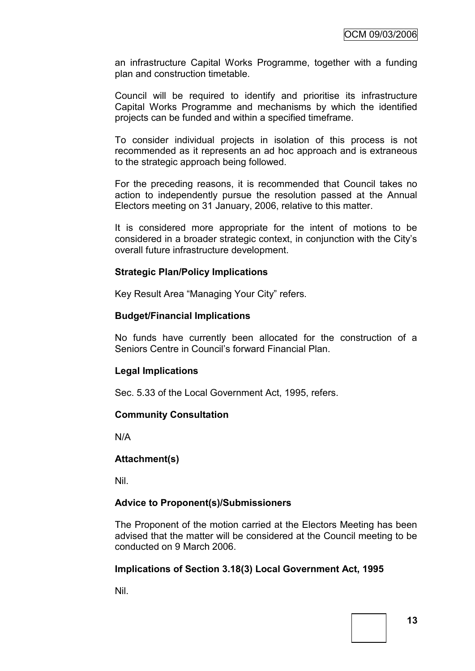an infrastructure Capital Works Programme, together with a funding plan and construction timetable.

Council will be required to identify and prioritise its infrastructure Capital Works Programme and mechanisms by which the identified projects can be funded and within a specified timeframe.

To consider individual projects in isolation of this process is not recommended as it represents an ad hoc approach and is extraneous to the strategic approach being followed.

For the preceding reasons, it is recommended that Council takes no action to independently pursue the resolution passed at the Annual Electors meeting on 31 January, 2006, relative to this matter.

It is considered more appropriate for the intent of motions to be considered in a broader strategic context, in conjunction with the City"s overall future infrastructure development.

### **Strategic Plan/Policy Implications**

Key Result Area "Managing Your City" refers.

#### **Budget/Financial Implications**

No funds have currently been allocated for the construction of a Seniors Centre in Council"s forward Financial Plan.

### **Legal Implications**

Sec. 5.33 of the Local Government Act, 1995, refers.

### **Community Consultation**

N/A

### **Attachment(s)**

Nil.

### **Advice to Proponent(s)/Submissioners**

The Proponent of the motion carried at the Electors Meeting has been advised that the matter will be considered at the Council meeting to be conducted on 9 March 2006.

### **Implications of Section 3.18(3) Local Government Act, 1995**

Nil.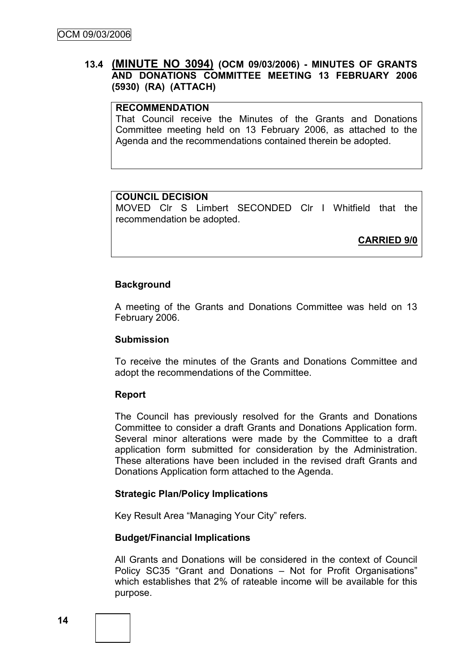## **13.4 (MINUTE NO 3094) (OCM 09/03/2006) - MINUTES OF GRANTS AND DONATIONS COMMITTEE MEETING 13 FEBRUARY 2006 (5930) (RA) (ATTACH)**

### **RECOMMENDATION**

That Council receive the Minutes of the Grants and Donations Committee meeting held on 13 February 2006, as attached to the Agenda and the recommendations contained therein be adopted.

#### **COUNCIL DECISION**

MOVED Clr S Limbert SECONDED Clr I Whitfield that the recommendation be adopted.

**CARRIED 9/0**

#### **Background**

A meeting of the Grants and Donations Committee was held on 13 February 2006.

#### **Submission**

To receive the minutes of the Grants and Donations Committee and adopt the recommendations of the Committee.

#### **Report**

The Council has previously resolved for the Grants and Donations Committee to consider a draft Grants and Donations Application form. Several minor alterations were made by the Committee to a draft application form submitted for consideration by the Administration. These alterations have been included in the revised draft Grants and Donations Application form attached to the Agenda.

#### **Strategic Plan/Policy Implications**

Key Result Area "Managing Your City" refers.

#### **Budget/Financial Implications**

All Grants and Donations will be considered in the context of Council Policy SC35 "Grant and Donations – Not for Profit Organisations" which establishes that 2% of rateable income will be available for this purpose.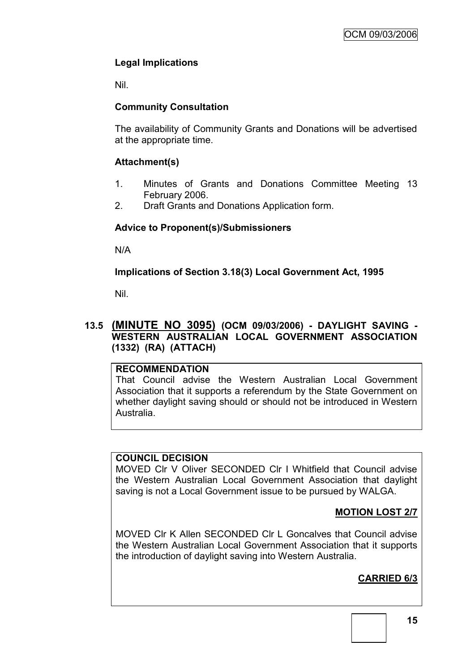# **Legal Implications**

Nil.

# **Community Consultation**

The availability of Community Grants and Donations will be advertised at the appropriate time.

# **Attachment(s)**

- 1. Minutes of Grants and Donations Committee Meeting 13 February 2006.
- 2. Draft Grants and Donations Application form.

# **Advice to Proponent(s)/Submissioners**

N/A

# **Implications of Section 3.18(3) Local Government Act, 1995**

Nil.

# **13.5 (MINUTE NO 3095) (OCM 09/03/2006) - DAYLIGHT SAVING - WESTERN AUSTRALIAN LOCAL GOVERNMENT ASSOCIATION (1332) (RA) (ATTACH)**

### **RECOMMENDATION**

That Council advise the Western Australian Local Government Association that it supports a referendum by the State Government on whether daylight saving should or should not be introduced in Western Australia.

# **COUNCIL DECISION**

MOVED Clr V Oliver SECONDED Clr I Whitfield that Council advise the Western Australian Local Government Association that daylight saving is not a Local Government issue to be pursued by WALGA.

# **MOTION LOST 2/7**

MOVED Clr K Allen SECONDED Clr L Goncalves that Council advise the Western Australian Local Government Association that it supports the introduction of daylight saving into Western Australia.

# **CARRIED 6/3**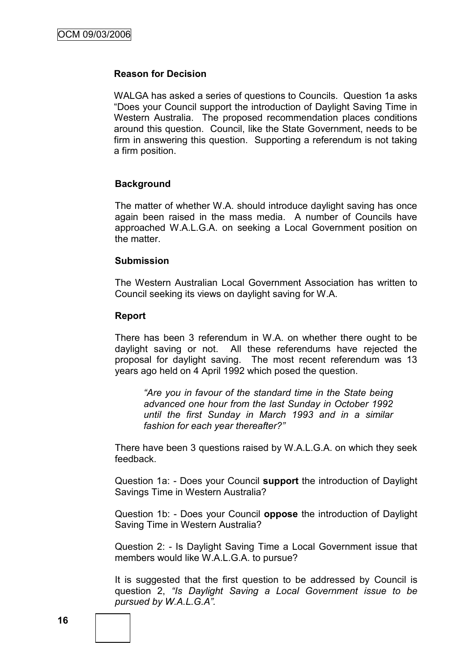#### **Reason for Decision**

WALGA has asked a series of questions to Councils. Question 1a asks "Does your Council support the introduction of Daylight Saving Time in Western Australia. The proposed recommendation places conditions around this question. Council, like the State Government, needs to be firm in answering this question. Supporting a referendum is not taking a firm position.

### **Background**

The matter of whether W.A. should introduce daylight saving has once again been raised in the mass media. A number of Councils have approached W.A.L.G.A. on seeking a Local Government position on the matter.

#### **Submission**

The Western Australian Local Government Association has written to Council seeking its views on daylight saving for W.A.

#### **Report**

There has been 3 referendum in W.A. on whether there ought to be daylight saving or not. All these referendums have rejected the proposal for daylight saving. The most recent referendum was 13 years ago held on 4 April 1992 which posed the question.

*"Are you in favour of the standard time in the State being advanced one hour from the last Sunday in October 1992 until the first Sunday in March 1993 and in a similar fashion for each year thereafter?"*

There have been 3 questions raised by W.A.L.G.A. on which they seek feedback.

Question 1a: - Does your Council **support** the introduction of Daylight Savings Time in Western Australia?

Question 1b: - Does your Council **oppose** the introduction of Daylight Saving Time in Western Australia?

Question 2: - Is Daylight Saving Time a Local Government issue that members would like W.A.L.G.A. to pursue?

It is suggested that the first question to be addressed by Council is question 2, *"Is Daylight Saving a Local Government issue to be pursued by W.A.L.G.A".*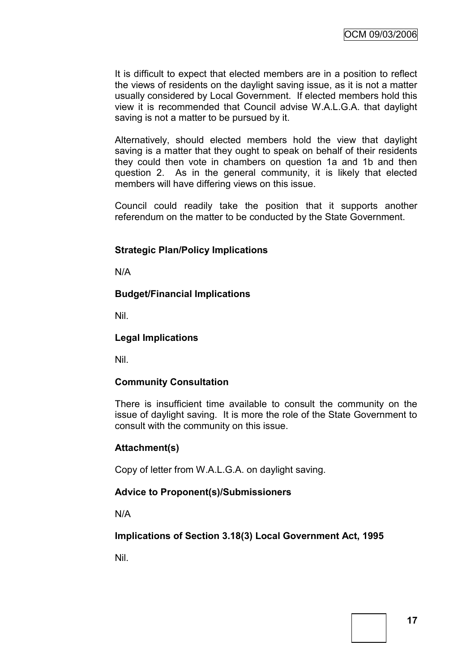It is difficult to expect that elected members are in a position to reflect the views of residents on the daylight saving issue, as it is not a matter usually considered by Local Government. If elected members hold this view it is recommended that Council advise W.A.L.G.A. that daylight saving is not a matter to be pursued by it.

Alternatively, should elected members hold the view that daylight saving is a matter that they ought to speak on behalf of their residents they could then vote in chambers on question 1a and 1b and then question 2. As in the general community, it is likely that elected members will have differing views on this issue.

Council could readily take the position that it supports another referendum on the matter to be conducted by the State Government.

### **Strategic Plan/Policy Implications**

N/A

### **Budget/Financial Implications**

Nil.

### **Legal Implications**

Nil.

### **Community Consultation**

There is insufficient time available to consult the community on the issue of daylight saving. It is more the role of the State Government to consult with the community on this issue.

### **Attachment(s)**

Copy of letter from W.A.L.G.A. on daylight saving.

### **Advice to Proponent(s)/Submissioners**

N/A

**Implications of Section 3.18(3) Local Government Act, 1995**

Nil.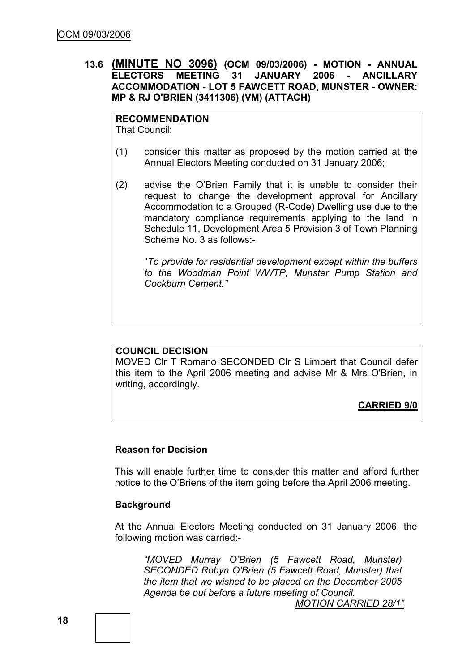### **13.6 (MINUTE NO 3096) (OCM 09/03/2006) - MOTION - ANNUAL ELECTORS MEETING 31 JANUARY 2006 - ANCILLARY ACCOMMODATION - LOT 5 FAWCETT ROAD, MUNSTER - OWNER: MP & RJ O'BRIEN (3411306) (VM) (ATTACH)**

# **RECOMMENDATION**

That Council:

- (1) consider this matter as proposed by the motion carried at the Annual Electors Meeting conducted on 31 January 2006;
- (2) advise the O"Brien Family that it is unable to consider their request to change the development approval for Ancillary Accommodation to a Grouped (R-Code) Dwelling use due to the mandatory compliance requirements applying to the land in Schedule 11, Development Area 5 Provision 3 of Town Planning Scheme No. 3 as follows:-

"*To provide for residential development except within the buffers to the Woodman Point WWTP, Munster Pump Station and Cockburn Cement."*

### **COUNCIL DECISION**

MOVED Clr T Romano SECONDED Clr S Limbert that Council defer this item to the April 2006 meeting and advise Mr & Mrs O'Brien, in writing, accordingly.

**CARRIED 9/0**

#### **Reason for Decision**

This will enable further time to consider this matter and afford further notice to the O"Briens of the item going before the April 2006 meeting.

#### **Background**

At the Annual Electors Meeting conducted on 31 January 2006, the following motion was carried:-

*"MOVED Murray O"Brien (5 Fawcett Road, Munster) SECONDED Robyn O"Brien (5 Fawcett Road, Munster) that the item that we wished to be placed on the December 2005 Agenda be put before a future meeting of Council.* 

*MOTION CARRIED 28/1"*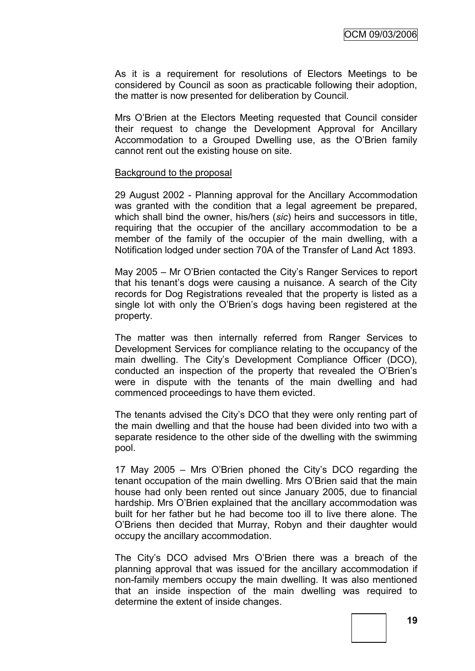As it is a requirement for resolutions of Electors Meetings to be considered by Council as soon as practicable following their adoption, the matter is now presented for deliberation by Council.

Mrs O"Brien at the Electors Meeting requested that Council consider their request to change the Development Approval for Ancillary Accommodation to a Grouped Dwelling use, as the O"Brien family cannot rent out the existing house on site.

#### Background to the proposal

29 August 2002 - Planning approval for the Ancillary Accommodation was granted with the condition that a legal agreement be prepared, which shall bind the owner, his/hers (*sic*) heirs and successors in title, requiring that the occupier of the ancillary accommodation to be a member of the family of the occupier of the main dwelling, with a Notification lodged under section 70A of the Transfer of Land Act 1893.

May 2005 – Mr O"Brien contacted the City"s Ranger Services to report that his tenant"s dogs were causing a nuisance. A search of the City records for Dog Registrations revealed that the property is listed as a single lot with only the O"Brien"s dogs having been registered at the property.

The matter was then internally referred from Ranger Services to Development Services for compliance relating to the occupancy of the main dwelling. The City"s Development Compliance Officer (DCO), conducted an inspection of the property that revealed the O"Brien"s were in dispute with the tenants of the main dwelling and had commenced proceedings to have them evicted.

The tenants advised the City"s DCO that they were only renting part of the main dwelling and that the house had been divided into two with a separate residence to the other side of the dwelling with the swimming pool.

17 May 2005 – Mrs O"Brien phoned the City"s DCO regarding the tenant occupation of the main dwelling. Mrs O"Brien said that the main house had only been rented out since January 2005, due to financial hardship. Mrs O"Brien explained that the ancillary accommodation was built for her father but he had become too ill to live there alone. The O"Briens then decided that Murray, Robyn and their daughter would occupy the ancillary accommodation.

The City"s DCO advised Mrs O"Brien there was a breach of the planning approval that was issued for the ancillary accommodation if non-family members occupy the main dwelling. It was also mentioned that an inside inspection of the main dwelling was required to determine the extent of inside changes.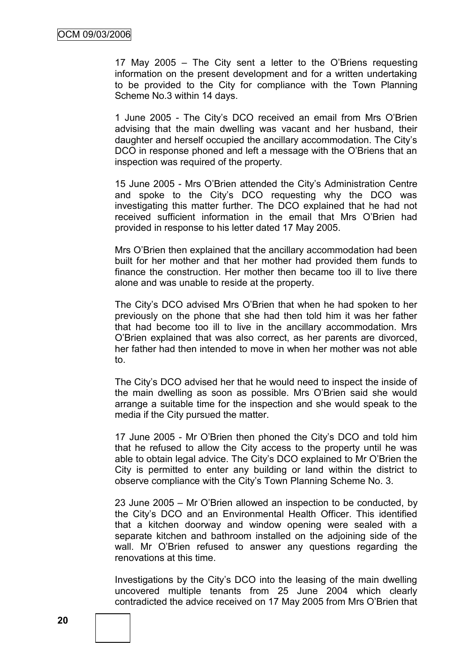17 May 2005 – The City sent a letter to the O"Briens requesting information on the present development and for a written undertaking to be provided to the City for compliance with the Town Planning Scheme No.3 within 14 days.

1 June 2005 - The City"s DCO received an email from Mrs O"Brien advising that the main dwelling was vacant and her husband, their daughter and herself occupied the ancillary accommodation. The City"s DCO in response phoned and left a message with the O"Briens that an inspection was required of the property.

15 June 2005 - Mrs O"Brien attended the City"s Administration Centre and spoke to the City"s DCO requesting why the DCO was investigating this matter further. The DCO explained that he had not received sufficient information in the email that Mrs O"Brien had provided in response to his letter dated 17 May 2005.

Mrs O"Brien then explained that the ancillary accommodation had been built for her mother and that her mother had provided them funds to finance the construction. Her mother then became too ill to live there alone and was unable to reside at the property.

The City"s DCO advised Mrs O"Brien that when he had spoken to her previously on the phone that she had then told him it was her father that had become too ill to live in the ancillary accommodation. Mrs O"Brien explained that was also correct, as her parents are divorced, her father had then intended to move in when her mother was not able to.

The City"s DCO advised her that he would need to inspect the inside of the main dwelling as soon as possible. Mrs O"Brien said she would arrange a suitable time for the inspection and she would speak to the media if the City pursued the matter.

17 June 2005 - Mr O"Brien then phoned the City"s DCO and told him that he refused to allow the City access to the property until he was able to obtain legal advice. The City"s DCO explained to Mr O"Brien the City is permitted to enter any building or land within the district to observe compliance with the City"s Town Planning Scheme No. 3.

23 June 2005 – Mr O"Brien allowed an inspection to be conducted, by the City"s DCO and an Environmental Health Officer. This identified that a kitchen doorway and window opening were sealed with a separate kitchen and bathroom installed on the adjoining side of the wall. Mr O"Brien refused to answer any questions regarding the renovations at this time.

Investigations by the City"s DCO into the leasing of the main dwelling uncovered multiple tenants from 25 June 2004 which clearly contradicted the advice received on 17 May 2005 from Mrs O"Brien that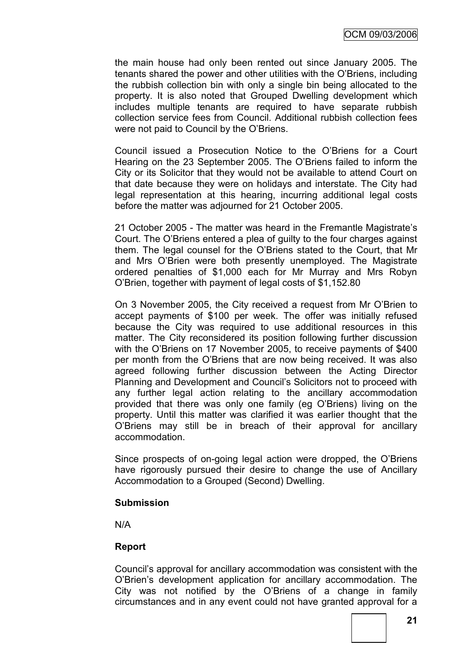the main house had only been rented out since January 2005. The tenants shared the power and other utilities with the O"Briens, including the rubbish collection bin with only a single bin being allocated to the property. It is also noted that Grouped Dwelling development which includes multiple tenants are required to have separate rubbish collection service fees from Council. Additional rubbish collection fees were not paid to Council by the O"Briens.

Council issued a Prosecution Notice to the O"Briens for a Court Hearing on the 23 September 2005. The O"Briens failed to inform the City or its Solicitor that they would not be available to attend Court on that date because they were on holidays and interstate. The City had legal representation at this hearing, incurring additional legal costs before the matter was adjourned for 21 October 2005.

21 October 2005 - The matter was heard in the Fremantle Magistrate"s Court. The O"Briens entered a plea of guilty to the four charges against them. The legal counsel for the O"Briens stated to the Court, that Mr and Mrs O"Brien were both presently unemployed. The Magistrate ordered penalties of \$1,000 each for Mr Murray and Mrs Robyn O"Brien, together with payment of legal costs of \$1,152.80

On 3 November 2005, the City received a request from Mr O"Brien to accept payments of \$100 per week. The offer was initially refused because the City was required to use additional resources in this matter. The City reconsidered its position following further discussion with the O"Briens on 17 November 2005, to receive payments of \$400 per month from the O"Briens that are now being received. It was also agreed following further discussion between the Acting Director Planning and Development and Council"s Solicitors not to proceed with any further legal action relating to the ancillary accommodation provided that there was only one family (eg O"Briens) living on the property. Until this matter was clarified it was earlier thought that the O"Briens may still be in breach of their approval for ancillary accommodation.

Since prospects of on-going legal action were dropped, the O"Briens have rigorously pursued their desire to change the use of Ancillary Accommodation to a Grouped (Second) Dwelling.

### **Submission**

N/A

### **Report**

Council"s approval for ancillary accommodation was consistent with the O"Brien"s development application for ancillary accommodation. The City was not notified by the O"Briens of a change in family circumstances and in any event could not have granted approval for a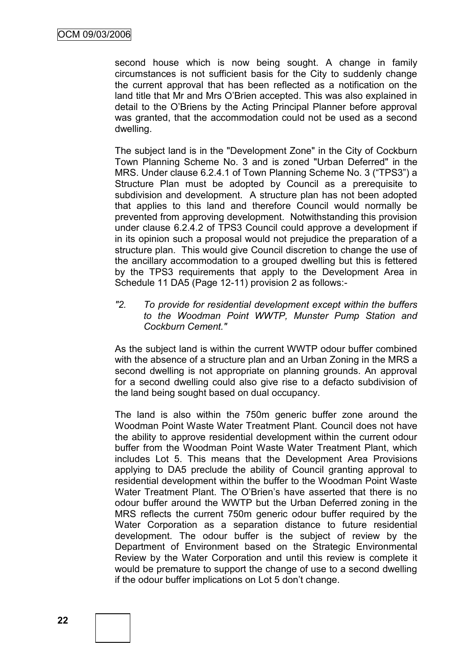second house which is now being sought. A change in family circumstances is not sufficient basis for the City to suddenly change the current approval that has been reflected as a notification on the land title that Mr and Mrs O"Brien accepted. This was also explained in detail to the O"Briens by the Acting Principal Planner before approval was granted, that the accommodation could not be used as a second dwelling.

The subject land is in the "Development Zone" in the City of Cockburn Town Planning Scheme No. 3 and is zoned "Urban Deferred" in the MRS. Under clause 6.2.4.1 of Town Planning Scheme No. 3 ("TPS3") a Structure Plan must be adopted by Council as a prerequisite to subdivision and development. A structure plan has not been adopted that applies to this land and therefore Council would normally be prevented from approving development. Notwithstanding this provision under clause 6.2.4.2 of TPS3 Council could approve a development if in its opinion such a proposal would not prejudice the preparation of a structure plan. This would give Council discretion to change the use of the ancillary accommodation to a grouped dwelling but this is fettered by the TPS3 requirements that apply to the Development Area in Schedule 11 DA5 (Page 12-11) provision 2 as follows:-

*"2. To provide for residential development except within the buffers to the Woodman Point WWTP, Munster Pump Station and Cockburn Cement."*

As the subject land is within the current WWTP odour buffer combined with the absence of a structure plan and an Urban Zoning in the MRS a second dwelling is not appropriate on planning grounds. An approval for a second dwelling could also give rise to a defacto subdivision of the land being sought based on dual occupancy.

The land is also within the 750m generic buffer zone around the Woodman Point Waste Water Treatment Plant. Council does not have the ability to approve residential development within the current odour buffer from the Woodman Point Waste Water Treatment Plant, which includes Lot 5. This means that the Development Area Provisions applying to DA5 preclude the ability of Council granting approval to residential development within the buffer to the Woodman Point Waste Water Treatment Plant. The O"Brien"s have asserted that there is no odour buffer around the WWTP but the Urban Deferred zoning in the MRS reflects the current 750m generic odour buffer required by the Water Corporation as a separation distance to future residential development. The odour buffer is the subject of review by the Department of Environment based on the Strategic Environmental Review by the Water Corporation and until this review is complete it would be premature to support the change of use to a second dwelling if the odour buffer implications on Lot 5 don"t change.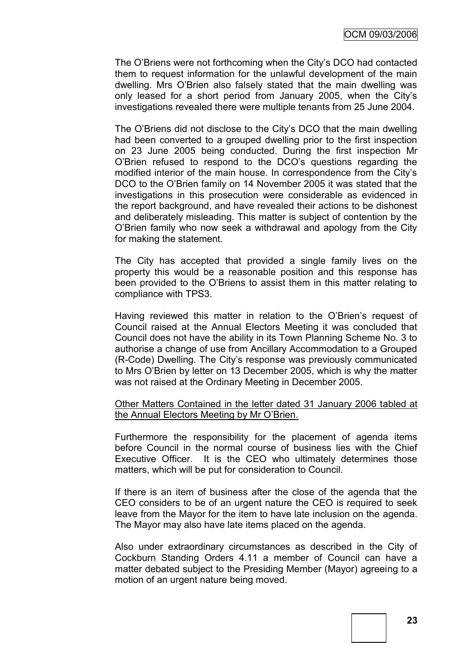The O"Briens were not forthcoming when the City"s DCO had contacted them to request information for the unlawful development of the main dwelling. Mrs O"Brien also falsely stated that the main dwelling was only leased for a short period from January 2005, when the City"s investigations revealed there were multiple tenants from 25 June 2004.

The O"Briens did not disclose to the City"s DCO that the main dwelling had been converted to a grouped dwelling prior to the first inspection on 23 June 2005 being conducted. During the first inspection Mr O"Brien refused to respond to the DCO"s questions regarding the modified interior of the main house. In correspondence from the City"s DCO to the O"Brien family on 14 November 2005 it was stated that the investigations in this prosecution were considerable as evidenced in the report background, and have revealed their actions to be dishonest and deliberately misleading. This matter is subject of contention by the O"Brien family who now seek a withdrawal and apology from the City for making the statement.

The City has accepted that provided a single family lives on the property this would be a reasonable position and this response has been provided to the O"Briens to assist them in this matter relating to compliance with TPS3.

Having reviewed this matter in relation to the O"Brien"s request of Council raised at the Annual Electors Meeting it was concluded that Council does not have the ability in its Town Planning Scheme No. 3 to authorise a change of use from Ancillary Accommodation to a Grouped (R-Code) Dwelling. The City"s response was previously communicated to Mrs O"Brien by letter on 13 December 2005, which is why the matter was not raised at the Ordinary Meeting in December 2005.

Other Matters Contained in the letter dated 31 January 2006 tabled at the Annual Electors Meeting by Mr O"Brien.

Furthermore the responsibility for the placement of agenda items before Council in the normal course of business lies with the Chief Executive Officer. It is the CEO who ultimately determines those matters, which will be put for consideration to Council.

If there is an item of business after the close of the agenda that the CEO considers to be of an urgent nature the CEO is required to seek leave from the Mayor for the item to have late inclusion on the agenda. The Mayor may also have late items placed on the agenda.

Also under extraordinary circumstances as described in the City of Cockburn Standing Orders 4.11 a member of Council can have a matter debated subject to the Presiding Member (Mayor) agreeing to a motion of an urgent nature being moved.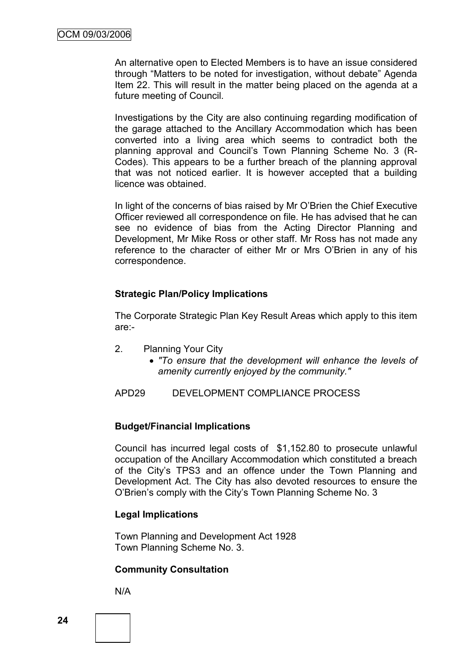An alternative open to Elected Members is to have an issue considered through "Matters to be noted for investigation, without debate" Agenda Item 22. This will result in the matter being placed on the agenda at a future meeting of Council.

Investigations by the City are also continuing regarding modification of the garage attached to the Ancillary Accommodation which has been converted into a living area which seems to contradict both the planning approval and Council's Town Planning Scheme No. 3 (R-Codes). This appears to be a further breach of the planning approval that was not noticed earlier. It is however accepted that a building licence was obtained.

In light of the concerns of bias raised by Mr O"Brien the Chief Executive Officer reviewed all correspondence on file. He has advised that he can see no evidence of bias from the Acting Director Planning and Development, Mr Mike Ross or other staff. Mr Ross has not made any reference to the character of either Mr or Mrs O"Brien in any of his correspondence.

### **Strategic Plan/Policy Implications**

The Corporate Strategic Plan Key Result Areas which apply to this item are:-

- 2. Planning Your City
	- *"To ensure that the development will enhance the levels of amenity currently enjoyed by the community."*

APD29 DEVELOPMENT COMPLIANCE PROCESS

### **Budget/Financial Implications**

Council has incurred legal costs of \$1,152.80 to prosecute unlawful occupation of the Ancillary Accommodation which constituted a breach of the City"s TPS3 and an offence under the Town Planning and Development Act. The City has also devoted resources to ensure the O"Brien"s comply with the City"s Town Planning Scheme No. 3

### **Legal Implications**

Town Planning and Development Act 1928 Town Planning Scheme No. 3.

### **Community Consultation**

N/A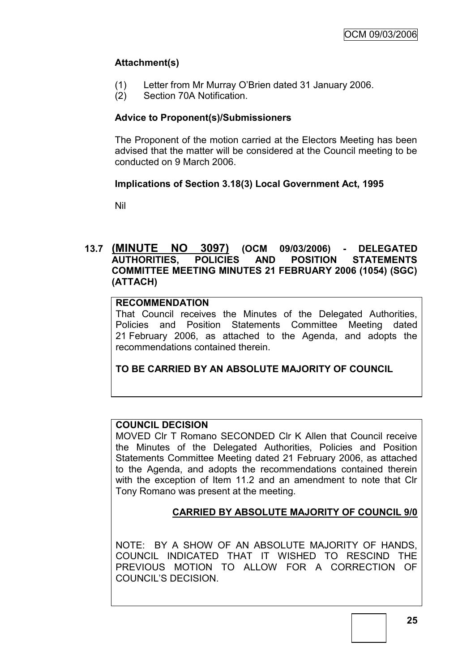# **Attachment(s)**

- (1) Letter from Mr Murray O"Brien dated 31 January 2006.
- (2) Section 70A Notification.

### **Advice to Proponent(s)/Submissioners**

The Proponent of the motion carried at the Electors Meeting has been advised that the matter will be considered at the Council meeting to be conducted on 9 March 2006.

### **Implications of Section 3.18(3) Local Government Act, 1995**

Nil

### **13.7 (MINUTE NO 3097) (OCM 09/03/2006) - DELEGATED AUTHORITIES, POLICIES AND POSITION STATEMENTS COMMITTEE MEETING MINUTES 21 FEBRUARY 2006 (1054) (SGC) (ATTACH)**

### **RECOMMENDATION**

That Council receives the Minutes of the Delegated Authorities, Policies and Position Statements Committee Meeting dated 21 February 2006, as attached to the Agenda, and adopts the recommendations contained therein.

**TO BE CARRIED BY AN ABSOLUTE MAJORITY OF COUNCIL**

# **COUNCIL DECISION**

MOVED Clr T Romano SECONDED Clr K Allen that Council receive the Minutes of the Delegated Authorities, Policies and Position Statements Committee Meeting dated 21 February 2006, as attached to the Agenda, and adopts the recommendations contained therein with the exception of Item 11.2 and an amendment to note that Clr Tony Romano was present at the meeting.

# **CARRIED BY ABSOLUTE MAJORITY OF COUNCIL 9/0**

NOTE: BY A SHOW OF AN ABSOLUTE MAJORITY OF HANDS, COUNCIL INDICATED THAT IT WISHED TO RESCIND THE PREVIOUS MOTION TO ALLOW FOR A CORRECTION OF COUNCIL"S DECISION.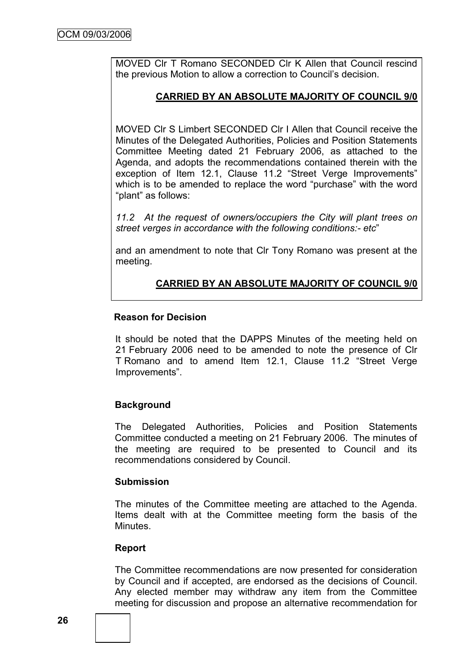MOVED Clr T Romano SECONDED Clr K Allen that Council rescind the previous Motion to allow a correction to Council"s decision.

### **CARRIED BY AN ABSOLUTE MAJORITY OF COUNCIL 9/0**

MOVED Clr S Limbert SECONDED Clr I Allen that Council receive the Minutes of the Delegated Authorities, Policies and Position Statements Committee Meeting dated 21 February 2006, as attached to the Agenda, and adopts the recommendations contained therein with the exception of Item 12.1, Clause 11.2 "Street Verge Improvements" which is to be amended to replace the word "purchase" with the word "plant" as follows:

*11.2 At the request of owners/occupiers the City will plant trees on street verges in accordance with the following conditions:- etc*"

and an amendment to note that Clr Tony Romano was present at the meeting.

# **CARRIED BY AN ABSOLUTE MAJORITY OF COUNCIL 9/0**

### **Reason for Decision**

It should be noted that the DAPPS Minutes of the meeting held on 21 February 2006 need to be amended to note the presence of Clr T Romano and to amend Item 12.1, Clause 11.2 "Street Verge Improvements".

### **Background**

The Delegated Authorities, Policies and Position Statements Committee conducted a meeting on 21 February 2006. The minutes of the meeting are required to be presented to Council and its recommendations considered by Council.

### **Submission**

The minutes of the Committee meeting are attached to the Agenda. Items dealt with at the Committee meeting form the basis of the Minutes.

### **Report**

The Committee recommendations are now presented for consideration by Council and if accepted, are endorsed as the decisions of Council. Any elected member may withdraw any item from the Committee meeting for discussion and propose an alternative recommendation for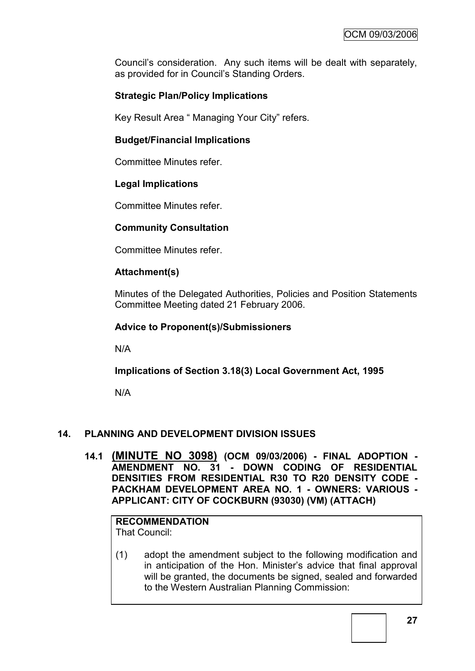Council"s consideration. Any such items will be dealt with separately, as provided for in Council's Standing Orders.

# **Strategic Plan/Policy Implications**

Key Result Area " Managing Your City" refers.

### **Budget/Financial Implications**

Committee Minutes refer.

### **Legal Implications**

Committee Minutes refer.

### **Community Consultation**

Committee Minutes refer.

#### **Attachment(s)**

Minutes of the Delegated Authorities, Policies and Position Statements Committee Meeting dated 21 February 2006.

#### **Advice to Proponent(s)/Submissioners**

N/A

**Implications of Section 3.18(3) Local Government Act, 1995**

N/A

### **14. PLANNING AND DEVELOPMENT DIVISION ISSUES**

**14.1 (MINUTE NO 3098) (OCM 09/03/2006) - FINAL ADOPTION - AMENDMENT NO. 31 - DOWN CODING OF RESIDENTIAL DENSITIES FROM RESIDENTIAL R30 TO R20 DENSITY CODE - PACKHAM DEVELOPMENT AREA NO. 1 - OWNERS: VARIOUS - APPLICANT: CITY OF COCKBURN (93030) (VM) (ATTACH)**

**RECOMMENDATION** That Council:

(1) adopt the amendment subject to the following modification and in anticipation of the Hon. Minister"s advice that final approval will be granted, the documents be signed, sealed and forwarded to the Western Australian Planning Commission: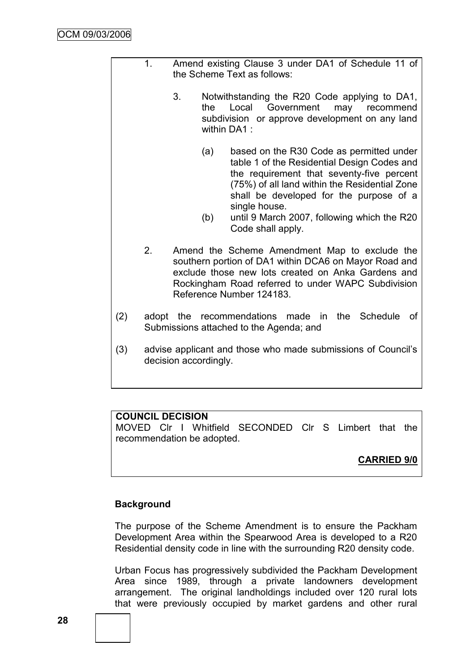|     | 1. | Amend existing Clause 3 under DA1 of Schedule 11 of<br>the Scheme Text as follows: |     |                                                                                                                                                                                                                                                   |
|-----|----|------------------------------------------------------------------------------------|-----|---------------------------------------------------------------------------------------------------------------------------------------------------------------------------------------------------------------------------------------------------|
|     |    | 3.                                                                                 | the | Notwithstanding the R20 Code applying to DA1,<br>Local<br>Government<br>may<br>recommend<br>subdivision or approve development on any land<br>within DA1:                                                                                         |
|     |    |                                                                                    | (a) | based on the R30 Code as permitted under<br>table 1 of the Residential Design Codes and<br>the requirement that seventy-five percent<br>(75%) of all land within the Residential Zone<br>shall be developed for the purpose of a<br>single house. |
|     |    |                                                                                    | (b) | until 9 March 2007, following which the R20<br>Code shall apply.                                                                                                                                                                                  |
|     | 2. |                                                                                    |     | Amend the Scheme Amendment Map to exclude the<br>southern portion of DA1 within DCA6 on Mayor Road and<br>exclude those new lots created on Anka Gardens and<br>Rockingham Road referred to under WAPC Subdivision<br>Reference Number 124183.    |
| (2) |    |                                                                                    |     | adopt the recommendations made in<br>the Schedule<br>οf<br>Submissions attached to the Agenda; and                                                                                                                                                |
| (3) |    | decision accordingly.                                                              |     | advise applicant and those who made submissions of Council's                                                                                                                                                                                      |

# **COUNCIL DECISION**

MOVED Clr I Whitfield SECONDED Clr S Limbert that the recommendation be adopted.

# **CARRIED 9/0**

# **Background**

The purpose of the Scheme Amendment is to ensure the Packham Development Area within the Spearwood Area is developed to a R20 Residential density code in line with the surrounding R20 density code.

Urban Focus has progressively subdivided the Packham Development Area since 1989, through a private landowners development arrangement. The original landholdings included over 120 rural lots that were previously occupied by market gardens and other rural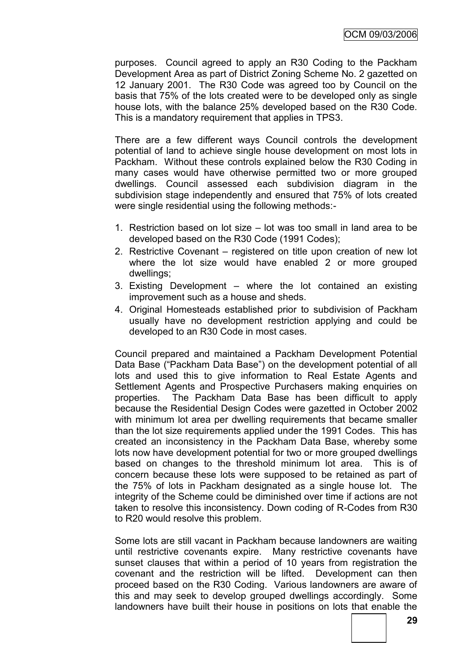purposes. Council agreed to apply an R30 Coding to the Packham Development Area as part of District Zoning Scheme No. 2 gazetted on 12 January 2001. The R30 Code was agreed too by Council on the basis that 75% of the lots created were to be developed only as single house lots, with the balance 25% developed based on the R30 Code. This is a mandatory requirement that applies in TPS3.

There are a few different ways Council controls the development potential of land to achieve single house development on most lots in Packham. Without these controls explained below the R30 Coding in many cases would have otherwise permitted two or more grouped dwellings. Council assessed each subdivision diagram in the subdivision stage independently and ensured that 75% of lots created were single residential using the following methods:-

- 1. Restriction based on lot size lot was too small in land area to be developed based on the R30 Code (1991 Codes);
- 2. Restrictive Covenant registered on title upon creation of new lot where the lot size would have enabled 2 or more grouped dwellings;
- 3. Existing Development where the lot contained an existing improvement such as a house and sheds.
- 4. Original Homesteads established prior to subdivision of Packham usually have no development restriction applying and could be developed to an R30 Code in most cases.

Council prepared and maintained a Packham Development Potential Data Base ("Packham Data Base") on the development potential of all lots and used this to give information to Real Estate Agents and Settlement Agents and Prospective Purchasers making enquiries on properties. The Packham Data Base has been difficult to apply because the Residential Design Codes were gazetted in October 2002 with minimum lot area per dwelling requirements that became smaller than the lot size requirements applied under the 1991 Codes. This has created an inconsistency in the Packham Data Base, whereby some lots now have development potential for two or more grouped dwellings based on changes to the threshold minimum lot area. This is of concern because these lots were supposed to be retained as part of the 75% of lots in Packham designated as a single house lot. The integrity of the Scheme could be diminished over time if actions are not taken to resolve this inconsistency. Down coding of R-Codes from R30 to R20 would resolve this problem.

Some lots are still vacant in Packham because landowners are waiting until restrictive covenants expire. Many restrictive covenants have sunset clauses that within a period of 10 years from registration the covenant and the restriction will be lifted. Development can then proceed based on the R30 Coding. Various landowners are aware of this and may seek to develop grouped dwellings accordingly. Some landowners have built their house in positions on lots that enable the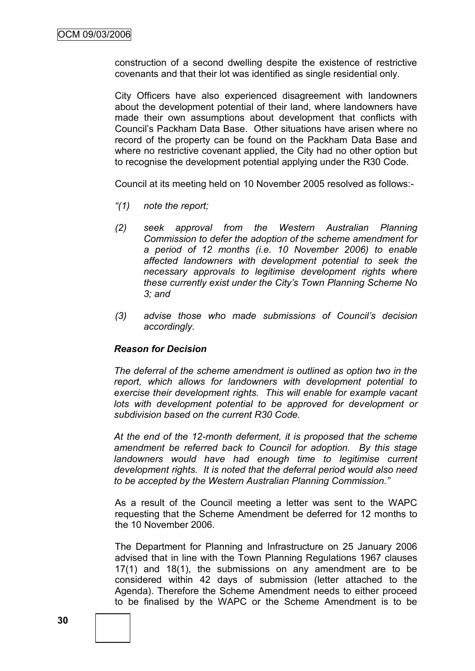construction of a second dwelling despite the existence of restrictive covenants and that their lot was identified as single residential only.

City Officers have also experienced disagreement with landowners about the development potential of their land, where landowners have made their own assumptions about development that conflicts with Council"s Packham Data Base. Other situations have arisen where no record of the property can be found on the Packham Data Base and where no restrictive covenant applied, the City had no other option but to recognise the development potential applying under the R30 Code.

Council at its meeting held on 10 November 2005 resolved as follows:-

- *"(1) note the report;*
- *(2) seek approval from the Western Australian Planning Commission to defer the adoption of the scheme amendment for a period of 12 months (i.e. 10 November 2006) to enable affected landowners with development potential to seek the necessary approvals to legitimise development rights where these currently exist under the City"s Town Planning Scheme No 3; and*
- *(3) advise those who made submissions of Council"s decision accordingly.*

#### *Reason for Decision*

*The deferral of the scheme amendment is outlined as option two in the report, which allows for landowners with development potential to exercise their development rights. This will enable for example vacant*  lots with development potential to be approved for development or *subdivision based on the current R30 Code.*

*At the end of the 12-month deferment, it is proposed that the scheme amendment be referred back to Council for adoption. By this stage landowners would have had enough time to legitimise current development rights. It is noted that the deferral period would also need to be accepted by the Western Australian Planning Commission."*

As a result of the Council meeting a letter was sent to the WAPC requesting that the Scheme Amendment be deferred for 12 months to the 10 November 2006.

The Department for Planning and Infrastructure on 25 January 2006 advised that in line with the Town Planning Regulations 1967 clauses 17(1) and 18(1), the submissions on any amendment are to be considered within 42 days of submission (letter attached to the Agenda). Therefore the Scheme Amendment needs to either proceed to be finalised by the WAPC or the Scheme Amendment is to be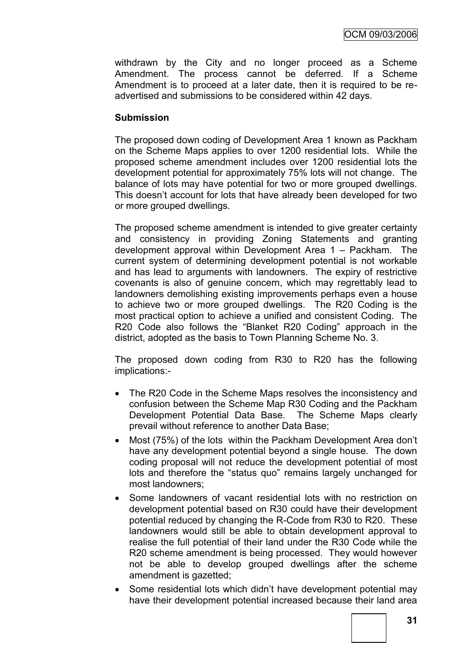withdrawn by the City and no longer proceed as a Scheme Amendment. The process cannot be deferred. If a Scheme Amendment is to proceed at a later date, then it is required to be readvertised and submissions to be considered within 42 days.

### **Submission**

The proposed down coding of Development Area 1 known as Packham on the Scheme Maps applies to over 1200 residential lots. While the proposed scheme amendment includes over 1200 residential lots the development potential for approximately 75% lots will not change. The balance of lots may have potential for two or more grouped dwellings. This doesn"t account for lots that have already been developed for two or more grouped dwellings.

The proposed scheme amendment is intended to give greater certainty and consistency in providing Zoning Statements and granting development approval within Development Area 1 – Packham. The current system of determining development potential is not workable and has lead to arguments with landowners. The expiry of restrictive covenants is also of genuine concern, which may regrettably lead to landowners demolishing existing improvements perhaps even a house to achieve two or more grouped dwellings. The R20 Coding is the most practical option to achieve a unified and consistent Coding. The R20 Code also follows the "Blanket R20 Coding" approach in the district, adopted as the basis to Town Planning Scheme No. 3.

The proposed down coding from R30 to R20 has the following implications:-

- The R20 Code in the Scheme Maps resolves the inconsistency and confusion between the Scheme Map R30 Coding and the Packham Development Potential Data Base. The Scheme Maps clearly prevail without reference to another Data Base;
- Most (75%) of the lots within the Packham Development Area don't have any development potential beyond a single house. The down coding proposal will not reduce the development potential of most lots and therefore the "status quo" remains largely unchanged for most landowners;
- Some landowners of vacant residential lots with no restriction on development potential based on R30 could have their development potential reduced by changing the R-Code from R30 to R20. These landowners would still be able to obtain development approval to realise the full potential of their land under the R30 Code while the R20 scheme amendment is being processed. They would however not be able to develop grouped dwellings after the scheme amendment is gazetted;
- Some residential lots which didn"t have development potential may have their development potential increased because their land area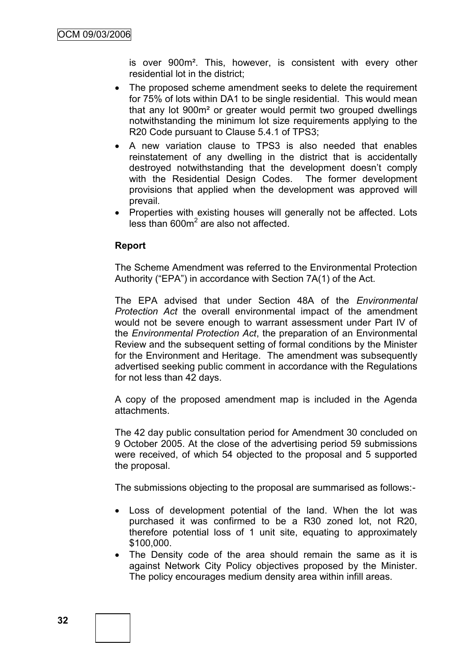is over 900m². This, however, is consistent with every other residential lot in the district;

- The proposed scheme amendment seeks to delete the requirement for 75% of lots within DA1 to be single residential. This would mean that any lot 900m² or greater would permit two grouped dwellings notwithstanding the minimum lot size requirements applying to the R20 Code pursuant to Clause 5.4.1 of TPS3;
- A new variation clause to TPS3 is also needed that enables reinstatement of any dwelling in the district that is accidentally destroyed notwithstanding that the development doesn't comply with the Residential Design Codes. The former development provisions that applied when the development was approved will prevail.
- Properties with existing houses will generally not be affected. Lots less than 600m<sup>2</sup> are also not affected.

#### **Report**

The Scheme Amendment was referred to the Environmental Protection Authority ("EPA") in accordance with Section 7A(1) of the Act.

The EPA advised that under Section 48A of the *Environmental Protection Act* the overall environmental impact of the amendment would not be severe enough to warrant assessment under Part IV of the *Environmental Protection Act*, the preparation of an Environmental Review and the subsequent setting of formal conditions by the Minister for the Environment and Heritage. The amendment was subsequently advertised seeking public comment in accordance with the Regulations for not less than 42 days.

A copy of the proposed amendment map is included in the Agenda attachments.

The 42 day public consultation period for Amendment 30 concluded on 9 October 2005. At the close of the advertising period 59 submissions were received, of which 54 objected to the proposal and 5 supported the proposal.

The submissions objecting to the proposal are summarised as follows:-

- Loss of development potential of the land. When the lot was purchased it was confirmed to be a R30 zoned lot, not R20, therefore potential loss of 1 unit site, equating to approximately \$100,000.
- The Density code of the area should remain the same as it is against Network City Policy objectives proposed by the Minister. The policy encourages medium density area within infill areas.

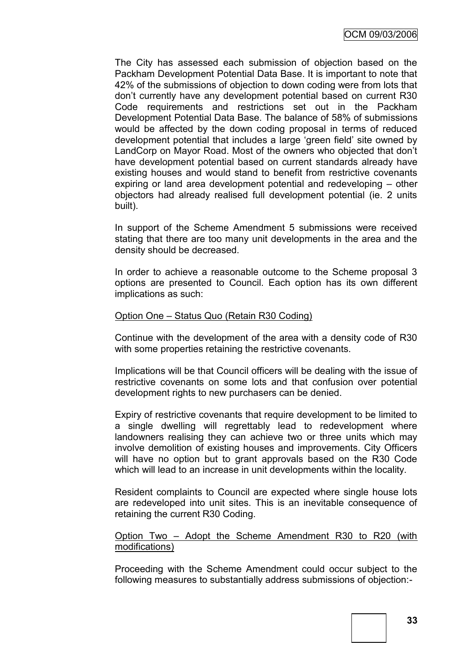The City has assessed each submission of objection based on the Packham Development Potential Data Base. It is important to note that 42% of the submissions of objection to down coding were from lots that don"t currently have any development potential based on current R30 Code requirements and restrictions set out in the Packham Development Potential Data Base. The balance of 58% of submissions would be affected by the down coding proposal in terms of reduced development potential that includes a large "green field" site owned by LandCorp on Mayor Road. Most of the owners who objected that don"t have development potential based on current standards already have existing houses and would stand to benefit from restrictive covenants expiring or land area development potential and redeveloping – other objectors had already realised full development potential (ie. 2 units built).

In support of the Scheme Amendment 5 submissions were received stating that there are too many unit developments in the area and the density should be decreased.

In order to achieve a reasonable outcome to the Scheme proposal 3 options are presented to Council. Each option has its own different implications as such:

#### Option One – Status Quo (Retain R30 Coding)

Continue with the development of the area with a density code of R30 with some properties retaining the restrictive covenants.

Implications will be that Council officers will be dealing with the issue of restrictive covenants on some lots and that confusion over potential development rights to new purchasers can be denied.

Expiry of restrictive covenants that require development to be limited to a single dwelling will regrettably lead to redevelopment where landowners realising they can achieve two or three units which may involve demolition of existing houses and improvements. City Officers will have no option but to grant approvals based on the R30 Code which will lead to an increase in unit developments within the locality.

Resident complaints to Council are expected where single house lots are redeveloped into unit sites. This is an inevitable consequence of retaining the current R30 Coding.

### Option Two – Adopt the Scheme Amendment R30 to R20 (with modifications)

Proceeding with the Scheme Amendment could occur subject to the following measures to substantially address submissions of objection:-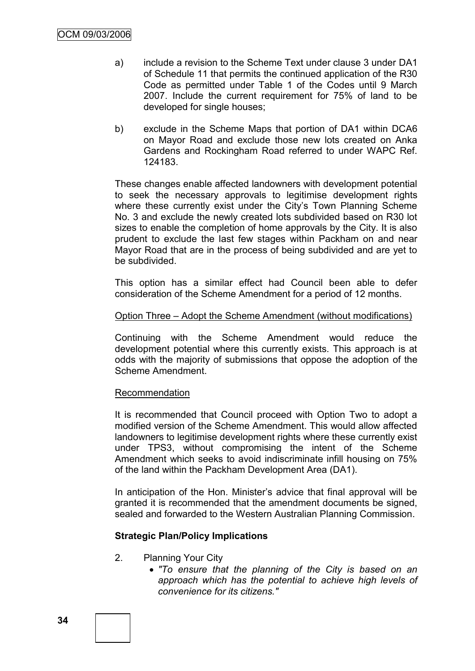- a) include a revision to the Scheme Text under clause 3 under DA1 of Schedule 11 that permits the continued application of the R30 Code as permitted under Table 1 of the Codes until 9 March 2007. Include the current requirement for 75% of land to be developed for single houses;
- b) exclude in the Scheme Maps that portion of DA1 within DCA6 on Mayor Road and exclude those new lots created on Anka Gardens and Rockingham Road referred to under WAPC Ref. 124183.

These changes enable affected landowners with development potential to seek the necessary approvals to legitimise development rights where these currently exist under the City's Town Planning Scheme No. 3 and exclude the newly created lots subdivided based on R30 lot sizes to enable the completion of home approvals by the City. It is also prudent to exclude the last few stages within Packham on and near Mayor Road that are in the process of being subdivided and are yet to be subdivided.

This option has a similar effect had Council been able to defer consideration of the Scheme Amendment for a period of 12 months.

#### Option Three – Adopt the Scheme Amendment (without modifications)

Continuing with the Scheme Amendment would reduce the development potential where this currently exists. This approach is at odds with the majority of submissions that oppose the adoption of the Scheme Amendment.

#### Recommendation

It is recommended that Council proceed with Option Two to adopt a modified version of the Scheme Amendment. This would allow affected landowners to legitimise development rights where these currently exist under TPS3, without compromising the intent of the Scheme Amendment which seeks to avoid indiscriminate infill housing on 75% of the land within the Packham Development Area (DA1).

In anticipation of the Hon. Minister's advice that final approval will be granted it is recommended that the amendment documents be signed, sealed and forwarded to the Western Australian Planning Commission.

### **Strategic Plan/Policy Implications**

- 2. Planning Your City
	- *"To ensure that the planning of the City is based on an approach which has the potential to achieve high levels of convenience for its citizens."*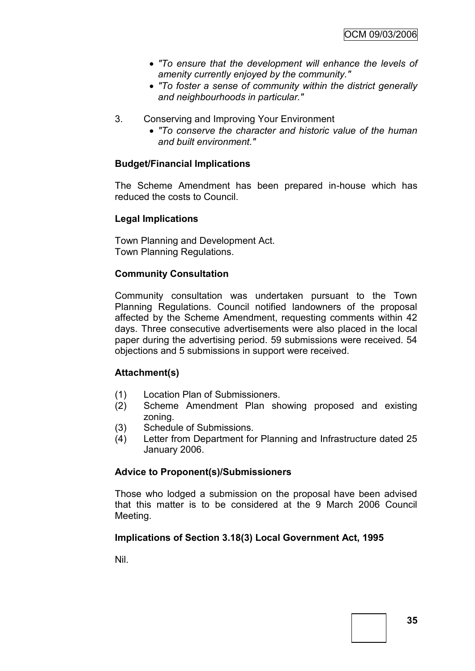- *"To ensure that the development will enhance the levels of amenity currently enjoyed by the community."*
- *"To foster a sense of community within the district generally and neighbourhoods in particular."*
- 3. Conserving and Improving Your Environment
	- *"To conserve the character and historic value of the human and built environment."*

## **Budget/Financial Implications**

The Scheme Amendment has been prepared in-house which has reduced the costs to Council.

### **Legal Implications**

Town Planning and Development Act. Town Planning Regulations.

## **Community Consultation**

Community consultation was undertaken pursuant to the Town Planning Regulations. Council notified landowners of the proposal affected by the Scheme Amendment, requesting comments within 42 days. Three consecutive advertisements were also placed in the local paper during the advertising period. 59 submissions were received. 54 objections and 5 submissions in support were received.

### **Attachment(s)**

- (1) Location Plan of Submissioners.
- (2) Scheme Amendment Plan showing proposed and existing zoning.
- (3) Schedule of Submissions.
- (4) Letter from Department for Planning and Infrastructure dated 25 January 2006.

# **Advice to Proponent(s)/Submissioners**

Those who lodged a submission on the proposal have been advised that this matter is to be considered at the 9 March 2006 Council Meeting.

# **Implications of Section 3.18(3) Local Government Act, 1995**

Nil.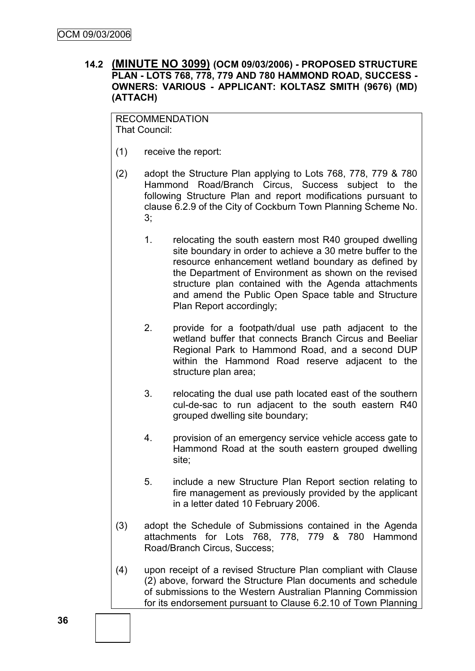## **14.2 (MINUTE NO 3099) (OCM 09/03/2006) - PROPOSED STRUCTURE PLAN - LOTS 768, 778, 779 AND 780 HAMMOND ROAD, SUCCESS - OWNERS: VARIOUS - APPLICANT: KOLTASZ SMITH (9676) (MD) (ATTACH)**

RECOMMENDATION That Council:

- (1) receive the report:
- (2) adopt the Structure Plan applying to Lots 768, 778, 779 & 780 Hammond Road/Branch Circus, Success subject to the following Structure Plan and report modifications pursuant to clause 6.2.9 of the City of Cockburn Town Planning Scheme No. 3;
	- 1. relocating the south eastern most R40 grouped dwelling site boundary in order to achieve a 30 metre buffer to the resource enhancement wetland boundary as defined by the Department of Environment as shown on the revised structure plan contained with the Agenda attachments and amend the Public Open Space table and Structure Plan Report accordingly;
	- 2. provide for a footpath/dual use path adjacent to the wetland buffer that connects Branch Circus and Beeliar Regional Park to Hammond Road, and a second DUP within the Hammond Road reserve adjacent to the structure plan area;
	- 3. relocating the dual use path located east of the southern cul-de-sac to run adjacent to the south eastern R40 grouped dwelling site boundary;
	- 4. provision of an emergency service vehicle access gate to Hammond Road at the south eastern grouped dwelling site;
	- 5. include a new Structure Plan Report section relating to fire management as previously provided by the applicant in a letter dated 10 February 2006.
- (3) adopt the Schedule of Submissions contained in the Agenda attachments for Lots 768, 778, 779 & 780 Hammond Road/Branch Circus, Success;
- (4) upon receipt of a revised Structure Plan compliant with Clause (2) above, forward the Structure Plan documents and schedule of submissions to the Western Australian Planning Commission for its endorsement pursuant to Clause 6.2.10 of Town Planning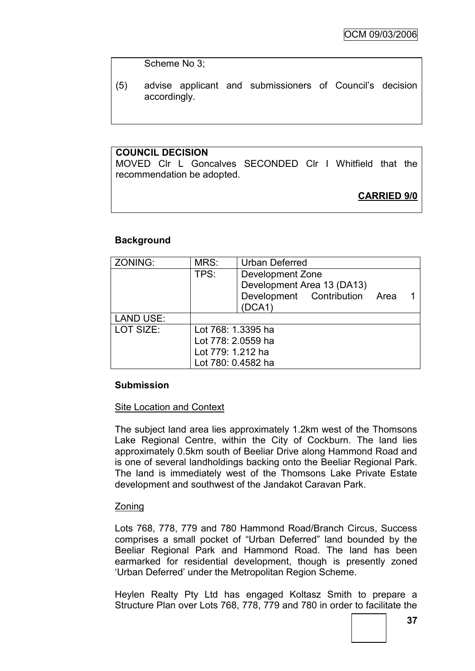Scheme No 3;

(5) advise applicant and submissioners of Council"s decision accordingly.

# **COUNCIL DECISION**

MOVED Clr L Goncalves SECONDED Clr I Whitfield that the recommendation be adopted.

# **CARRIED 9/0**

## **Background**

| ZONING:          | MRS:               | <b>Urban Deferred</b>         |  |  |
|------------------|--------------------|-------------------------------|--|--|
|                  | TPS:               | Development Zone              |  |  |
|                  |                    | Development Area 13 (DA13)    |  |  |
|                  |                    | Development Contribution Area |  |  |
|                  |                    | (DCA1)                        |  |  |
| <b>LAND USE:</b> |                    |                               |  |  |
| LOT SIZE:        | Lot 768: 1.3395 ha |                               |  |  |
|                  | Lot 778: 2.0559 ha |                               |  |  |
|                  | Lot 779: 1.212 ha  |                               |  |  |
|                  | Lot 780: 0.4582 ha |                               |  |  |

### **Submission**

### Site Location and Context

The subject land area lies approximately 1.2km west of the Thomsons Lake Regional Centre, within the City of Cockburn. The land lies approximately 0.5km south of Beeliar Drive along Hammond Road and is one of several landholdings backing onto the Beeliar Regional Park. The land is immediately west of the Thomsons Lake Private Estate development and southwest of the Jandakot Caravan Park.

### **Zoning**

Lots 768, 778, 779 and 780 Hammond Road/Branch Circus, Success comprises a small pocket of "Urban Deferred" land bounded by the Beeliar Regional Park and Hammond Road. The land has been earmarked for residential development, though is presently zoned "Urban Deferred" under the Metropolitan Region Scheme.

Heylen Realty Pty Ltd has engaged Koltasz Smith to prepare a Structure Plan over Lots 768, 778, 779 and 780 in order to facilitate the

**37**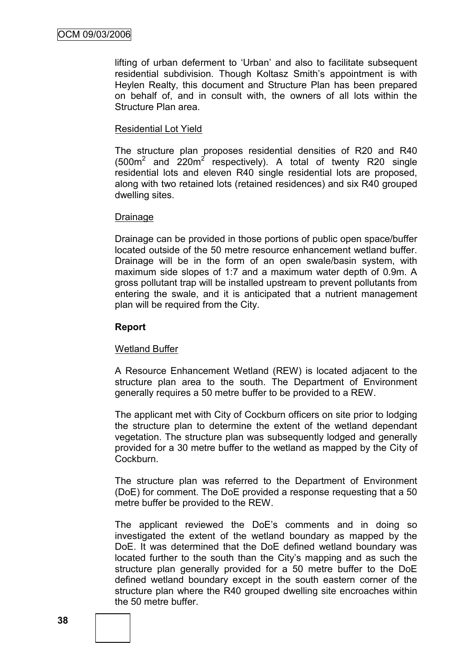lifting of urban deferment to "Urban" and also to facilitate subsequent residential subdivision. Though Koltasz Smith's appointment is with Heylen Realty, this document and Structure Plan has been prepared on behalf of, and in consult with, the owners of all lots within the Structure Plan area.

### Residential Lot Yield

The structure plan proposes residential densities of R20 and R40  $(500m^2$  and  $220m^2$  respectively). A total of twenty R20 single residential lots and eleven R40 single residential lots are proposed, along with two retained lots (retained residences) and six R40 grouped dwelling sites.

#### Drainage

Drainage can be provided in those portions of public open space/buffer located outside of the 50 metre resource enhancement wetland buffer. Drainage will be in the form of an open swale/basin system, with maximum side slopes of 1:7 and a maximum water depth of 0.9m. A gross pollutant trap will be installed upstream to prevent pollutants from entering the swale, and it is anticipated that a nutrient management plan will be required from the City.

### **Report**

### Wetland Buffer

A Resource Enhancement Wetland (REW) is located adjacent to the structure plan area to the south. The Department of Environment generally requires a 50 metre buffer to be provided to a REW.

The applicant met with City of Cockburn officers on site prior to lodging the structure plan to determine the extent of the wetland dependant vegetation. The structure plan was subsequently lodged and generally provided for a 30 metre buffer to the wetland as mapped by the City of Cockburn.

The structure plan was referred to the Department of Environment (DoE) for comment. The DoE provided a response requesting that a 50 metre buffer be provided to the REW.

The applicant reviewed the DoE"s comments and in doing so investigated the extent of the wetland boundary as mapped by the DoE. It was determined that the DoE defined wetland boundary was located further to the south than the City"s mapping and as such the structure plan generally provided for a 50 metre buffer to the DoE defined wetland boundary except in the south eastern corner of the structure plan where the R40 grouped dwelling site encroaches within the 50 metre buffer.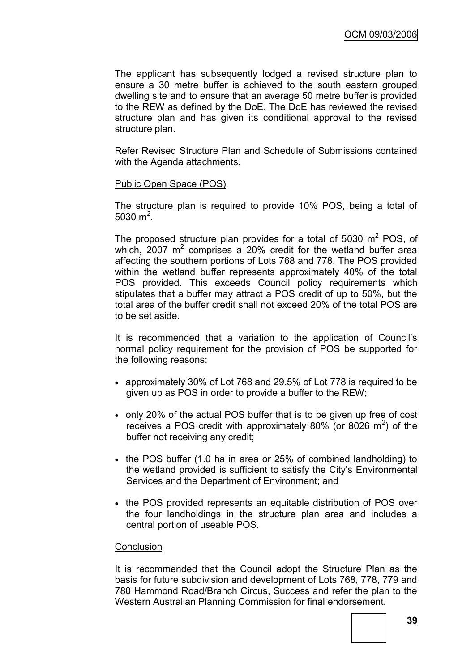The applicant has subsequently lodged a revised structure plan to ensure a 30 metre buffer is achieved to the south eastern grouped dwelling site and to ensure that an average 50 metre buffer is provided to the REW as defined by the DoE. The DoE has reviewed the revised structure plan and has given its conditional approval to the revised structure plan.

Refer Revised Structure Plan and Schedule of Submissions contained with the Agenda attachments.

#### Public Open Space (POS)

The structure plan is required to provide 10% POS, being a total of 5030 $m^2$ .

The proposed structure plan provides for a total of 5030  $m^2$  POS, of which, 2007  $m^2$  comprises a 20% credit for the wetland buffer area affecting the southern portions of Lots 768 and 778. The POS provided within the wetland buffer represents approximately 40% of the total POS provided. This exceeds Council policy requirements which stipulates that a buffer may attract a POS credit of up to 50%, but the total area of the buffer credit shall not exceed 20% of the total POS are to be set aside.

It is recommended that a variation to the application of Council"s normal policy requirement for the provision of POS be supported for the following reasons:

- approximately 30% of Lot 768 and 29.5% of Lot 778 is required to be given up as POS in order to provide a buffer to the REW;
- only 20% of the actual POS buffer that is to be given up free of cost receives a POS credit with approximately 80% (or 8026  $m^2$ ) of the buffer not receiving any credit;
- $\bullet$  the POS buffer (1.0 ha in area or 25% of combined landholding) to the wetland provided is sufficient to satisfy the City"s Environmental Services and the Department of Environment; and
- the POS provided represents an equitable distribution of POS over the four landholdings in the structure plan area and includes a central portion of useable POS.

#### **Conclusion**

It is recommended that the Council adopt the Structure Plan as the basis for future subdivision and development of Lots 768, 778, 779 and 780 Hammond Road/Branch Circus, Success and refer the plan to the Western Australian Planning Commission for final endorsement.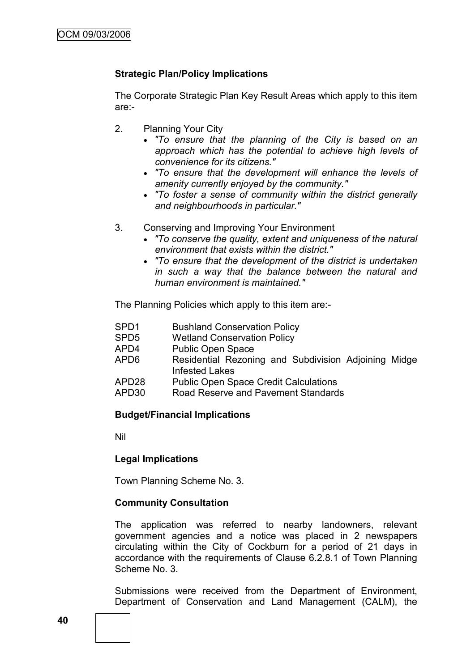## **Strategic Plan/Policy Implications**

The Corporate Strategic Plan Key Result Areas which apply to this item are:-

- 2. Planning Your City
	- *"To ensure that the planning of the City is based on an approach which has the potential to achieve high levels of convenience for its citizens."*
	- *"To ensure that the development will enhance the levels of amenity currently enjoyed by the community."*
	- *"To foster a sense of community within the district generally and neighbourhoods in particular."*
- 3. Conserving and Improving Your Environment
	- *"To conserve the quality, extent and uniqueness of the natural environment that exists within the district."*
	- *"To ensure that the development of the district is undertaken in such a way that the balance between the natural and human environment is maintained."*

The Planning Policies which apply to this item are:-

- SPD1 Bushland Conservation Policy
- SPD5 Wetland Conservation Policy
- APD4 Public Open Space
- APD6 Residential Rezoning and Subdivision Adjoining Midge Infested Lakes
- APD28 Public Open Space Credit Calculations
- APD30 Road Reserve and Pavement Standards

### **Budget/Financial Implications**

Nil

#### **Legal Implications**

Town Planning Scheme No. 3.

#### **Community Consultation**

The application was referred to nearby landowners, relevant government agencies and a notice was placed in 2 newspapers circulating within the City of Cockburn for a period of 21 days in accordance with the requirements of Clause 6.2.8.1 of Town Planning Scheme No. 3.

Submissions were received from the Department of Environment, Department of Conservation and Land Management (CALM), the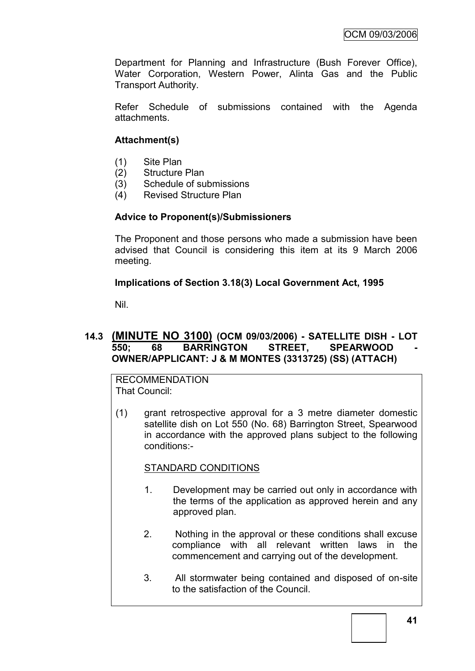Department for Planning and Infrastructure (Bush Forever Office), Water Corporation, Western Power, Alinta Gas and the Public Transport Authority.

Refer Schedule of submissions contained with the Agenda attachments.

# **Attachment(s)**

- (1) Site Plan
- (2) Structure Plan
- (3) Schedule of submissions
- (4) Revised Structure Plan

## **Advice to Proponent(s)/Submissioners**

The Proponent and those persons who made a submission have been advised that Council is considering this item at its 9 March 2006 meeting.

## **Implications of Section 3.18(3) Local Government Act, 1995**

Nil.

## **14.3 (MINUTE NO 3100) (OCM 09/03/2006) - SATELLITE DISH - LOT**  550; 68 BARRINGTON STREET, SPEARWOOD **OWNER/APPLICANT: J & M MONTES (3313725) (SS) (ATTACH)**

RECOMMENDATION That Council:

(1) grant retrospective approval for a 3 metre diameter domestic satellite dish on Lot 550 (No. 68) Barrington Street, Spearwood in accordance with the approved plans subject to the following conditions:-

# STANDARD CONDITIONS

- 1. Development may be carried out only in accordance with the terms of the application as approved herein and any approved plan.
- 2. Nothing in the approval or these conditions shall excuse compliance with all relevant written laws in the commencement and carrying out of the development.
- 3. All stormwater being contained and disposed of on-site to the satisfaction of the Council.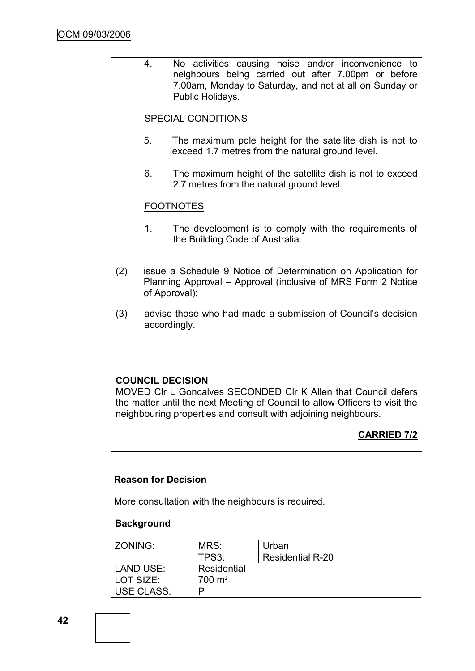4. No activities causing noise and/or inconvenience to neighbours being carried out after 7.00pm or before 7.00am, Monday to Saturday, and not at all on Sunday or Public Holidays.

## SPECIAL CONDITIONS

- 5. The maximum pole height for the satellite dish is not to exceed 1.7 metres from the natural ground level.
- 6. The maximum height of the satellite dish is not to exceed 2.7 metres from the natural ground level.

## FOOTNOTES

- 1. The development is to comply with the requirements of the Building Code of Australia.
- (2) issue a Schedule 9 Notice of Determination on Application for Planning Approval – Approval (inclusive of MRS Form 2 Notice of Approval);
- (3) advise those who had made a submission of Council"s decision accordingly.

## **COUNCIL DECISION**

MOVED Clr L Goncalves SECONDED Clr K Allen that Council defers the matter until the next Meeting of Council to allow Officers to visit the neighbouring properties and consult with adjoining neighbours.

# **CARRIED 7/2**

### **Reason for Decision**

More consultation with the neighbours is required.

#### **Background**

| ZONING:    | MRS:                | Urban                   |
|------------|---------------------|-------------------------|
|            | TPS3:               | <b>Residential R-20</b> |
| LAND USE:  | Residential         |                         |
| LOT SIZE:  | $700 \; \text{m}^2$ |                         |
| USE CLASS: | ם                   |                         |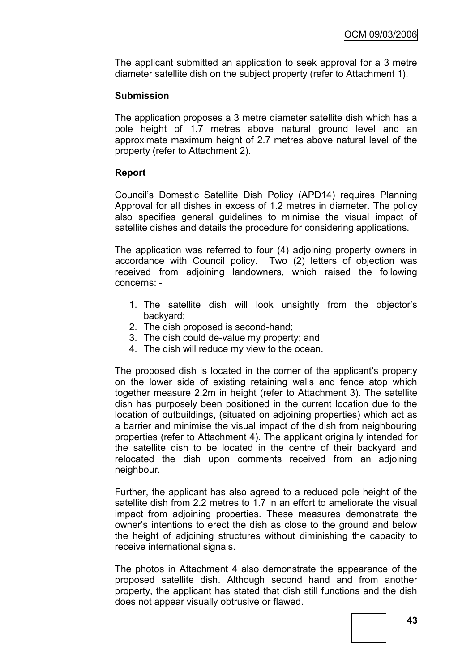The applicant submitted an application to seek approval for a 3 metre diameter satellite dish on the subject property (refer to Attachment 1).

## **Submission**

The application proposes a 3 metre diameter satellite dish which has a pole height of 1.7 metres above natural ground level and an approximate maximum height of 2.7 metres above natural level of the property (refer to Attachment 2).

## **Report**

Council"s Domestic Satellite Dish Policy (APD14) requires Planning Approval for all dishes in excess of 1.2 metres in diameter. The policy also specifies general guidelines to minimise the visual impact of satellite dishes and details the procedure for considering applications.

The application was referred to four (4) adjoining property owners in accordance with Council policy. Two (2) letters of objection was received from adjoining landowners, which raised the following concerns: -

- 1. The satellite dish will look unsightly from the objector"s backyard;
- 2. The dish proposed is second-hand;
- 3. The dish could de-value my property; and
- 4. The dish will reduce my view to the ocean.

The proposed dish is located in the corner of the applicant's property on the lower side of existing retaining walls and fence atop which together measure 2.2m in height (refer to Attachment 3). The satellite dish has purposely been positioned in the current location due to the location of outbuildings, (situated on adjoining properties) which act as a barrier and minimise the visual impact of the dish from neighbouring properties (refer to Attachment 4). The applicant originally intended for the satellite dish to be located in the centre of their backyard and relocated the dish upon comments received from an adjoining neighbour.

Further, the applicant has also agreed to a reduced pole height of the satellite dish from 2.2 metres to 1.7 in an effort to ameliorate the visual impact from adjoining properties. These measures demonstrate the owner"s intentions to erect the dish as close to the ground and below the height of adjoining structures without diminishing the capacity to receive international signals.

The photos in Attachment 4 also demonstrate the appearance of the proposed satellite dish. Although second hand and from another property, the applicant has stated that dish still functions and the dish does not appear visually obtrusive or flawed.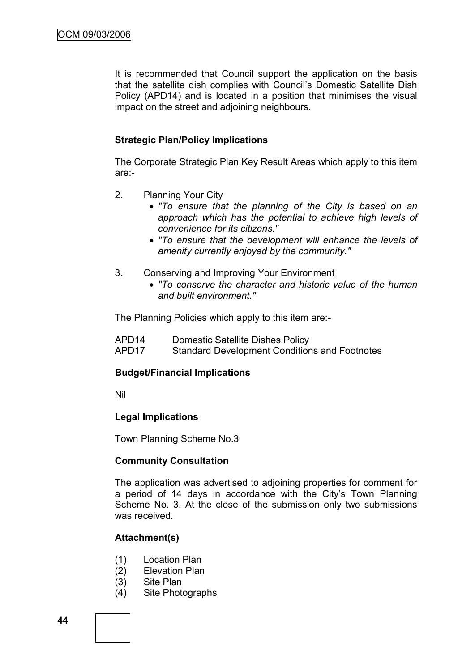It is recommended that Council support the application on the basis that the satellite dish complies with Council"s Domestic Satellite Dish Policy (APD14) and is located in a position that minimises the visual impact on the street and adjoining neighbours.

## **Strategic Plan/Policy Implications**

The Corporate Strategic Plan Key Result Areas which apply to this item are:-

- 2. Planning Your City
	- *"To ensure that the planning of the City is based on an approach which has the potential to achieve high levels of convenience for its citizens."*
	- *"To ensure that the development will enhance the levels of amenity currently enjoyed by the community."*
- 3. Conserving and Improving Your Environment
	- *"To conserve the character and historic value of the human and built environment."*

The Planning Policies which apply to this item are:-

- APD14 Domestic Satellite Dishes Policy
- APD17 Standard Development Conditions and Footnotes

### **Budget/Financial Implications**

Nil

### **Legal Implications**

Town Planning Scheme No.3

### **Community Consultation**

The application was advertised to adjoining properties for comment for a period of 14 days in accordance with the City"s Town Planning Scheme No. 3. At the close of the submission only two submissions was received.

### **Attachment(s)**

- (1) Location Plan
- (2) Elevation Plan
- (3) Site Plan
- (4) Site Photographs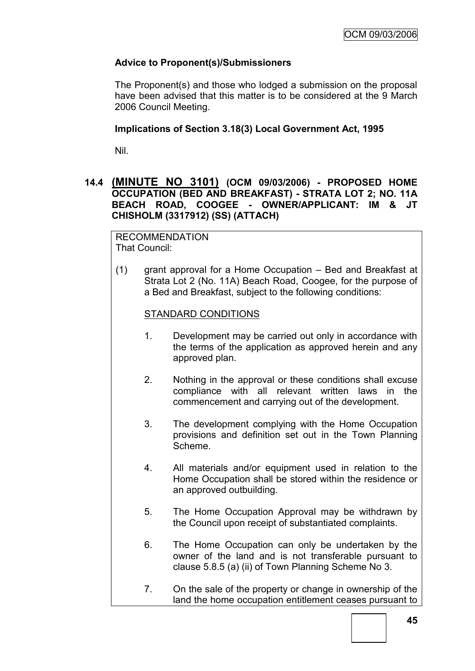# **Advice to Proponent(s)/Submissioners**

The Proponent(s) and those who lodged a submission on the proposal have been advised that this matter is to be considered at the 9 March 2006 Council Meeting.

#### **Implications of Section 3.18(3) Local Government Act, 1995**

Nil.

## **14.4 (MINUTE NO 3101) (OCM 09/03/2006) - PROPOSED HOME OCCUPATION (BED AND BREAKFAST) - STRATA LOT 2; NO. 11A BEACH ROAD, COOGEE - OWNER/APPLICANT: IM & JT CHISHOLM (3317912) (SS) (ATTACH)**

RECOMMENDATION That Council:

(1) grant approval for a Home Occupation – Bed and Breakfast at Strata Lot 2 (No. 11A) Beach Road, Coogee, for the purpose of a Bed and Breakfast, subject to the following conditions:

#### STANDARD CONDITIONS

- 1. Development may be carried out only in accordance with the terms of the application as approved herein and any approved plan.
- 2. Nothing in the approval or these conditions shall excuse compliance with all relevant written laws in the commencement and carrying out of the development.
- 3. The development complying with the Home Occupation provisions and definition set out in the Town Planning Scheme.
- 4. All materials and/or equipment used in relation to the Home Occupation shall be stored within the residence or an approved outbuilding.
- 5. The Home Occupation Approval may be withdrawn by the Council upon receipt of substantiated complaints.
- 6. The Home Occupation can only be undertaken by the owner of the land and is not transferable pursuant to clause 5.8.5 (a) (ii) of Town Planning Scheme No 3.
- 7. On the sale of the property or change in ownership of the land the home occupation entitlement ceases pursuant to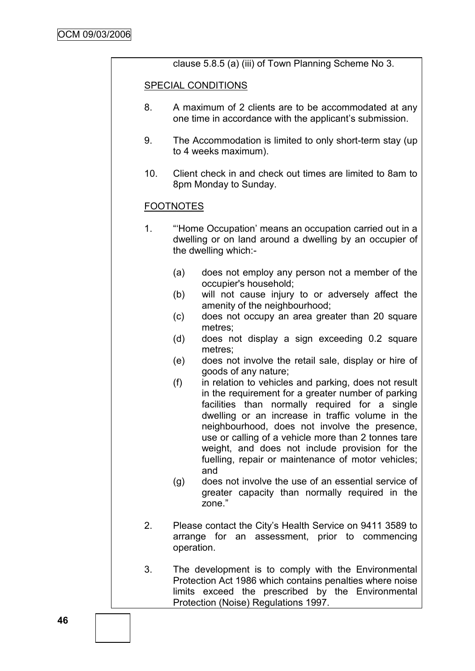clause 5.8.5 (a) (iii) of Town Planning Scheme No 3.

#### SPECIAL CONDITIONS

- 8. A maximum of 2 clients are to be accommodated at any one time in accordance with the applicant"s submission.
- 9. The Accommodation is limited to only short-term stay (up to 4 weeks maximum).
- 10. Client check in and check out times are limited to 8am to 8pm Monday to Sunday.

## FOOTNOTES

- 1. ""Home Occupation" means an occupation carried out in a dwelling or on land around a dwelling by an occupier of the dwelling which:-
	- (a) does not employ any person not a member of the occupier's household;
	- (b) will not cause injury to or adversely affect the amenity of the neighbourhood;
	- (c) does not occupy an area greater than 20 square metres;
	- (d) does not display a sign exceeding 0.2 square metres;
	- (e) does not involve the retail sale, display or hire of goods of any nature;
	- (f) in relation to vehicles and parking, does not result in the requirement for a greater number of parking facilities than normally required for a single dwelling or an increase in traffic volume in the neighbourhood, does not involve the presence, use or calling of a vehicle more than 2 tonnes tare weight, and does not include provision for the fuelling, repair or maintenance of motor vehicles; and
	- (g) does not involve the use of an essential service of greater capacity than normally required in the zone."
- 2. Please contact the City"s Health Service on 9411 3589 to arrange for an assessment, prior to commencing operation.
- 3. The development is to comply with the Environmental Protection Act 1986 which contains penalties where noise limits exceed the prescribed by the Environmental Protection (Noise) Regulations 1997.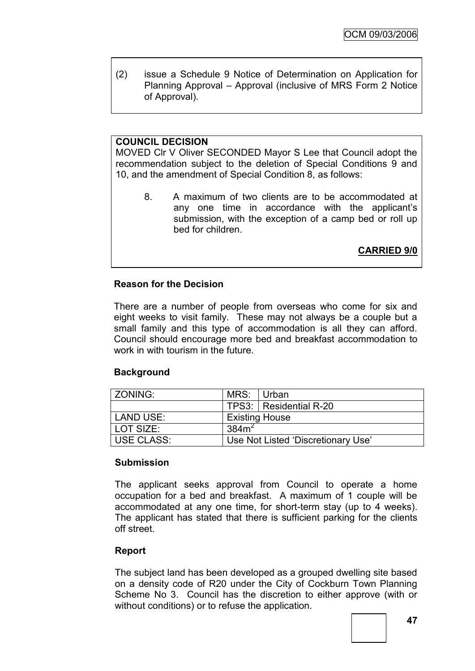(2) issue a Schedule 9 Notice of Determination on Application for Planning Approval – Approval (inclusive of MRS Form 2 Notice of Approval).

# **COUNCIL DECISION**

MOVED Clr V Oliver SECONDED Mayor S Lee that Council adopt the recommendation subject to the deletion of Special Conditions 9 and 10, and the amendment of Special Condition 8, as follows:

8. A maximum of two clients are to be accommodated at any one time in accordance with the applicant"s submission, with the exception of a camp bed or roll up bed for children.

**CARRIED 9/0**

### **Reason for the Decision**

There are a number of people from overseas who come for six and eight weeks to visit family. These may not always be a couple but a small family and this type of accommodation is all they can afford. Council should encourage more bed and breakfast accommodation to work in with tourism in the future.

### **Background**

| l ZONING:  | MRS: Urban            |                                    |
|------------|-----------------------|------------------------------------|
|            |                       | TPS3:   Residential R-20           |
| LAND USE:  | <b>Existing House</b> |                                    |
| LOT SIZE:  | 384m <sup>2</sup>     |                                    |
| USE CLASS: |                       | Use Not Listed 'Discretionary Use' |

### **Submission**

The applicant seeks approval from Council to operate a home occupation for a bed and breakfast. A maximum of 1 couple will be accommodated at any one time, for short-term stay (up to 4 weeks). The applicant has stated that there is sufficient parking for the clients off street.

# **Report**

The subject land has been developed as a grouped dwelling site based on a density code of R20 under the City of Cockburn Town Planning Scheme No 3. Council has the discretion to either approve (with or without conditions) or to refuse the application.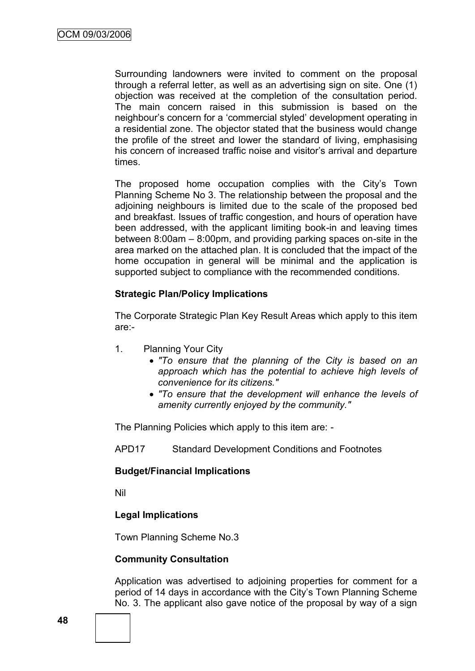Surrounding landowners were invited to comment on the proposal through a referral letter, as well as an advertising sign on site. One (1) objection was received at the completion of the consultation period. The main concern raised in this submission is based on the neighbour"s concern for a "commercial styled" development operating in a residential zone. The objector stated that the business would change the profile of the street and lower the standard of living, emphasising his concern of increased traffic noise and visitor's arrival and departure times.

The proposed home occupation complies with the City's Town Planning Scheme No 3. The relationship between the proposal and the adjoining neighbours is limited due to the scale of the proposed bed and breakfast. Issues of traffic congestion, and hours of operation have been addressed, with the applicant limiting book-in and leaving times between 8:00am – 8:00pm, and providing parking spaces on-site in the area marked on the attached plan. It is concluded that the impact of the home occupation in general will be minimal and the application is supported subject to compliance with the recommended conditions.

## **Strategic Plan/Policy Implications**

The Corporate Strategic Plan Key Result Areas which apply to this item are:-

- 1. Planning Your City
	- *"To ensure that the planning of the City is based on an approach which has the potential to achieve high levels of convenience for its citizens."*
	- *"To ensure that the development will enhance the levels of amenity currently enjoyed by the community."*

The Planning Policies which apply to this item are: -

APD17 Standard Development Conditions and Footnotes

### **Budget/Financial Implications**

Nil

# **Legal Implications**

Town Planning Scheme No.3

### **Community Consultation**

Application was advertised to adjoining properties for comment for a period of 14 days in accordance with the City"s Town Planning Scheme No. 3. The applicant also gave notice of the proposal by way of a sign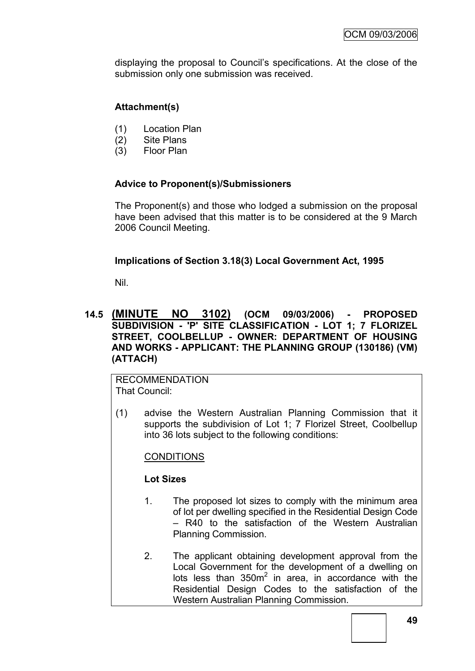displaying the proposal to Council"s specifications. At the close of the submission only one submission was received.

## **Attachment(s)**

- (1) Location Plan
- (2) Site Plans
- (3) Floor Plan

## **Advice to Proponent(s)/Submissioners**

The Proponent(s) and those who lodged a submission on the proposal have been advised that this matter is to be considered at the 9 March 2006 Council Meeting.

## **Implications of Section 3.18(3) Local Government Act, 1995**

Nil.

## **14.5 (MINUTE NO 3102) (OCM 09/03/2006) - PROPOSED SUBDIVISION - 'P' SITE CLASSIFICATION - LOT 1; 7 FLORIZEL STREET, COOLBELLUP - OWNER: DEPARTMENT OF HOUSING AND WORKS - APPLICANT: THE PLANNING GROUP (130186) (VM) (ATTACH)**

RECOMMENDATION That Council:

(1) advise the Western Australian Planning Commission that it supports the subdivision of Lot 1; 7 Florizel Street, Coolbellup into 36 lots subject to the following conditions:

### **CONDITIONS**

### **Lot Sizes**

- 1. The proposed lot sizes to comply with the minimum area of lot per dwelling specified in the Residential Design Code – R40 to the satisfaction of the Western Australian Planning Commission.
- 2. The applicant obtaining development approval from the Local Government for the development of a dwelling on lots less than  $350m^2$  in area, in accordance with the Residential Design Codes to the satisfaction of the Western Australian Planning Commission.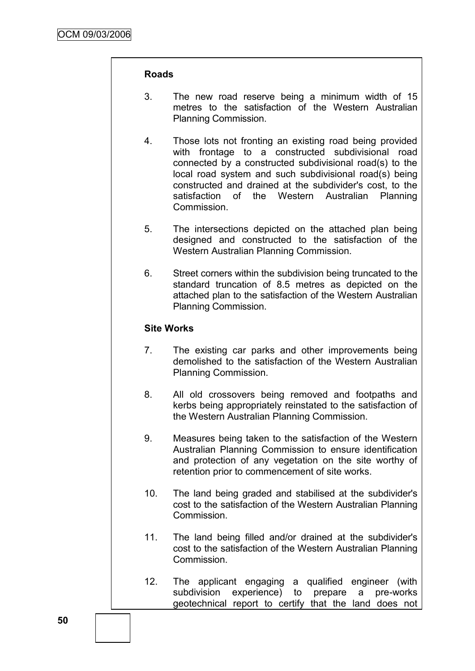#### **Roads**

- 3. The new road reserve being a minimum width of 15 metres to the satisfaction of the Western Australian Planning Commission.
- 4. Those lots not fronting an existing road being provided with frontage to a constructed subdivisional road connected by a constructed subdivisional road(s) to the local road system and such subdivisional road(s) being constructed and drained at the subdivider's cost, to the satisfaction of the Western Australian Planning **Commission**
- 5. The intersections depicted on the attached plan being designed and constructed to the satisfaction of the Western Australian Planning Commission.
- 6. Street corners within the subdivision being truncated to the standard truncation of 8.5 metres as depicted on the attached plan to the satisfaction of the Western Australian Planning Commission.

### **Site Works**

- 7. The existing car parks and other improvements being demolished to the satisfaction of the Western Australian Planning Commission.
- 8. All old crossovers being removed and footpaths and kerbs being appropriately reinstated to the satisfaction of the Western Australian Planning Commission.
- 9. Measures being taken to the satisfaction of the Western Australian Planning Commission to ensure identification and protection of any vegetation on the site worthy of retention prior to commencement of site works.
- 10. The land being graded and stabilised at the subdivider's cost to the satisfaction of the Western Australian Planning Commission.
- 11. The land being filled and/or drained at the subdivider's cost to the satisfaction of the Western Australian Planning Commission.
- 12. The applicant engaging a qualified engineer (with subdivision experience) to prepare a pre-works geotechnical report to certify that the land does not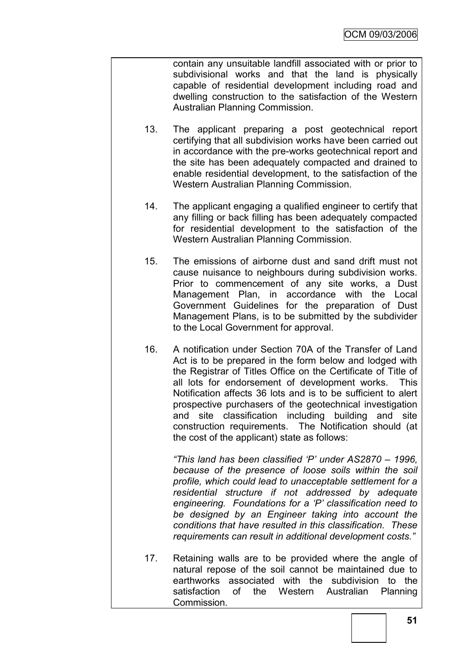contain any unsuitable landfill associated with or prior to subdivisional works and that the land is physically capable of residential development including road and dwelling construction to the satisfaction of the Western Australian Planning Commission.

- 13. The applicant preparing a post geotechnical report certifying that all subdivision works have been carried out in accordance with the pre-works geotechnical report and the site has been adequately compacted and drained to enable residential development, to the satisfaction of the Western Australian Planning Commission.
- 14. The applicant engaging a qualified engineer to certify that any filling or back filling has been adequately compacted for residential development to the satisfaction of the Western Australian Planning Commission.
- 15. The emissions of airborne dust and sand drift must not cause nuisance to neighbours during subdivision works. Prior to commencement of any site works, a Dust Management Plan, in accordance with the Local Government Guidelines for the preparation of Dust Management Plans, is to be submitted by the subdivider to the Local Government for approval.
- 16. A notification under Section 70A of the Transfer of Land Act is to be prepared in the form below and lodged with the Registrar of Titles Office on the Certificate of Title of all lots for endorsement of development works. This Notification affects 36 lots and is to be sufficient to alert prospective purchasers of the geotechnical investigation and site classification including building and site construction requirements. The Notification should (at the cost of the applicant) state as follows:

*"This land has been classified "P" under AS2870 – 1996, because of the presence of loose soils within the soil profile, which could lead to unacceptable settlement for a residential structure if not addressed by adequate engineering. Foundations for a "P" classification need to be designed by an Engineer taking into account the conditions that have resulted in this classification. These requirements can result in additional development costs."*

17. Retaining walls are to be provided where the angle of natural repose of the soil cannot be maintained due to earthworks associated with the subdivision to the satisfaction of the Western Australian Planning Commission.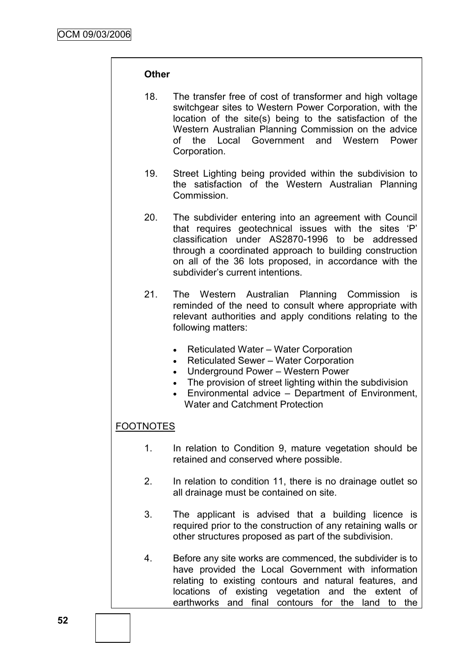#### **Other**

- 18. The transfer free of cost of transformer and high voltage switchgear sites to Western Power Corporation, with the location of the site(s) being to the satisfaction of the Western Australian Planning Commission on the advice of the Local Government and Western Power Corporation.
- 19. Street Lighting being provided within the subdivision to the satisfaction of the Western Australian Planning Commission.
- 20. The subdivider entering into an agreement with Council that requires geotechnical issues with the sites "P" classification under AS2870-1996 to be addressed through a coordinated approach to building construction on all of the 36 lots proposed, in accordance with the subdivider"s current intentions.
- 21. The Western Australian Planning Commission is reminded of the need to consult where appropriate with relevant authorities and apply conditions relating to the following matters:
	- Reticulated Water Water Corporation
	- Reticulated Sewer Water Corporation
	- Underground Power Western Power
	- The provision of street lighting within the subdivision
	- Environmental advice Department of Environment, Water and Catchment Protection

# FOOTNOTES

- 1. In relation to Condition 9, mature vegetation should be retained and conserved where possible.
- 2. In relation to condition 11, there is no drainage outlet so all drainage must be contained on site.
- 3. The applicant is advised that a building licence is required prior to the construction of any retaining walls or other structures proposed as part of the subdivision.
- 4. Before any site works are commenced, the subdivider is to have provided the Local Government with information relating to existing contours and natural features, and locations of existing vegetation and the extent of earthworks and final contours for the land to the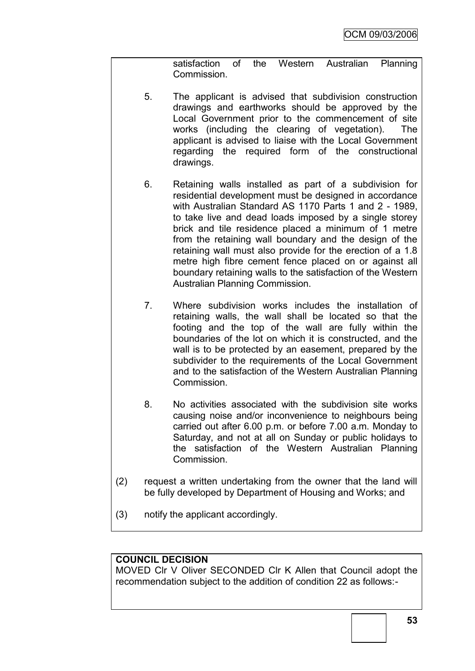satisfaction of the Western Australian Planning Commission.

- 5. The applicant is advised that subdivision construction drawings and earthworks should be approved by the Local Government prior to the commencement of site works (including the clearing of vegetation). The applicant is advised to liaise with the Local Government regarding the required form of the constructional drawings.
- 6. Retaining walls installed as part of a subdivision for residential development must be designed in accordance with Australian Standard AS 1170 Parts 1 and 2 - 1989, to take live and dead loads imposed by a single storey brick and tile residence placed a minimum of 1 metre from the retaining wall boundary and the design of the retaining wall must also provide for the erection of a 1.8 metre high fibre cement fence placed on or against all boundary retaining walls to the satisfaction of the Western Australian Planning Commission.
- 7. Where subdivision works includes the installation of retaining walls, the wall shall be located so that the footing and the top of the wall are fully within the boundaries of the lot on which it is constructed, and the wall is to be protected by an easement, prepared by the subdivider to the requirements of the Local Government and to the satisfaction of the Western Australian Planning Commission.
- 8. No activities associated with the subdivision site works causing noise and/or inconvenience to neighbours being carried out after 6.00 p.m. or before 7.00 a.m. Monday to Saturday, and not at all on Sunday or public holidays to the satisfaction of the Western Australian Planning Commission.
- (2) request a written undertaking from the owner that the land will be fully developed by Department of Housing and Works; and
- (3) notify the applicant accordingly.

# **COUNCIL DECISION**

MOVED Clr V Oliver SECONDED Clr K Allen that Council adopt the recommendation subject to the addition of condition 22 as follows:-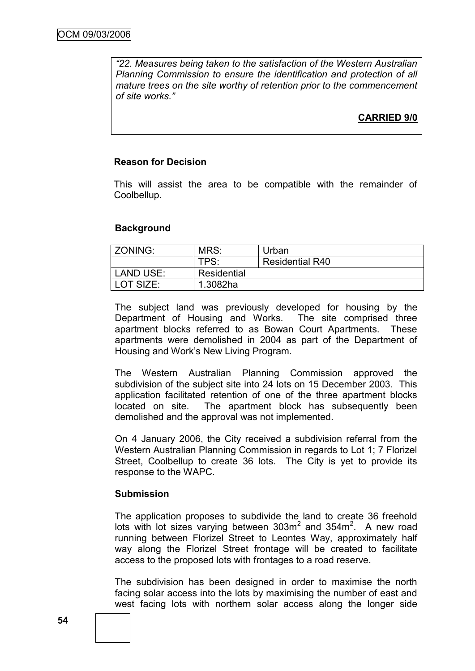*"22. Measures being taken to the satisfaction of the Western Australian Planning Commission to ensure the identification and protection of all mature trees on the site worthy of retention prior to the commencement of site works."*

**CARRIED 9/0**

## **Reason for Decision**

This will assist the area to be compatible with the remainder of Coolbellup.

### **Background**

| ZONING:   | MRS:        | Urban                  |
|-----------|-------------|------------------------|
|           | TPS:        | <b>Residential R40</b> |
| LAND USE: | Residential |                        |
| LOT SIZE: | 1.3082ha    |                        |

The subject land was previously developed for housing by the Department of Housing and Works. The site comprised three apartment blocks referred to as Bowan Court Apartments. These apartments were demolished in 2004 as part of the Department of Housing and Work"s New Living Program.

The Western Australian Planning Commission approved the subdivision of the subject site into 24 lots on 15 December 2003. This application facilitated retention of one of the three apartment blocks located on site. The apartment block has subsequently been demolished and the approval was not implemented.

On 4 January 2006, the City received a subdivision referral from the Western Australian Planning Commission in regards to Lot 1; 7 Florizel Street, Coolbellup to create 36 lots. The City is yet to provide its response to the WAPC.

### **Submission**

The application proposes to subdivide the land to create 36 freehold lots with lot sizes varying between  $303m^2$  and  $354m^2$ . A new road running between Florizel Street to Leontes Way, approximately half way along the Florizel Street frontage will be created to facilitate access to the proposed lots with frontages to a road reserve.

The subdivision has been designed in order to maximise the north facing solar access into the lots by maximising the number of east and west facing lots with northern solar access along the longer side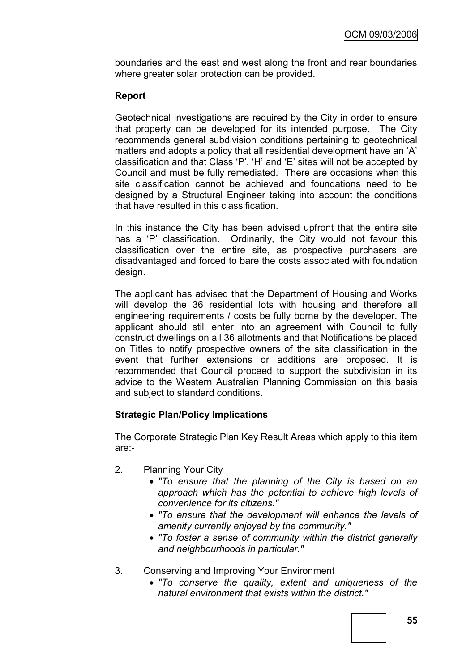boundaries and the east and west along the front and rear boundaries where greater solar protection can be provided.

# **Report**

Geotechnical investigations are required by the City in order to ensure that property can be developed for its intended purpose. The City recommends general subdivision conditions pertaining to geotechnical matters and adopts a policy that all residential development have an 'A' classification and that Class "P", "H" and "E" sites will not be accepted by Council and must be fully remediated. There are occasions when this site classification cannot be achieved and foundations need to be designed by a Structural Engineer taking into account the conditions that have resulted in this classification.

In this instance the City has been advised upfront that the entire site has a 'P' classification. Ordinarily, the City would not favour this classification over the entire site, as prospective purchasers are disadvantaged and forced to bare the costs associated with foundation design.

The applicant has advised that the Department of Housing and Works will develop the 36 residential lots with housing and therefore all engineering requirements / costs be fully borne by the developer. The applicant should still enter into an agreement with Council to fully construct dwellings on all 36 allotments and that Notifications be placed on Titles to notify prospective owners of the site classification in the event that further extensions or additions are proposed. It is recommended that Council proceed to support the subdivision in its advice to the Western Australian Planning Commission on this basis and subject to standard conditions.

# **Strategic Plan/Policy Implications**

The Corporate Strategic Plan Key Result Areas which apply to this item are:-

- 2. Planning Your City
	- *"To ensure that the planning of the City is based on an approach which has the potential to achieve high levels of convenience for its citizens."*
	- *"To ensure that the development will enhance the levels of amenity currently enjoyed by the community."*
	- *"To foster a sense of community within the district generally and neighbourhoods in particular."*
- 3. Conserving and Improving Your Environment
	- *"To conserve the quality, extent and uniqueness of the natural environment that exists within the district."*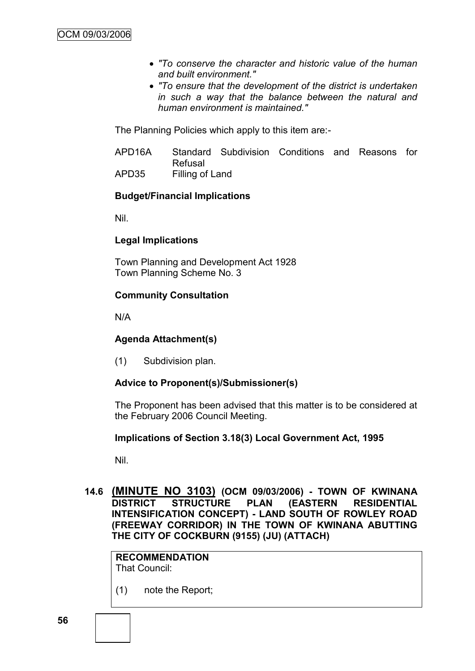- *"To conserve the character and historic value of the human and built environment."*
- *"To ensure that the development of the district is undertaken in such a way that the balance between the natural and human environment is maintained."*

The Planning Policies which apply to this item are:-

APD16A Standard Subdivision Conditions and Reasons for Refusal APD35 Filling of Land

### **Budget/Financial Implications**

Nil.

### **Legal Implications**

Town Planning and Development Act 1928 Town Planning Scheme No. 3

### **Community Consultation**

N/A

# **Agenda Attachment(s)**

(1) Subdivision plan.

# **Advice to Proponent(s)/Submissioner(s)**

The Proponent has been advised that this matter is to be considered at the February 2006 Council Meeting.

### **Implications of Section 3.18(3) Local Government Act, 1995**

Nil.

**14.6 (MINUTE NO 3103) (OCM 09/03/2006) - TOWN OF KWINANA DISTRICT STRUCTURE PLAN (EASTERN RESIDENTIAL INTENSIFICATION CONCEPT) - LAND SOUTH OF ROWLEY ROAD (FREEWAY CORRIDOR) IN THE TOWN OF KWINANA ABUTTING THE CITY OF COCKBURN (9155) (JU) (ATTACH)**

**RECOMMENDATION** That Council:

(1) note the Report;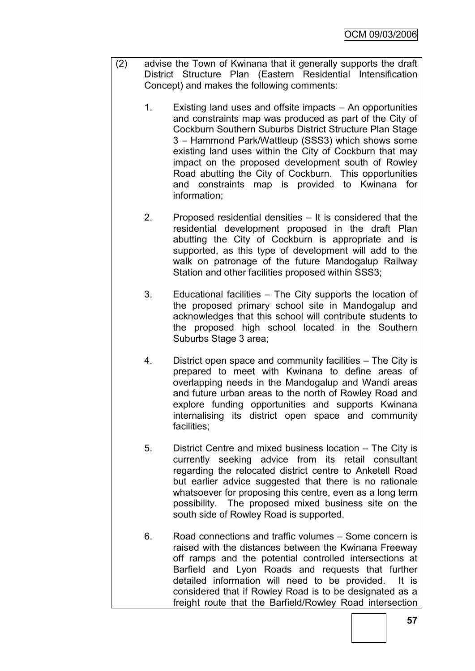- (2) advise the Town of Kwinana that it generally supports the draft District Structure Plan (Eastern Residential Intensification Concept) and makes the following comments:
	- 1. Existing land uses and offsite impacts An opportunities and constraints map was produced as part of the City of Cockburn Southern Suburbs District Structure Plan Stage 3 – Hammond Park/Wattleup (SSS3) which shows some existing land uses within the City of Cockburn that may impact on the proposed development south of Rowley Road abutting the City of Cockburn. This opportunities and constraints map is provided to Kwinana for information;
	- 2. Proposed residential densities It is considered that the residential development proposed in the draft Plan abutting the City of Cockburn is appropriate and is supported, as this type of development will add to the walk on patronage of the future Mandogalup Railway Station and other facilities proposed within SSS3;
	- 3. Educational facilities The City supports the location of the proposed primary school site in Mandogalup and acknowledges that this school will contribute students to the proposed high school located in the Southern Suburbs Stage 3 area;
	- 4. District open space and community facilities The City is prepared to meet with Kwinana to define areas of overlapping needs in the Mandogalup and Wandi areas and future urban areas to the north of Rowley Road and explore funding opportunities and supports Kwinana internalising its district open space and community facilities;
	- 5. District Centre and mixed business location The City is currently seeking advice from its retail consultant regarding the relocated district centre to Anketell Road but earlier advice suggested that there is no rationale whatsoever for proposing this centre, even as a long term possibility. The proposed mixed business site on the south side of Rowley Road is supported.
	- 6. Road connections and traffic volumes Some concern is raised with the distances between the Kwinana Freeway off ramps and the potential controlled intersections at Barfield and Lyon Roads and requests that further detailed information will need to be provided. It is considered that if Rowley Road is to be designated as a freight route that the Barfield/Rowley Road intersection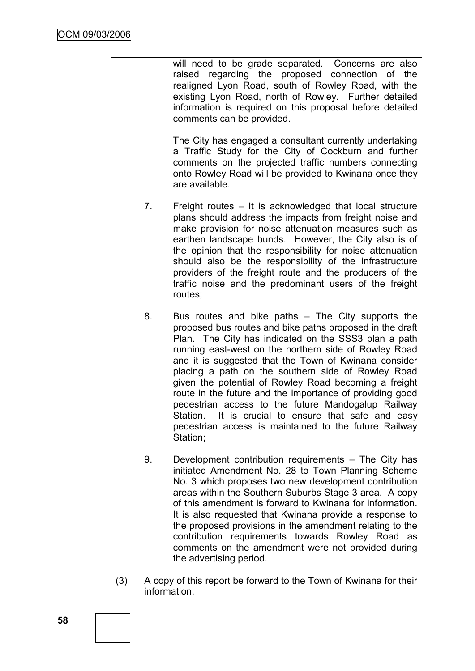will need to be grade separated. Concerns are also raised regarding the proposed connection of the realigned Lyon Road, south of Rowley Road, with the existing Lyon Road, north of Rowley. Further detailed information is required on this proposal before detailed comments can be provided.

The City has engaged a consultant currently undertaking a Traffic Study for the City of Cockburn and further comments on the projected traffic numbers connecting onto Rowley Road will be provided to Kwinana once they are available.

- 7. Freight routes It is acknowledged that local structure plans should address the impacts from freight noise and make provision for noise attenuation measures such as earthen landscape bunds. However, the City also is of the opinion that the responsibility for noise attenuation should also be the responsibility of the infrastructure providers of the freight route and the producers of the traffic noise and the predominant users of the freight routes;
- 8. Bus routes and bike paths The City supports the proposed bus routes and bike paths proposed in the draft Plan. The City has indicated on the SSS3 plan a path running east-west on the northern side of Rowley Road and it is suggested that the Town of Kwinana consider placing a path on the southern side of Rowley Road given the potential of Rowley Road becoming a freight route in the future and the importance of providing good pedestrian access to the future Mandogalup Railway Station. It is crucial to ensure that safe and easy pedestrian access is maintained to the future Railway Station;
- 9. Development contribution requirements The City has initiated Amendment No. 28 to Town Planning Scheme No. 3 which proposes two new development contribution areas within the Southern Suburbs Stage 3 area. A copy of this amendment is forward to Kwinana for information. It is also requested that Kwinana provide a response to the proposed provisions in the amendment relating to the contribution requirements towards Rowley Road as comments on the amendment were not provided during the advertising period.
- (3) A copy of this report be forward to the Town of Kwinana for their information.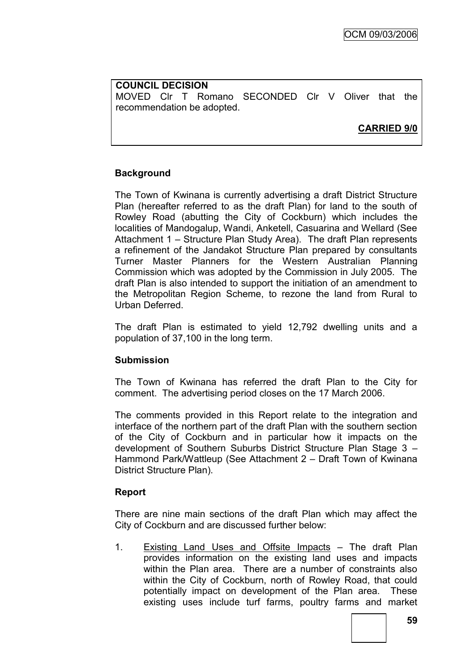**COUNCIL DECISION** MOVED Clr T Romano SECONDED Clr V Oliver that the recommendation be adopted.

**CARRIED 9/0**

# **Background**

The Town of Kwinana is currently advertising a draft District Structure Plan (hereafter referred to as the draft Plan) for land to the south of Rowley Road (abutting the City of Cockburn) which includes the localities of Mandogalup, Wandi, Anketell, Casuarina and Wellard (See Attachment 1 – Structure Plan Study Area). The draft Plan represents a refinement of the Jandakot Structure Plan prepared by consultants Turner Master Planners for the Western Australian Planning Commission which was adopted by the Commission in July 2005. The draft Plan is also intended to support the initiation of an amendment to the Metropolitan Region Scheme, to rezone the land from Rural to Urban Deferred.

The draft Plan is estimated to yield 12,792 dwelling units and a population of 37,100 in the long term.

### **Submission**

The Town of Kwinana has referred the draft Plan to the City for comment. The advertising period closes on the 17 March 2006.

The comments provided in this Report relate to the integration and interface of the northern part of the draft Plan with the southern section of the City of Cockburn and in particular how it impacts on the development of Southern Suburbs District Structure Plan Stage 3 – Hammond Park/Wattleup (See Attachment 2 – Draft Town of Kwinana District Structure Plan).

# **Report**

There are nine main sections of the draft Plan which may affect the City of Cockburn and are discussed further below:

1. Existing Land Uses and Offsite Impacts – The draft Plan provides information on the existing land uses and impacts within the Plan area. There are a number of constraints also within the City of Cockburn, north of Rowley Road, that could potentially impact on development of the Plan area. These existing uses include turf farms, poultry farms and market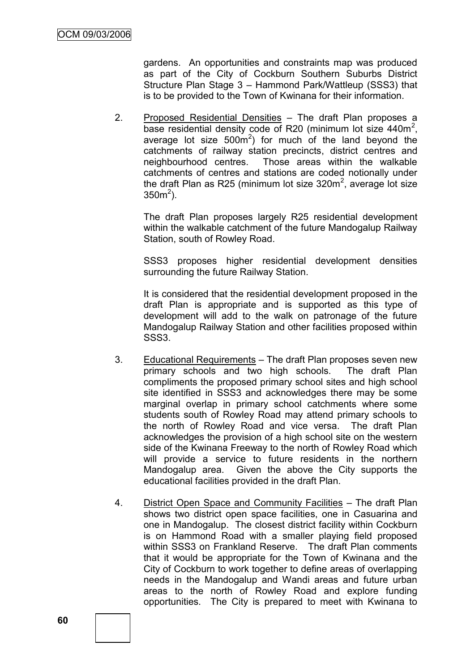gardens. An opportunities and constraints map was produced as part of the City of Cockburn Southern Suburbs District Structure Plan Stage 3 – Hammond Park/Wattleup (SSS3) that is to be provided to the Town of Kwinana for their information.

2. Proposed Residential Densities – The draft Plan proposes a base residential density code of R20 (minimum lot size 440m<sup>2</sup>, average lot size  $500m^2$ ) for much of the land beyond the catchments of railway station precincts, district centres and neighbourhood centres. Those areas within the walkable catchments of centres and stations are coded notionally under the draft Plan as R25 (minimum lot size  $320m^2$ , average lot size  $350m^2$ ).

The draft Plan proposes largely R25 residential development within the walkable catchment of the future Mandogalup Railway Station, south of Rowley Road.

SSS3 proposes higher residential development densities surrounding the future Railway Station.

It is considered that the residential development proposed in the draft Plan is appropriate and is supported as this type of development will add to the walk on patronage of the future Mandogalup Railway Station and other facilities proposed within SSS3.

- 3. Educational Requirements The draft Plan proposes seven new primary schools and two high schools. The draft Plan compliments the proposed primary school sites and high school site identified in SSS3 and acknowledges there may be some marginal overlap in primary school catchments where some students south of Rowley Road may attend primary schools to the north of Rowley Road and vice versa. The draft Plan acknowledges the provision of a high school site on the western side of the Kwinana Freeway to the north of Rowley Road which will provide a service to future residents in the northern Mandogalup area. Given the above the City supports the educational facilities provided in the draft Plan.
- 4. District Open Space and Community Facilities The draft Plan shows two district open space facilities, one in Casuarina and one in Mandogalup. The closest district facility within Cockburn is on Hammond Road with a smaller playing field proposed within SSS3 on Frankland Reserve. The draft Plan comments that it would be appropriate for the Town of Kwinana and the City of Cockburn to work together to define areas of overlapping needs in the Mandogalup and Wandi areas and future urban areas to the north of Rowley Road and explore funding opportunities. The City is prepared to meet with Kwinana to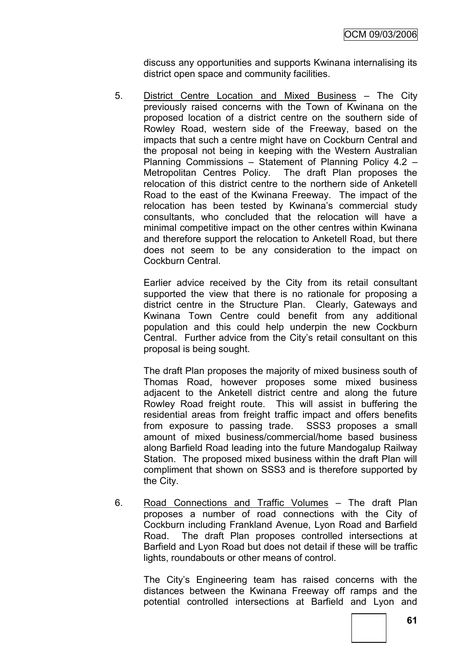discuss any opportunities and supports Kwinana internalising its district open space and community facilities.

5. District Centre Location and Mixed Business – The City previously raised concerns with the Town of Kwinana on the proposed location of a district centre on the southern side of Rowley Road, western side of the Freeway, based on the impacts that such a centre might have on Cockburn Central and the proposal not being in keeping with the Western Australian Planning Commissions – Statement of Planning Policy 4.2 – Metropolitan Centres Policy. The draft Plan proposes the relocation of this district centre to the northern side of Anketell Road to the east of the Kwinana Freeway. The impact of the relocation has been tested by Kwinana"s commercial study consultants, who concluded that the relocation will have a minimal competitive impact on the other centres within Kwinana and therefore support the relocation to Anketell Road, but there does not seem to be any consideration to the impact on Cockburn Central.

Earlier advice received by the City from its retail consultant supported the view that there is no rationale for proposing a district centre in the Structure Plan. Clearly, Gateways and Kwinana Town Centre could benefit from any additional population and this could help underpin the new Cockburn Central. Further advice from the City"s retail consultant on this proposal is being sought.

The draft Plan proposes the majority of mixed business south of Thomas Road, however proposes some mixed business adjacent to the Anketell district centre and along the future Rowley Road freight route. This will assist in buffering the residential areas from freight traffic impact and offers benefits from exposure to passing trade. SSS3 proposes a small amount of mixed business/commercial/home based business along Barfield Road leading into the future Mandogalup Railway Station. The proposed mixed business within the draft Plan will compliment that shown on SSS3 and is therefore supported by the City.

6. Road Connections and Traffic Volumes – The draft Plan proposes a number of road connections with the City of Cockburn including Frankland Avenue, Lyon Road and Barfield Road. The draft Plan proposes controlled intersections at Barfield and Lyon Road but does not detail if these will be traffic lights, roundabouts or other means of control.

The City"s Engineering team has raised concerns with the distances between the Kwinana Freeway off ramps and the potential controlled intersections at Barfield and Lyon and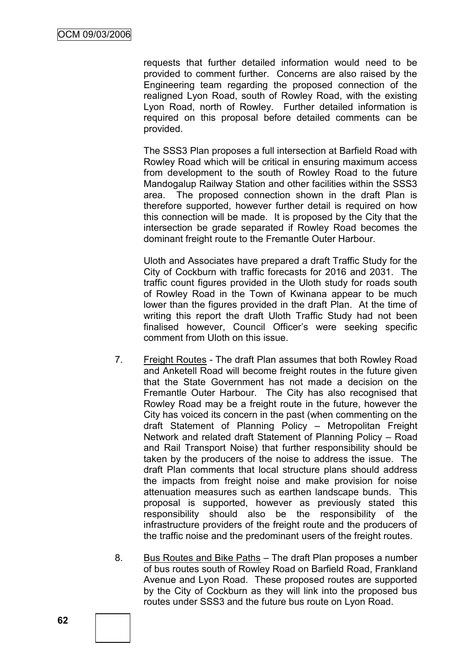requests that further detailed information would need to be provided to comment further. Concerns are also raised by the Engineering team regarding the proposed connection of the realigned Lyon Road, south of Rowley Road, with the existing Lyon Road, north of Rowley. Further detailed information is required on this proposal before detailed comments can be provided.

The SSS3 Plan proposes a full intersection at Barfield Road with Rowley Road which will be critical in ensuring maximum access from development to the south of Rowley Road to the future Mandogalup Railway Station and other facilities within the SSS3 area. The proposed connection shown in the draft Plan is therefore supported, however further detail is required on how this connection will be made. It is proposed by the City that the intersection be grade separated if Rowley Road becomes the dominant freight route to the Fremantle Outer Harbour.

Uloth and Associates have prepared a draft Traffic Study for the City of Cockburn with traffic forecasts for 2016 and 2031. The traffic count figures provided in the Uloth study for roads south of Rowley Road in the Town of Kwinana appear to be much lower than the figures provided in the draft Plan. At the time of writing this report the draft Uloth Traffic Study had not been finalised however, Council Officer's were seeking specific comment from Uloth on this issue.

- 7. Freight Routes The draft Plan assumes that both Rowley Road and Anketell Road will become freight routes in the future given that the State Government has not made a decision on the Fremantle Outer Harbour. The City has also recognised that Rowley Road may be a freight route in the future, however the City has voiced its concern in the past (when commenting on the draft Statement of Planning Policy – Metropolitan Freight Network and related draft Statement of Planning Policy – Road and Rail Transport Noise) that further responsibility should be taken by the producers of the noise to address the issue. The draft Plan comments that local structure plans should address the impacts from freight noise and make provision for noise attenuation measures such as earthen landscape bunds. This proposal is supported, however as previously stated this responsibility should also be the responsibility of the infrastructure providers of the freight route and the producers of the traffic noise and the predominant users of the freight routes.
- 8. Bus Routes and Bike Paths The draft Plan proposes a number of bus routes south of Rowley Road on Barfield Road, Frankland Avenue and Lyon Road. These proposed routes are supported by the City of Cockburn as they will link into the proposed bus routes under SSS3 and the future bus route on Lyon Road.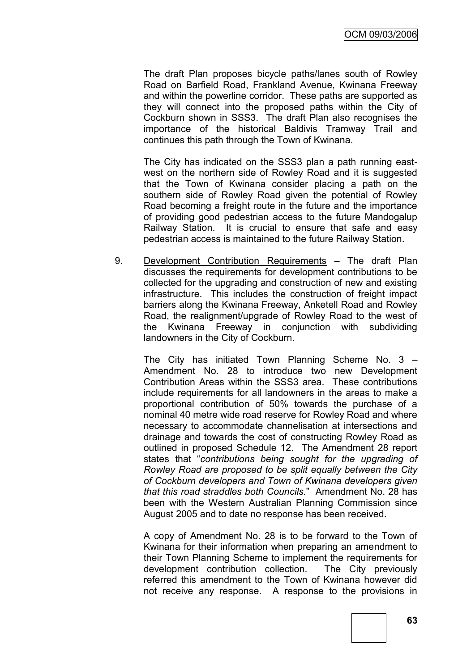The draft Plan proposes bicycle paths/lanes south of Rowley Road on Barfield Road, Frankland Avenue, Kwinana Freeway and within the powerline corridor. These paths are supported as they will connect into the proposed paths within the City of Cockburn shown in SSS3. The draft Plan also recognises the importance of the historical Baldivis Tramway Trail and continues this path through the Town of Kwinana.

The City has indicated on the SSS3 plan a path running eastwest on the northern side of Rowley Road and it is suggested that the Town of Kwinana consider placing a path on the southern side of Rowley Road given the potential of Rowley Road becoming a freight route in the future and the importance of providing good pedestrian access to the future Mandogalup Railway Station. It is crucial to ensure that safe and easy pedestrian access is maintained to the future Railway Station.

9. Development Contribution Requirements – The draft Plan discusses the requirements for development contributions to be collected for the upgrading and construction of new and existing infrastructure. This includes the construction of freight impact barriers along the Kwinana Freeway, Anketell Road and Rowley Road, the realignment/upgrade of Rowley Road to the west of the Kwinana Freeway in conjunction with subdividing landowners in the City of Cockburn.

The City has initiated Town Planning Scheme No. 3 – Amendment No. 28 to introduce two new Development Contribution Areas within the SSS3 area. These contributions include requirements for all landowners in the areas to make a proportional contribution of 50% towards the purchase of a nominal 40 metre wide road reserve for Rowley Road and where necessary to accommodate channelisation at intersections and drainage and towards the cost of constructing Rowley Road as outlined in proposed Schedule 12. The Amendment 28 report states that "*contributions being sought for the upgrading of Rowley Road are proposed to be split equally between the City of Cockburn developers and Town of Kwinana developers given that this road straddles both Councils.*" Amendment No. 28 has been with the Western Australian Planning Commission since August 2005 and to date no response has been received.

A copy of Amendment No. 28 is to be forward to the Town of Kwinana for their information when preparing an amendment to their Town Planning Scheme to implement the requirements for development contribution collection. The City previously referred this amendment to the Town of Kwinana however did not receive any response. A response to the provisions in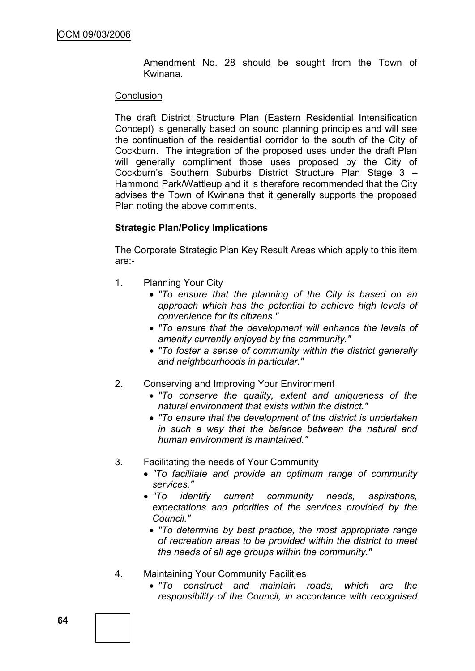Amendment No. 28 should be sought from the Town of Kwinana.

#### **Conclusion**

The draft District Structure Plan (Eastern Residential Intensification Concept) is generally based on sound planning principles and will see the continuation of the residential corridor to the south of the City of Cockburn. The integration of the proposed uses under the draft Plan will generally compliment those uses proposed by the City of Cockburn"s Southern Suburbs District Structure Plan Stage 3 – Hammond Park/Wattleup and it is therefore recommended that the City advises the Town of Kwinana that it generally supports the proposed Plan noting the above comments.

#### **Strategic Plan/Policy Implications**

The Corporate Strategic Plan Key Result Areas which apply to this item are:-

- 1. Planning Your City
	- *"To ensure that the planning of the City is based on an approach which has the potential to achieve high levels of convenience for its citizens."*
	- *"To ensure that the development will enhance the levels of amenity currently enjoyed by the community."*
	- *"To foster a sense of community within the district generally and neighbourhoods in particular."*
- 2. Conserving and Improving Your Environment
	- *"To conserve the quality, extent and uniqueness of the natural environment that exists within the district."*
	- *"To ensure that the development of the district is undertaken in such a way that the balance between the natural and human environment is maintained."*
- 3. Facilitating the needs of Your Community
	- *"To facilitate and provide an optimum range of community services."*
	- *"To identify current community needs, aspirations, expectations and priorities of the services provided by the Council."*
	- *"To determine by best practice, the most appropriate range of recreation areas to be provided within the district to meet the needs of all age groups within the community."*
- 4. Maintaining Your Community Facilities
	- *"To construct and maintain roads, which are the responsibility of the Council, in accordance with recognised*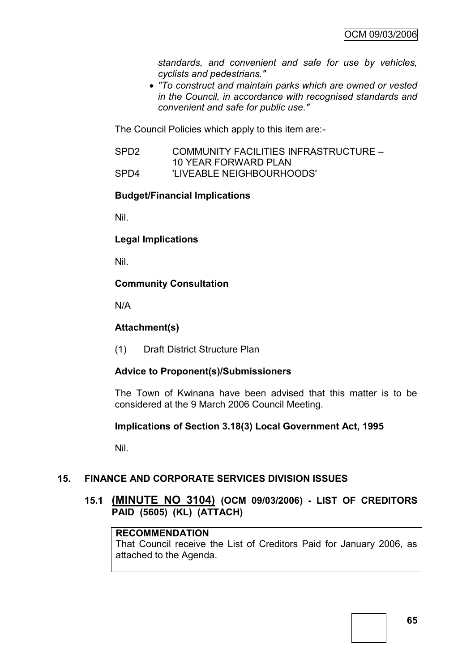*standards, and convenient and safe for use by vehicles, cyclists and pedestrians."*

 *"To construct and maintain parks which are owned or vested in the Council, in accordance with recognised standards and convenient and safe for public use."*

The Council Policies which apply to this item are:-

SPD2 COMMUNITY FACILITIES INFRASTRUCTURE – 10 YEAR FORWARD PLAN SPD4 'LIVEABLE NEIGHBOURHOODS'

#### **Budget/Financial Implications**

Nil.

**Legal Implications**

Nil.

### **Community Consultation**

N/A

### **Attachment(s)**

(1) Draft District Structure Plan

### **Advice to Proponent(s)/Submissioners**

The Town of Kwinana have been advised that this matter is to be considered at the 9 March 2006 Council Meeting.

### **Implications of Section 3.18(3) Local Government Act, 1995**

Nil.

### **15. FINANCE AND CORPORATE SERVICES DIVISION ISSUES**

**15.1 (MINUTE NO 3104) (OCM 09/03/2006) - LIST OF CREDITORS PAID (5605) (KL) (ATTACH)**

#### **RECOMMENDATION**

That Council receive the List of Creditors Paid for January 2006, as attached to the Agenda.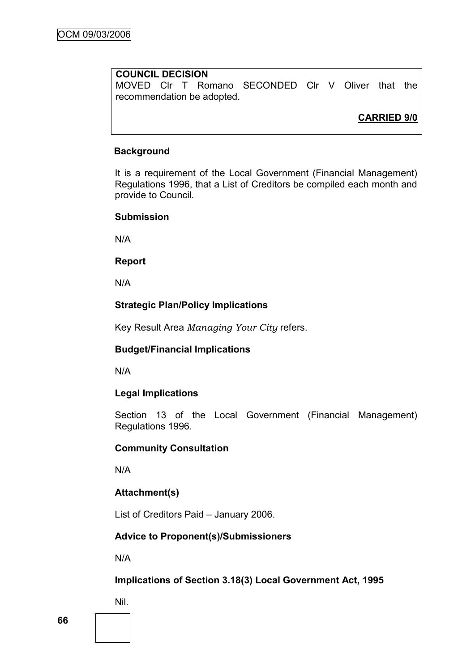# **COUNCIL DECISION**

MOVED Clr T Romano SECONDED Clr V Oliver that the recommendation be adopted.

# **CARRIED 9/0**

#### **Background**

It is a requirement of the Local Government (Financial Management) Regulations 1996, that a List of Creditors be compiled each month and provide to Council.

#### **Submission**

N/A

#### **Report**

N/A

## **Strategic Plan/Policy Implications**

Key Result Area *Managing Your City* refers.

### **Budget/Financial Implications**

N/A

### **Legal Implications**

Section 13 of the Local Government (Financial Management) Regulations 1996.

#### **Community Consultation**

N/A

# **Attachment(s)**

List of Creditors Paid – January 2006.

# **Advice to Proponent(s)/Submissioners**

N/A

### **Implications of Section 3.18(3) Local Government Act, 1995**

Nil.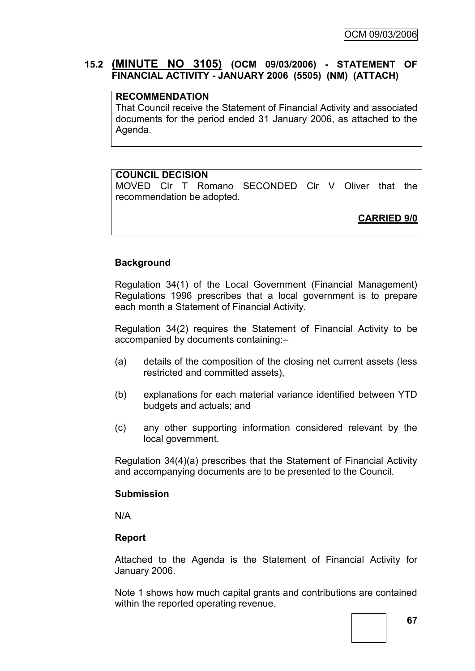# **15.2 (MINUTE NO 3105) (OCM 09/03/2006) - STATEMENT OF FINANCIAL ACTIVITY - JANUARY 2006 (5505) (NM) (ATTACH)**

# **RECOMMENDATION**

That Council receive the Statement of Financial Activity and associated documents for the period ended 31 January 2006, as attached to the Agenda.

### **COUNCIL DECISION**

MOVED Clr T Romano SECONDED Clr V Oliver that the recommendation be adopted.

**CARRIED 9/0**

### **Background**

Regulation 34(1) of the Local Government (Financial Management) Regulations 1996 prescribes that a local government is to prepare each month a Statement of Financial Activity.

Regulation 34(2) requires the Statement of Financial Activity to be accompanied by documents containing:–

- (a) details of the composition of the closing net current assets (less restricted and committed assets),
- (b) explanations for each material variance identified between YTD budgets and actuals; and
- (c) any other supporting information considered relevant by the local government.

Regulation 34(4)(a) prescribes that the Statement of Financial Activity and accompanying documents are to be presented to the Council.

#### **Submission**

N/A

### **Report**

Attached to the Agenda is the Statement of Financial Activity for January 2006.

Note 1 shows how much capital grants and contributions are contained within the reported operating revenue.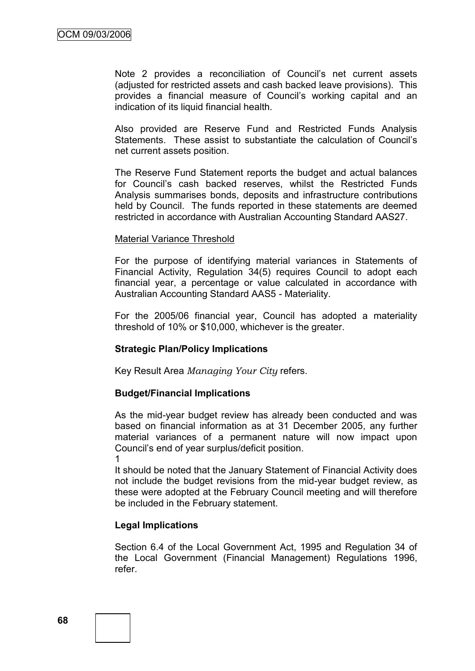Note 2 provides a reconciliation of Council's net current assets (adjusted for restricted assets and cash backed leave provisions). This provides a financial measure of Council"s working capital and an indication of its liquid financial health.

Also provided are Reserve Fund and Restricted Funds Analysis Statements. These assist to substantiate the calculation of Council"s net current assets position.

The Reserve Fund Statement reports the budget and actual balances for Council"s cash backed reserves, whilst the Restricted Funds Analysis summarises bonds, deposits and infrastructure contributions held by Council. The funds reported in these statements are deemed restricted in accordance with Australian Accounting Standard AAS27.

#### Material Variance Threshold

For the purpose of identifying material variances in Statements of Financial Activity, Regulation 34(5) requires Council to adopt each financial year, a percentage or value calculated in accordance with Australian Accounting Standard AAS5 - Materiality.

For the 2005/06 financial year, Council has adopted a materiality threshold of 10% or \$10,000, whichever is the greater.

#### **Strategic Plan/Policy Implications**

Key Result Area *Managing Your City* refers.

#### **Budget/Financial Implications**

As the mid-year budget review has already been conducted and was based on financial information as at 31 December 2005, any further material variances of a permanent nature will now impact upon Council"s end of year surplus/deficit position.

1

It should be noted that the January Statement of Financial Activity does not include the budget revisions from the mid-year budget review, as these were adopted at the February Council meeting and will therefore be included in the February statement.

### **Legal Implications**

Section 6.4 of the Local Government Act, 1995 and Regulation 34 of the Local Government (Financial Management) Regulations 1996, refer.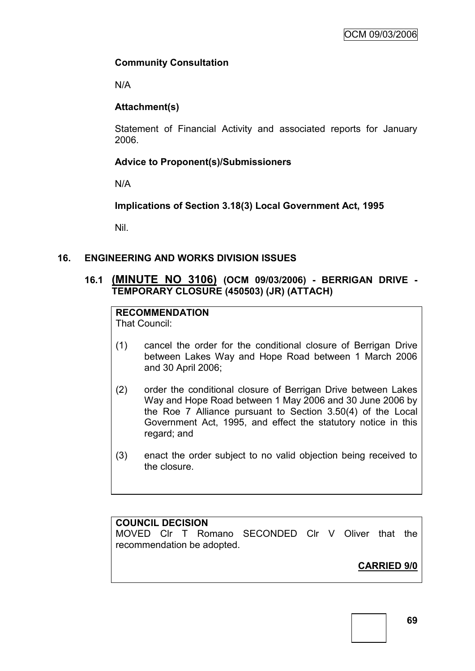## **Community Consultation**

N/A

## **Attachment(s)**

Statement of Financial Activity and associated reports for January 2006.

## **Advice to Proponent(s)/Submissioners**

N/A

**Implications of Section 3.18(3) Local Government Act, 1995**

Nil.

## **16. ENGINEERING AND WORKS DIVISION ISSUES**

## **16.1 (MINUTE NO 3106) (OCM 09/03/2006) - BERRIGAN DRIVE - TEMPORARY CLOSURE (450503) (JR) (ATTACH)**

# **RECOMMENDATION**

That Council:

- (1) cancel the order for the conditional closure of Berrigan Drive between Lakes Way and Hope Road between 1 March 2006 and 30 April 2006;
- (2) order the conditional closure of Berrigan Drive between Lakes Way and Hope Road between 1 May 2006 and 30 June 2006 by the Roe 7 Alliance pursuant to Section 3.50(4) of the Local Government Act, 1995, and effect the statutory notice in this regard; and
- (3) enact the order subject to no valid objection being received to the closure.

## **COUNCIL DECISION**

MOVED Clr T Romano SECONDED Clr V Oliver that the recommendation be adopted.

# **CARRIED 9/0**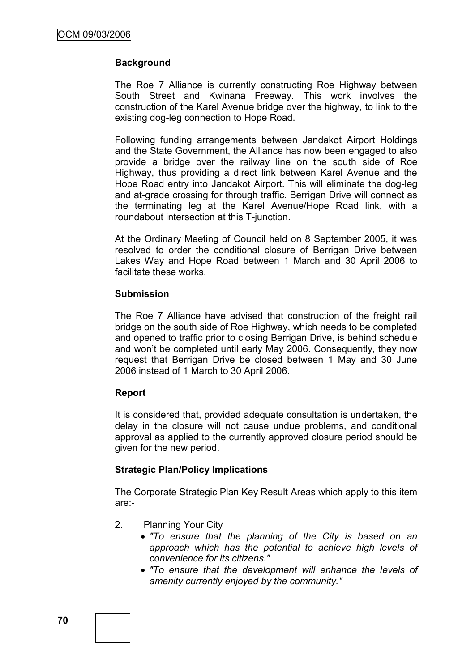## **Background**

The Roe 7 Alliance is currently constructing Roe Highway between South Street and Kwinana Freeway. This work involves the construction of the Karel Avenue bridge over the highway, to link to the existing dog-leg connection to Hope Road.

Following funding arrangements between Jandakot Airport Holdings and the State Government, the Alliance has now been engaged to also provide a bridge over the railway line on the south side of Roe Highway, thus providing a direct link between Karel Avenue and the Hope Road entry into Jandakot Airport. This will eliminate the dog-leg and at-grade crossing for through traffic. Berrigan Drive will connect as the terminating leg at the Karel Avenue/Hope Road link, with a roundabout intersection at this T-junction.

At the Ordinary Meeting of Council held on 8 September 2005, it was resolved to order the conditional closure of Berrigan Drive between Lakes Way and Hope Road between 1 March and 30 April 2006 to facilitate these works.

### **Submission**

The Roe 7 Alliance have advised that construction of the freight rail bridge on the south side of Roe Highway, which needs to be completed and opened to traffic prior to closing Berrigan Drive, is behind schedule and won"t be completed until early May 2006. Consequently, they now request that Berrigan Drive be closed between 1 May and 30 June 2006 instead of 1 March to 30 April 2006.

#### **Report**

It is considered that, provided adequate consultation is undertaken, the delay in the closure will not cause undue problems, and conditional approval as applied to the currently approved closure period should be given for the new period.

## **Strategic Plan/Policy Implications**

The Corporate Strategic Plan Key Result Areas which apply to this item are:-

- 2. Planning Your City
	- *"To ensure that the planning of the City is based on an approach which has the potential to achieve high levels of convenience for its citizens."*
	- *"To ensure that the development will enhance the levels of amenity currently enjoyed by the community."*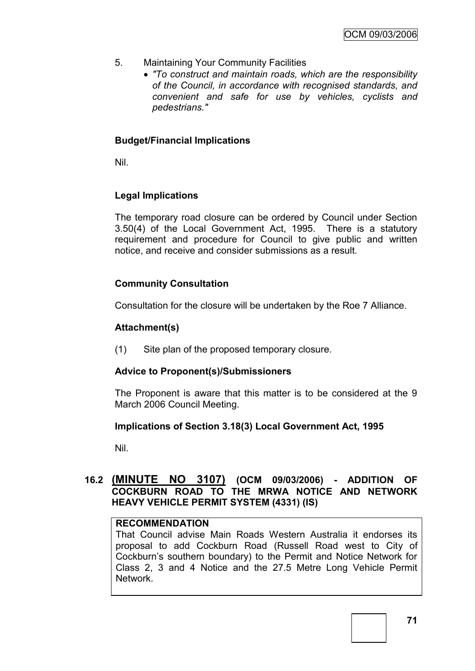- 5. Maintaining Your Community Facilities
	- *"To construct and maintain roads, which are the responsibility of the Council, in accordance with recognised standards, and convenient and safe for use by vehicles, cyclists and pedestrians."*

## **Budget/Financial Implications**

Nil.

## **Legal Implications**

The temporary road closure can be ordered by Council under Section 3.50(4) of the Local Government Act, 1995. There is a statutory requirement and procedure for Council to give public and written notice, and receive and consider submissions as a result.

## **Community Consultation**

Consultation for the closure will be undertaken by the Roe 7 Alliance.

## **Attachment(s)**

(1) Site plan of the proposed temporary closure.

## **Advice to Proponent(s)/Submissioners**

The Proponent is aware that this matter is to be considered at the 9 March 2006 Council Meeting.

## **Implications of Section 3.18(3) Local Government Act, 1995**

Nil.

## **16.2 (MINUTE NO 3107) (OCM 09/03/2006) - ADDITION OF COCKBURN ROAD TO THE MRWA NOTICE AND NETWORK HEAVY VEHICLE PERMIT SYSTEM (4331) (IS)**

## **RECOMMENDATION**

That Council advise Main Roads Western Australia it endorses its proposal to add Cockburn Road (Russell Road west to City of Cockburn"s southern boundary) to the Permit and Notice Network for Class 2, 3 and 4 Notice and the 27.5 Metre Long Vehicle Permit Network.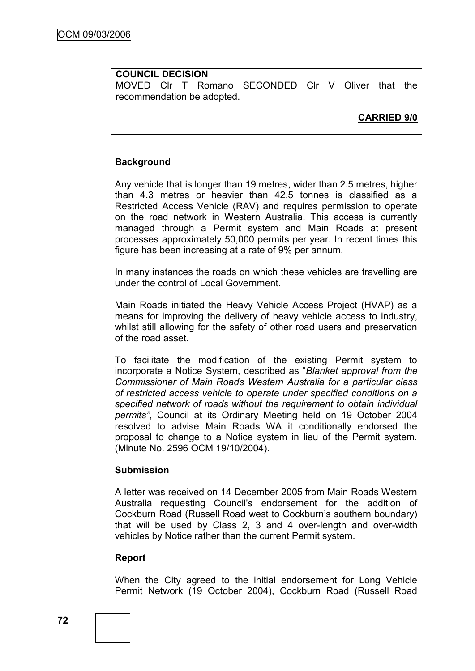## **COUNCIL DECISION**

MOVED Clr T Romano SECONDED Clr V Oliver that the recommendation be adopted.

**CARRIED 9/0**

## **Background**

Any vehicle that is longer than 19 metres, wider than 2.5 metres, higher than 4.3 metres or heavier than 42.5 tonnes is classified as a Restricted Access Vehicle (RAV) and requires permission to operate on the road network in Western Australia. This access is currently managed through a Permit system and Main Roads at present processes approximately 50,000 permits per year. In recent times this figure has been increasing at a rate of 9% per annum.

In many instances the roads on which these vehicles are travelling are under the control of Local Government.

Main Roads initiated the Heavy Vehicle Access Project (HVAP) as a means for improving the delivery of heavy vehicle access to industry, whilst still allowing for the safety of other road users and preservation of the road asset.

To facilitate the modification of the existing Permit system to incorporate a Notice System, described as "*Blanket approval from the Commissioner of Main Roads Western Australia for a particular class of restricted access vehicle to operate under specified conditions on a specified network of roads without the requirement to obtain individual permits"*, Council at its Ordinary Meeting held on 19 October 2004 resolved to advise Main Roads WA it conditionally endorsed the proposal to change to a Notice system in lieu of the Permit system. (Minute No. 2596 OCM 19/10/2004).

## **Submission**

A letter was received on 14 December 2005 from Main Roads Western Australia requesting Council"s endorsement for the addition of Cockburn Road (Russell Road west to Cockburn"s southern boundary) that will be used by Class 2, 3 and 4 over-length and over-width vehicles by Notice rather than the current Permit system.

## **Report**

When the City agreed to the initial endorsement for Long Vehicle Permit Network (19 October 2004), Cockburn Road (Russell Road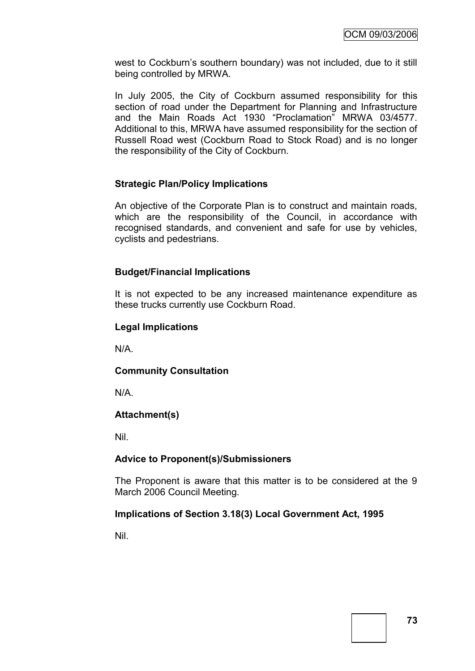west to Cockburn"s southern boundary) was not included, due to it still being controlled by MRWA.

In July 2005, the City of Cockburn assumed responsibility for this section of road under the Department for Planning and Infrastructure and the Main Roads Act 1930 "Proclamation" MRWA 03/4577. Additional to this, MRWA have assumed responsibility for the section of Russell Road west (Cockburn Road to Stock Road) and is no longer the responsibility of the City of Cockburn.

## **Strategic Plan/Policy Implications**

An objective of the Corporate Plan is to construct and maintain roads, which are the responsibility of the Council, in accordance with recognised standards, and convenient and safe for use by vehicles, cyclists and pedestrians.

## **Budget/Financial Implications**

It is not expected to be any increased maintenance expenditure as these trucks currently use Cockburn Road.

## **Legal Implications**

N/A.

## **Community Consultation**

N/A.

## **Attachment(s)**

Nil.

## **Advice to Proponent(s)/Submissioners**

The Proponent is aware that this matter is to be considered at the 9 March 2006 Council Meeting.

## **Implications of Section 3.18(3) Local Government Act, 1995**

Nil.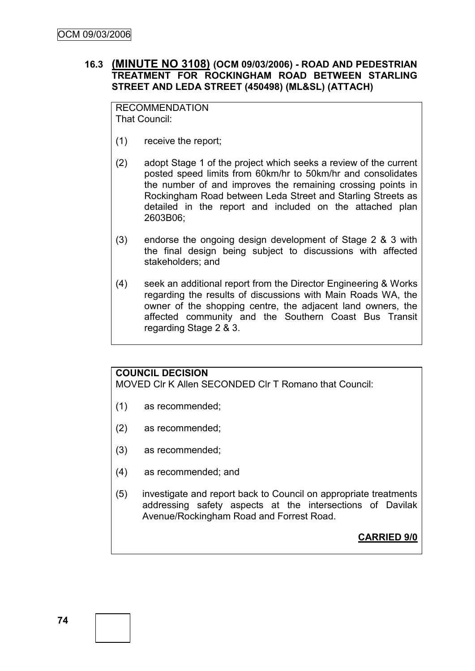## **16.3 (MINUTE NO 3108) (OCM 09/03/2006) - ROAD AND PEDESTRIAN TREATMENT FOR ROCKINGHAM ROAD BETWEEN STARLING STREET AND LEDA STREET (450498) (ML&SL) (ATTACH)**

RECOMMENDATION That Council:

- (1) receive the report;
- (2) adopt Stage 1 of the project which seeks a review of the current posted speed limits from 60km/hr to 50km/hr and consolidates the number of and improves the remaining crossing points in Rockingham Road between Leda Street and Starling Streets as detailed in the report and included on the attached plan 2603B06;
- (3) endorse the ongoing design development of Stage 2 & 3 with the final design being subject to discussions with affected stakeholders; and
- (4) seek an additional report from the Director Engineering & Works regarding the results of discussions with Main Roads WA, the owner of the shopping centre, the adjacent land owners, the affected community and the Southern Coast Bus Transit regarding Stage 2 & 3.

## **COUNCIL DECISION**

MOVED Clr K Allen SECONDED Clr T Romano that Council:

- (1) as recommended;
- (2) as recommended;
- (3) as recommended;
- (4) as recommended; and
- (5) investigate and report back to Council on appropriate treatments addressing safety aspects at the intersections of Davilak Avenue/Rockingham Road and Forrest Road.

**CARRIED 9/0**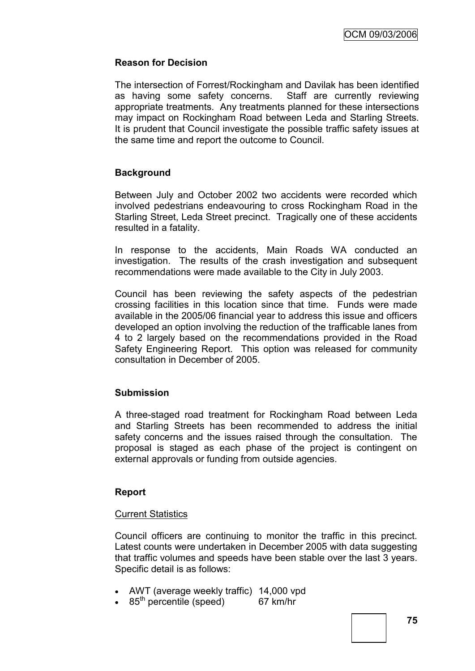## **Reason for Decision**

The intersection of Forrest/Rockingham and Davilak has been identified as having some safety concerns. Staff are currently reviewing appropriate treatments. Any treatments planned for these intersections may impact on Rockingham Road between Leda and Starling Streets. It is prudent that Council investigate the possible traffic safety issues at the same time and report the outcome to Council.

## **Background**

Between July and October 2002 two accidents were recorded which involved pedestrians endeavouring to cross Rockingham Road in the Starling Street, Leda Street precinct. Tragically one of these accidents resulted in a fatality.

In response to the accidents, Main Roads WA conducted an investigation. The results of the crash investigation and subsequent recommendations were made available to the City in July 2003.

Council has been reviewing the safety aspects of the pedestrian crossing facilities in this location since that time. Funds were made available in the 2005/06 financial year to address this issue and officers developed an option involving the reduction of the trafficable lanes from 4 to 2 largely based on the recommendations provided in the Road Safety Engineering Report. This option was released for community consultation in December of 2005.

## **Submission**

A three-staged road treatment for Rockingham Road between Leda and Starling Streets has been recommended to address the initial safety concerns and the issues raised through the consultation. The proposal is staged as each phase of the project is contingent on external approvals or funding from outside agencies.

## **Report**

## **Current Statistics**

Council officers are continuing to monitor the traffic in this precinct. Latest counts were undertaken in December 2005 with data suggesting that traffic volumes and speeds have been stable over the last 3 years. Specific detail is as follows:

- AWT (average weekly traffic) 14,000 vpd
- $\cdot$  85<sup>th</sup> percentile (speed) 67 km/hr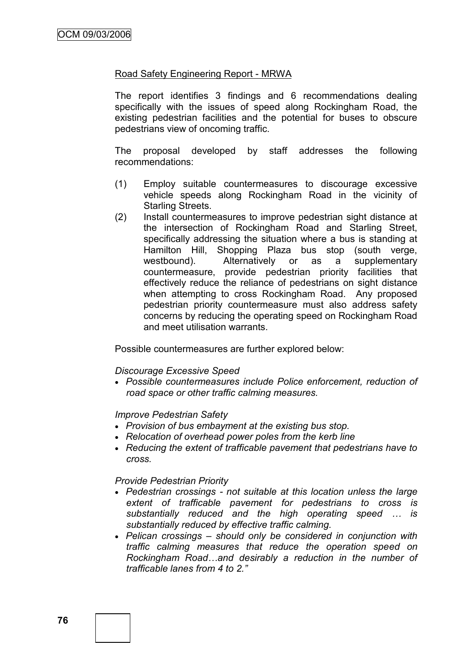### Road Safety Engineering Report - MRWA

The report identifies 3 findings and 6 recommendations dealing specifically with the issues of speed along Rockingham Road, the existing pedestrian facilities and the potential for buses to obscure pedestrians view of oncoming traffic.

The proposal developed by staff addresses the following recommendations:

- (1) Employ suitable countermeasures to discourage excessive vehicle speeds along Rockingham Road in the vicinity of Starling Streets.
- (2) Install countermeasures to improve pedestrian sight distance at the intersection of Rockingham Road and Starling Street, specifically addressing the situation where a bus is standing at Hamilton Hill, Shopping Plaza bus stop (south verge, westbound). Alternatively or as a supplementary countermeasure, provide pedestrian priority facilities that effectively reduce the reliance of pedestrians on sight distance when attempting to cross Rockingham Road. Any proposed pedestrian priority countermeasure must also address safety concerns by reducing the operating speed on Rockingham Road and meet utilisation warrants.

Possible countermeasures are further explored below:

#### *Discourage Excessive Speed*

 *Possible countermeasures include Police enforcement, reduction of road space or other traffic calming measures.*

#### *Improve Pedestrian Safety*

- *Provision of bus embayment at the existing bus stop.*
- *Relocation of overhead power poles from the kerb line*
- *Reducing the extent of trafficable pavement that pedestrians have to cross.*

#### *Provide Pedestrian Priority*

- *Pedestrian crossings - not suitable at this location unless the large extent of trafficable pavement for pedestrians to cross is substantially reduced and the high operating speed … is substantially reduced by effective traffic calming.*
- *Pelican crossings – should only be considered in conjunction with traffic calming measures that reduce the operation speed on Rockingham Road…and desirably a reduction in the number of trafficable lanes from 4 to 2."*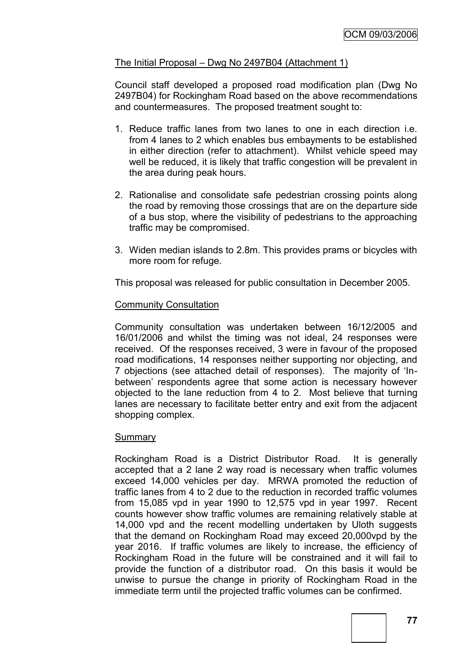## The Initial Proposal – Dwg No 2497B04 (Attachment 1)

Council staff developed a proposed road modification plan (Dwg No 2497B04) for Rockingham Road based on the above recommendations and countermeasures. The proposed treatment sought to:

- 1. Reduce traffic lanes from two lanes to one in each direction i.e. from 4 lanes to 2 which enables bus embayments to be established in either direction (refer to attachment). Whilst vehicle speed may well be reduced, it is likely that traffic congestion will be prevalent in the area during peak hours.
- 2. Rationalise and consolidate safe pedestrian crossing points along the road by removing those crossings that are on the departure side of a bus stop, where the visibility of pedestrians to the approaching traffic may be compromised.
- 3. Widen median islands to 2.8m. This provides prams or bicycles with more room for refuge.

This proposal was released for public consultation in December 2005.

## Community Consultation

Community consultation was undertaken between 16/12/2005 and 16/01/2006 and whilst the timing was not ideal, 24 responses were received. Of the responses received, 3 were in favour of the proposed road modifications, 14 responses neither supporting nor objecting, and 7 objections (see attached detail of responses). The majority of "Inbetween' respondents agree that some action is necessary however objected to the lane reduction from 4 to 2. Most believe that turning lanes are necessary to facilitate better entry and exit from the adjacent shopping complex.

#### **Summary**

Rockingham Road is a District Distributor Road. It is generally accepted that a 2 lane 2 way road is necessary when traffic volumes exceed 14,000 vehicles per day. MRWA promoted the reduction of traffic lanes from 4 to 2 due to the reduction in recorded traffic volumes from 15,085 vpd in year 1990 to 12,575 vpd in year 1997. Recent counts however show traffic volumes are remaining relatively stable at 14,000 vpd and the recent modelling undertaken by Uloth suggests that the demand on Rockingham Road may exceed 20,000vpd by the year 2016. If traffic volumes are likely to increase, the efficiency of Rockingham Road in the future will be constrained and it will fail to provide the function of a distributor road. On this basis it would be unwise to pursue the change in priority of Rockingham Road in the immediate term until the projected traffic volumes can be confirmed.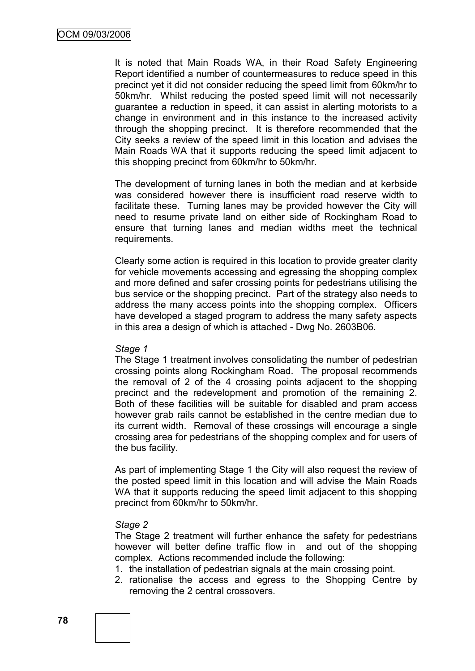It is noted that Main Roads WA, in their Road Safety Engineering Report identified a number of countermeasures to reduce speed in this precinct yet it did not consider reducing the speed limit from 60km/hr to 50km/hr. Whilst reducing the posted speed limit will not necessarily guarantee a reduction in speed, it can assist in alerting motorists to a change in environment and in this instance to the increased activity through the shopping precinct. It is therefore recommended that the City seeks a review of the speed limit in this location and advises the Main Roads WA that it supports reducing the speed limit adjacent to this shopping precinct from 60km/hr to 50km/hr.

The development of turning lanes in both the median and at kerbside was considered however there is insufficient road reserve width to facilitate these. Turning lanes may be provided however the City will need to resume private land on either side of Rockingham Road to ensure that turning lanes and median widths meet the technical requirements.

Clearly some action is required in this location to provide greater clarity for vehicle movements accessing and egressing the shopping complex and more defined and safer crossing points for pedestrians utilising the bus service or the shopping precinct. Part of the strategy also needs to address the many access points into the shopping complex. Officers have developed a staged program to address the many safety aspects in this area a design of which is attached - Dwg No. 2603B06.

#### *Stage 1*

The Stage 1 treatment involves consolidating the number of pedestrian crossing points along Rockingham Road. The proposal recommends the removal of 2 of the 4 crossing points adjacent to the shopping precinct and the redevelopment and promotion of the remaining 2. Both of these facilities will be suitable for disabled and pram access however grab rails cannot be established in the centre median due to its current width. Removal of these crossings will encourage a single crossing area for pedestrians of the shopping complex and for users of the bus facility.

As part of implementing Stage 1 the City will also request the review of the posted speed limit in this location and will advise the Main Roads WA that it supports reducing the speed limit adjacent to this shopping precinct from 60km/hr to 50km/hr.

#### *Stage 2*

The Stage 2 treatment will further enhance the safety for pedestrians however will better define traffic flow in and out of the shopping complex. Actions recommended include the following:

- 1. the installation of pedestrian signals at the main crossing point.
- 2. rationalise the access and egress to the Shopping Centre by removing the 2 central crossovers.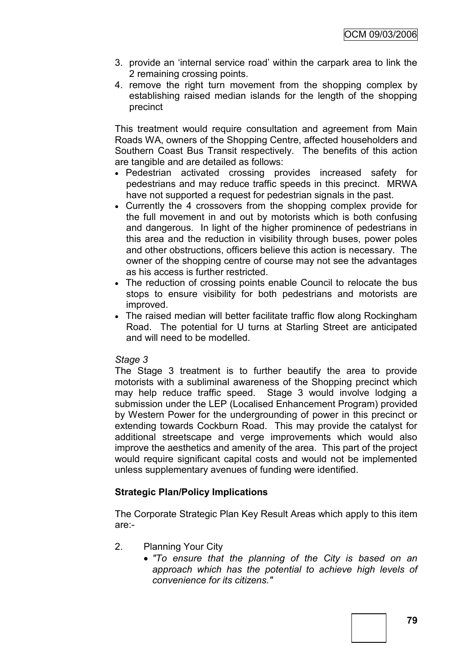- 3. provide an "internal service road" within the carpark area to link the 2 remaining crossing points.
- 4. remove the right turn movement from the shopping complex by establishing raised median islands for the length of the shopping precinct

This treatment would require consultation and agreement from Main Roads WA, owners of the Shopping Centre, affected householders and Southern Coast Bus Transit respectively. The benefits of this action are tangible and are detailed as follows:

- Pedestrian activated crossing provides increased safety for pedestrians and may reduce traffic speeds in this precinct. MRWA have not supported a request for pedestrian signals in the past.
- Currently the 4 crossovers from the shopping complex provide for the full movement in and out by motorists which is both confusing and dangerous. In light of the higher prominence of pedestrians in this area and the reduction in visibility through buses, power poles and other obstructions, officers believe this action is necessary. The owner of the shopping centre of course may not see the advantages as his access is further restricted.
- The reduction of crossing points enable Council to relocate the bus stops to ensure visibility for both pedestrians and motorists are improved.
- The raised median will better facilitate traffic flow along Rockingham Road. The potential for U turns at Starling Street are anticipated and will need to be modelled.

## *Stage 3*

The Stage 3 treatment is to further beautify the area to provide motorists with a subliminal awareness of the Shopping precinct which may help reduce traffic speed. Stage 3 would involve lodging a submission under the LEP (Localised Enhancement Program) provided by Western Power for the undergrounding of power in this precinct or extending towards Cockburn Road. This may provide the catalyst for additional streetscape and verge improvements which would also improve the aesthetics and amenity of the area. This part of the project would require significant capital costs and would not be implemented unless supplementary avenues of funding were identified.

## **Strategic Plan/Policy Implications**

The Corporate Strategic Plan Key Result Areas which apply to this item are:-

- 2. Planning Your City
	- *"To ensure that the planning of the City is based on an approach which has the potential to achieve high levels of convenience for its citizens."*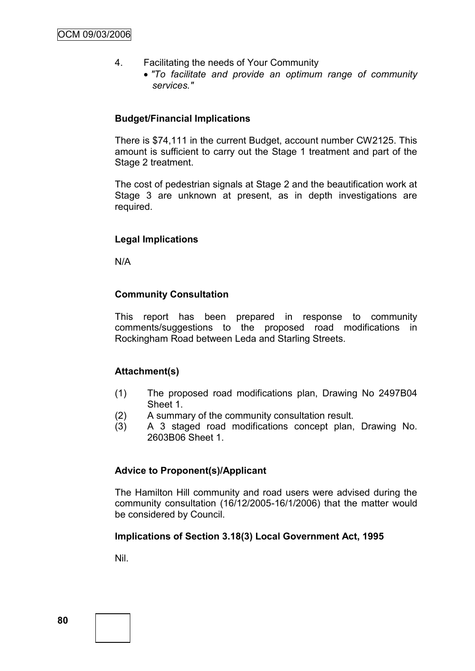- 4. Facilitating the needs of Your Community
	- *"To facilitate and provide an optimum range of community services."*

### **Budget/Financial Implications**

There is \$74,111 in the current Budget, account number CW2125. This amount is sufficient to carry out the Stage 1 treatment and part of the Stage 2 treatment.

The cost of pedestrian signals at Stage 2 and the beautification work at Stage 3 are unknown at present, as in depth investigations are required.

## **Legal Implications**

N/A

## **Community Consultation**

This report has been prepared in response to community comments/suggestions to the proposed road modifications in Rockingham Road between Leda and Starling Streets.

## **Attachment(s)**

- (1) The proposed road modifications plan, Drawing No 2497B04 Sheet 1.
- (2) A summary of the community consultation result.
- (3) A 3 staged road modifications concept plan, Drawing No. 2603B06 Sheet 1.

## **Advice to Proponent(s)/Applicant**

The Hamilton Hill community and road users were advised during the community consultation (16/12/2005-16/1/2006) that the matter would be considered by Council.

## **Implications of Section 3.18(3) Local Government Act, 1995**

Nil.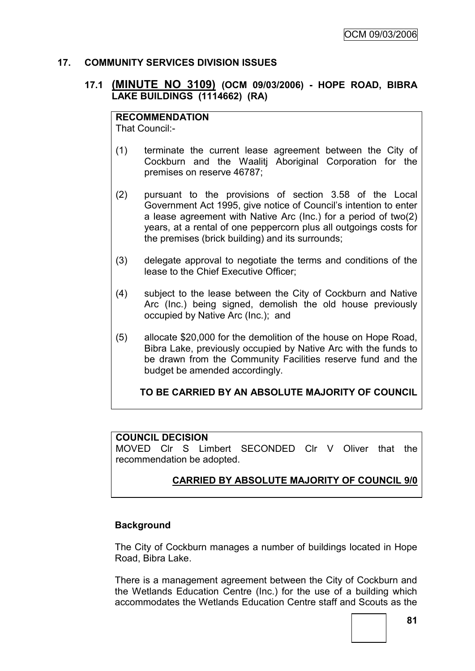## **17. COMMUNITY SERVICES DIVISION ISSUES**

## **17.1 (MINUTE NO 3109) (OCM 09/03/2006) - HOPE ROAD, BIBRA LAKE BUILDINGS (1114662) (RA)**

### **RECOMMENDATION**

That Council:-

- (1) terminate the current lease agreement between the City of Cockburn and the Waalitj Aboriginal Corporation for the premises on reserve 46787;
- (2) pursuant to the provisions of section 3.58 of the Local Government Act 1995, give notice of Council"s intention to enter a lease agreement with Native Arc (Inc.) for a period of two(2) years, at a rental of one peppercorn plus all outgoings costs for the premises (brick building) and its surrounds;
- (3) delegate approval to negotiate the terms and conditions of the lease to the Chief Executive Officer;
- (4) subject to the lease between the City of Cockburn and Native Arc (Inc.) being signed, demolish the old house previously occupied by Native Arc (Inc.); and
- (5) allocate \$20,000 for the demolition of the house on Hope Road, Bibra Lake, previously occupied by Native Arc with the funds to be drawn from the Community Facilities reserve fund and the budget be amended accordingly.

**TO BE CARRIED BY AN ABSOLUTE MAJORITY OF COUNCIL**

## **COUNCIL DECISION**

MOVED Clr S Limbert SECONDED Clr V Oliver that the recommendation be adopted.

## **CARRIED BY ABSOLUTE MAJORITY OF COUNCIL 9/0**

## **Background**

The City of Cockburn manages a number of buildings located in Hope Road, Bibra Lake.

There is a management agreement between the City of Cockburn and the Wetlands Education Centre (Inc.) for the use of a building which accommodates the Wetlands Education Centre staff and Scouts as the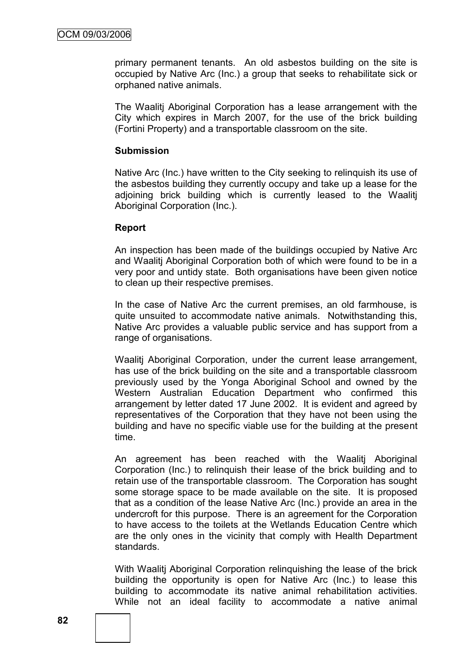primary permanent tenants. An old asbestos building on the site is occupied by Native Arc (Inc.) a group that seeks to rehabilitate sick or orphaned native animals.

The Waalitj Aboriginal Corporation has a lease arrangement with the City which expires in March 2007, for the use of the brick building (Fortini Property) and a transportable classroom on the site.

### **Submission**

Native Arc (Inc.) have written to the City seeking to relinquish its use of the asbestos building they currently occupy and take up a lease for the adjoining brick building which is currently leased to the Waalitj Aboriginal Corporation (Inc.).

## **Report**

An inspection has been made of the buildings occupied by Native Arc and Waalitj Aboriginal Corporation both of which were found to be in a very poor and untidy state. Both organisations have been given notice to clean up their respective premises.

In the case of Native Arc the current premises, an old farmhouse, is quite unsuited to accommodate native animals. Notwithstanding this, Native Arc provides a valuable public service and has support from a range of organisations.

Waalitj Aboriginal Corporation, under the current lease arrangement, has use of the brick building on the site and a transportable classroom previously used by the Yonga Aboriginal School and owned by the Western Australian Education Department who confirmed this arrangement by letter dated 17 June 2002. It is evident and agreed by representatives of the Corporation that they have not been using the building and have no specific viable use for the building at the present time.

An agreement has been reached with the Waalitj Aboriginal Corporation (Inc.) to relinquish their lease of the brick building and to retain use of the transportable classroom. The Corporation has sought some storage space to be made available on the site. It is proposed that as a condition of the lease Native Arc (Inc.) provide an area in the undercroft for this purpose. There is an agreement for the Corporation to have access to the toilets at the Wetlands Education Centre which are the only ones in the vicinity that comply with Health Department standards.

With Waalitj Aboriginal Corporation relinquishing the lease of the brick building the opportunity is open for Native Arc (Inc.) to lease this building to accommodate its native animal rehabilitation activities. While not an ideal facility to accommodate a native animal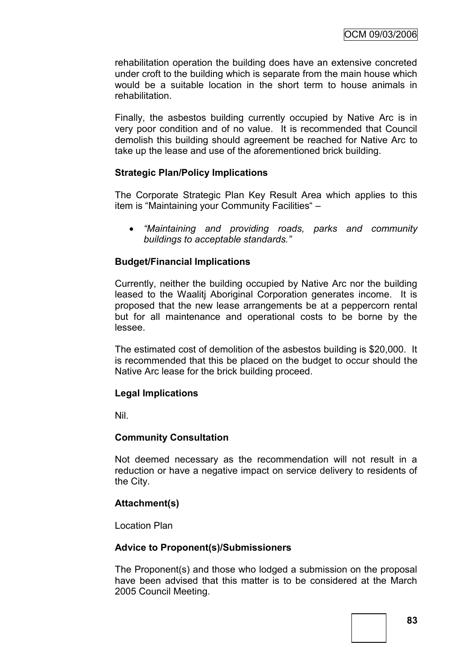rehabilitation operation the building does have an extensive concreted under croft to the building which is separate from the main house which would be a suitable location in the short term to house animals in rehabilitation.

Finally, the asbestos building currently occupied by Native Arc is in very poor condition and of no value. It is recommended that Council demolish this building should agreement be reached for Native Arc to take up the lease and use of the aforementioned brick building.

## **Strategic Plan/Policy Implications**

The Corporate Strategic Plan Key Result Area which applies to this item is "Maintaining your Community Facilities" –

 *"Maintaining and providing roads, parks and community buildings to acceptable standards."*

## **Budget/Financial Implications**

Currently, neither the building occupied by Native Arc nor the building leased to the Waalitj Aboriginal Corporation generates income. It is proposed that the new lease arrangements be at a peppercorn rental but for all maintenance and operational costs to be borne by the lessee.

The estimated cost of demolition of the asbestos building is \$20,000. It is recommended that this be placed on the budget to occur should the Native Arc lease for the brick building proceed.

## **Legal Implications**

Nil.

## **Community Consultation**

Not deemed necessary as the recommendation will not result in a reduction or have a negative impact on service delivery to residents of the City.

## **Attachment(s)**

Location Plan

## **Advice to Proponent(s)/Submissioners**

The Proponent(s) and those who lodged a submission on the proposal have been advised that this matter is to be considered at the March 2005 Council Meeting.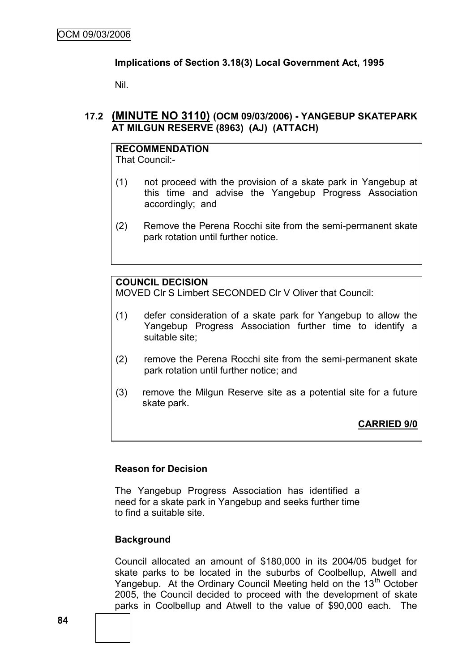## **Implications of Section 3.18(3) Local Government Act, 1995**

Nil.

## **17.2 (MINUTE NO 3110) (OCM 09/03/2006) - YANGEBUP SKATEPARK AT MILGUN RESERVE (8963) (AJ) (ATTACH)**

# **RECOMMENDATION**

That Council:-

- (1) not proceed with the provision of a skate park in Yangebup at this time and advise the Yangebup Progress Association accordingly; and
- (2) Remove the Perena Rocchi site from the semi-permanent skate park rotation until further notice.

## **COUNCIL DECISION**

MOVED Clr S Limbert SECONDED Clr V Oliver that Council:

- (1) defer consideration of a skate park for Yangebup to allow the Yangebup Progress Association further time to identify a suitable site;
- (2) remove the Perena Rocchi site from the semi-permanent skate park rotation until further notice; and
- (3) remove the Milgun Reserve site as a potential site for a future skate park.

## **CARRIED 9/0**

## **Reason for Decision**

The Yangebup Progress Association has identified a need for a skate park in Yangebup and seeks further time to find a suitable site.

## **Background**

Council allocated an amount of \$180,000 in its 2004/05 budget for skate parks to be located in the suburbs of Coolbellup, Atwell and Yangebup. At the Ordinary Council Meeting held on the 13<sup>th</sup> October 2005, the Council decided to proceed with the development of skate parks in Coolbellup and Atwell to the value of \$90,000 each. The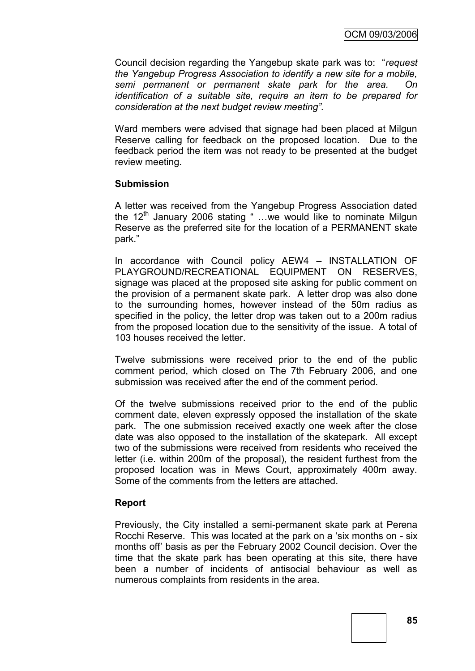Council decision regarding the Yangebup skate park was to: "*request the Yangebup Progress Association to identify a new site for a mobile, semi permanent or permanent skate park for the area. On identification of a suitable site, require an item to be prepared for consideration at the next budget review meeting".*

Ward members were advised that signage had been placed at Milgun Reserve calling for feedback on the proposed location. Due to the feedback period the item was not ready to be presented at the budget review meeting.

### **Submission**

A letter was received from the Yangebup Progress Association dated the  $12<sup>th</sup>$  January 2006 stating " ...we would like to nominate Milgun Reserve as the preferred site for the location of a PERMANENT skate park."

In accordance with Council policy AEW4 – INSTALLATION OF PLAYGROUND/RECREATIONAL EQUIPMENT ON RESERVES, signage was placed at the proposed site asking for public comment on the provision of a permanent skate park. A letter drop was also done to the surrounding homes, however instead of the 50m radius as specified in the policy, the letter drop was taken out to a 200m radius from the proposed location due to the sensitivity of the issue. A total of 103 houses received the letter.

Twelve submissions were received prior to the end of the public comment period, which closed on The 7th February 2006, and one submission was received after the end of the comment period.

Of the twelve submissions received prior to the end of the public comment date, eleven expressly opposed the installation of the skate park. The one submission received exactly one week after the close date was also opposed to the installation of the skatepark. All except two of the submissions were received from residents who received the letter (i.e. within 200m of the proposal), the resident furthest from the proposed location was in Mews Court, approximately 400m away. Some of the comments from the letters are attached.

## **Report**

Previously, the City installed a semi-permanent skate park at Perena Rocchi Reserve. This was located at the park on a "six months on - six months off" basis as per the February 2002 Council decision. Over the time that the skate park has been operating at this site, there have been a number of incidents of antisocial behaviour as well as numerous complaints from residents in the area.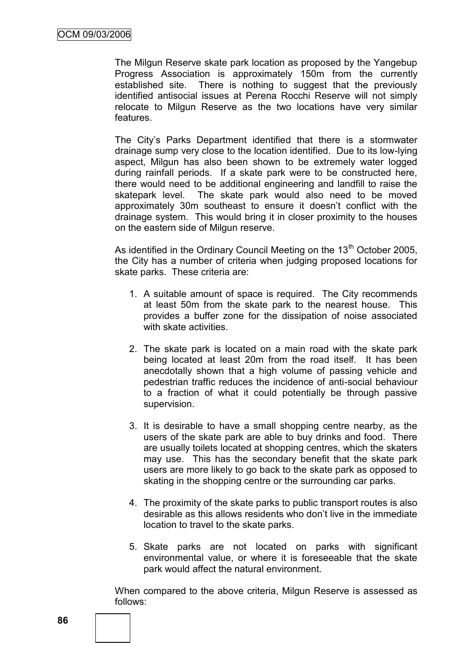The Milgun Reserve skate park location as proposed by the Yangebup Progress Association is approximately 150m from the currently established site. There is nothing to suggest that the previously identified antisocial issues at Perena Rocchi Reserve will not simply relocate to Milgun Reserve as the two locations have very similar features.

The City"s Parks Department identified that there is a stormwater drainage sump very close to the location identified. Due to its low-lying aspect, Milgun has also been shown to be extremely water logged during rainfall periods. If a skate park were to be constructed here, there would need to be additional engineering and landfill to raise the skatepark level. The skate park would also need to be moved approximately 30m southeast to ensure it doesn"t conflict with the drainage system. This would bring it in closer proximity to the houses on the eastern side of Milgun reserve.

As identified in the Ordinary Council Meeting on the  $13<sup>th</sup>$  October 2005, the City has a number of criteria when judging proposed locations for skate parks. These criteria are:

- 1. A suitable amount of space is required. The City recommends at least 50m from the skate park to the nearest house. This provides a buffer zone for the dissipation of noise associated with skate activities.
- 2. The skate park is located on a main road with the skate park being located at least 20m from the road itself. It has been anecdotally shown that a high volume of passing vehicle and pedestrian traffic reduces the incidence of anti-social behaviour to a fraction of what it could potentially be through passive supervision.
- 3. It is desirable to have a small shopping centre nearby, as the users of the skate park are able to buy drinks and food. There are usually toilets located at shopping centres, which the skaters may use. This has the secondary benefit that the skate park users are more likely to go back to the skate park as opposed to skating in the shopping centre or the surrounding car parks.
- 4. The proximity of the skate parks to public transport routes is also desirable as this allows residents who don"t live in the immediate location to travel to the skate parks.
- 5. Skate parks are not located on parks with significant environmental value, or where it is foreseeable that the skate park would affect the natural environment.

When compared to the above criteria, Milgun Reserve is assessed as follows: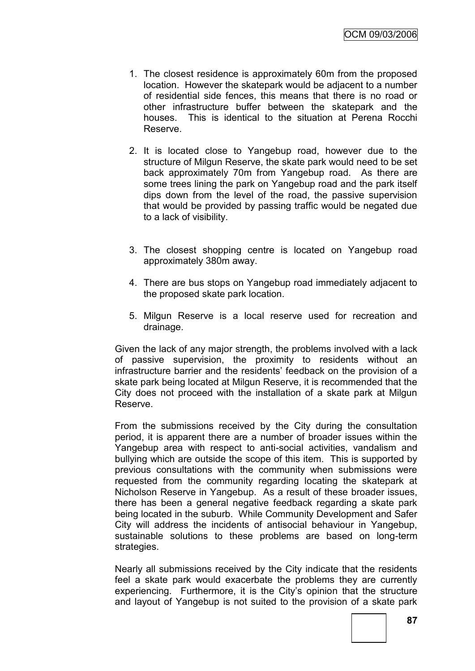- 1. The closest residence is approximately 60m from the proposed location. However the skatepark would be adjacent to a number of residential side fences, this means that there is no road or other infrastructure buffer between the skatepark and the houses. This is identical to the situation at Perena Rocchi Reserve.
- 2. It is located close to Yangebup road, however due to the structure of Milgun Reserve, the skate park would need to be set back approximately 70m from Yangebup road. As there are some trees lining the park on Yangebup road and the park itself dips down from the level of the road, the passive supervision that would be provided by passing traffic would be negated due to a lack of visibility.
- 3. The closest shopping centre is located on Yangebup road approximately 380m away.
- 4. There are bus stops on Yangebup road immediately adjacent to the proposed skate park location.
- 5. Milgun Reserve is a local reserve used for recreation and drainage.

Given the lack of any major strength, the problems involved with a lack of passive supervision, the proximity to residents without an infrastructure barrier and the residents" feedback on the provision of a skate park being located at Milgun Reserve, it is recommended that the City does not proceed with the installation of a skate park at Milgun Reserve.

From the submissions received by the City during the consultation period, it is apparent there are a number of broader issues within the Yangebup area with respect to anti-social activities, vandalism and bullying which are outside the scope of this item. This is supported by previous consultations with the community when submissions were requested from the community regarding locating the skatepark at Nicholson Reserve in Yangebup. As a result of these broader issues, there has been a general negative feedback regarding a skate park being located in the suburb. While Community Development and Safer City will address the incidents of antisocial behaviour in Yangebup, sustainable solutions to these problems are based on long-term strategies.

Nearly all submissions received by the City indicate that the residents feel a skate park would exacerbate the problems they are currently experiencing. Furthermore, it is the City"s opinion that the structure and layout of Yangebup is not suited to the provision of a skate park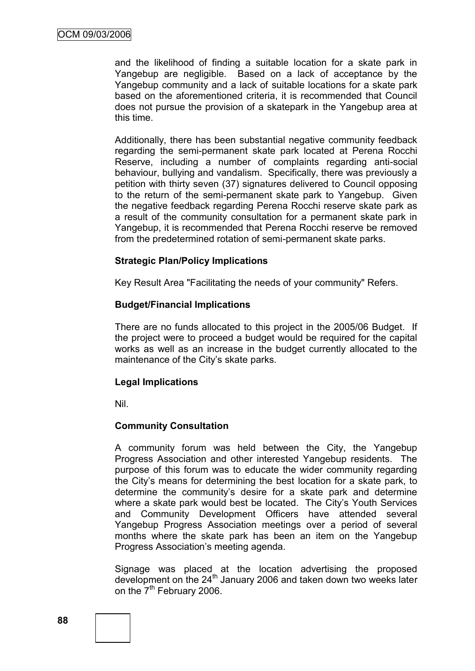and the likelihood of finding a suitable location for a skate park in Yangebup are negligible. Based on a lack of acceptance by the Yangebup community and a lack of suitable locations for a skate park based on the aforementioned criteria, it is recommended that Council does not pursue the provision of a skatepark in the Yangebup area at this time.

Additionally, there has been substantial negative community feedback regarding the semi-permanent skate park located at Perena Rocchi Reserve, including a number of complaints regarding anti-social behaviour, bullying and vandalism. Specifically, there was previously a petition with thirty seven (37) signatures delivered to Council opposing to the return of the semi-permanent skate park to Yangebup. Given the negative feedback regarding Perena Rocchi reserve skate park as a result of the community consultation for a permanent skate park in Yangebup, it is recommended that Perena Rocchi reserve be removed from the predetermined rotation of semi-permanent skate parks.

## **Strategic Plan/Policy Implications**

Key Result Area "Facilitating the needs of your community" Refers.

## **Budget/Financial Implications**

There are no funds allocated to this project in the 2005/06 Budget. If the project were to proceed a budget would be required for the capital works as well as an increase in the budget currently allocated to the maintenance of the City's skate parks.

## **Legal Implications**

Nil.

## **Community Consultation**

A community forum was held between the City, the Yangebup Progress Association and other interested Yangebup residents. The purpose of this forum was to educate the wider community regarding the City"s means for determining the best location for a skate park, to determine the community's desire for a skate park and determine where a skate park would best be located. The City's Youth Services and Community Development Officers have attended several Yangebup Progress Association meetings over a period of several months where the skate park has been an item on the Yangebup Progress Association"s meeting agenda.

Signage was placed at the location advertising the proposed development on the 24<sup>th</sup> January 2006 and taken down two weeks later on the  $7<sup>th</sup>$  February 2006.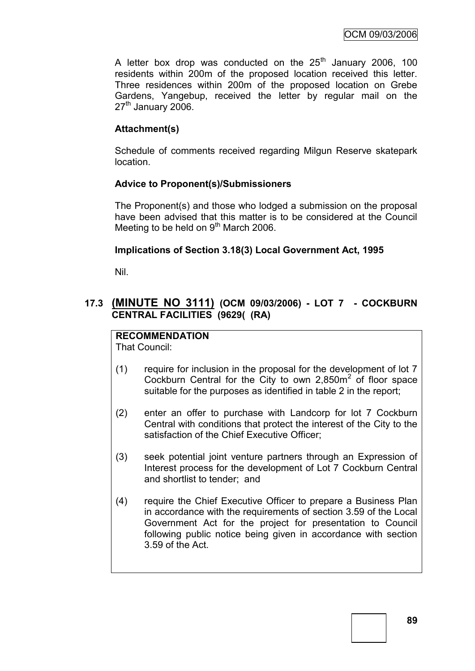A letter box drop was conducted on the  $25<sup>th</sup>$  January 2006, 100 residents within 200m of the proposed location received this letter. Three residences within 200m of the proposed location on Grebe Gardens, Yangebup, received the letter by regular mail on the  $27<sup>th</sup>$  January 2006.

## **Attachment(s)**

Schedule of comments received regarding Milgun Reserve skatepark location.

## **Advice to Proponent(s)/Submissioners**

The Proponent(s) and those who lodged a submission on the proposal have been advised that this matter is to be considered at the Council Meeting to be held on  $9<sup>th</sup>$  March 2006.

## **Implications of Section 3.18(3) Local Government Act, 1995**

Nil.

## **17.3 (MINUTE NO 3111) (OCM 09/03/2006) - LOT 7 - COCKBURN CENTRAL FACILITIES (9629( (RA)**

### **RECOMMENDATION** That Council:

- (1) require for inclusion in the proposal for the development of lot 7 Cockburn Central for the City to own  $2,850m^2$  of floor space suitable for the purposes as identified in table 2 in the report;
- (2) enter an offer to purchase with Landcorp for lot 7 Cockburn Central with conditions that protect the interest of the City to the satisfaction of the Chief Executive Officer;
- (3) seek potential joint venture partners through an Expression of Interest process for the development of Lot 7 Cockburn Central and shortlist to tender; and
- (4) require the Chief Executive Officer to prepare a Business Plan in accordance with the requirements of section 3.59 of the Local Government Act for the project for presentation to Council following public notice being given in accordance with section 3.59 of the Act.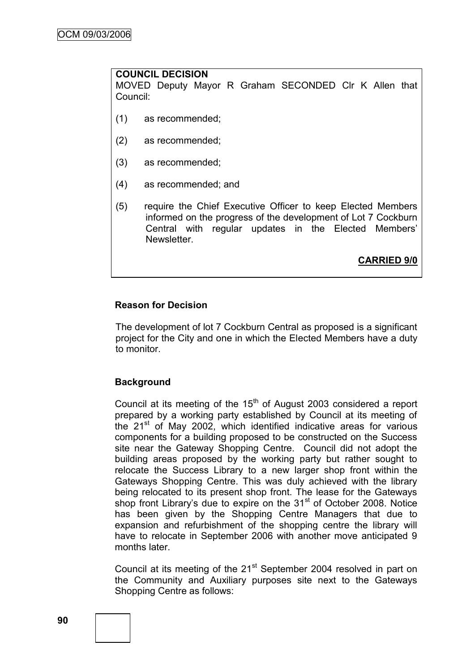## **COUNCIL DECISION**

MOVED Deputy Mayor R Graham SECONDED Clr K Allen that Council:

- (1) as recommended;
- (2) as recommended;
- (3) as recommended;
- (4) as recommended; and
- (5) require the Chief Executive Officer to keep Elected Members informed on the progress of the development of Lot 7 Cockburn Central with regular updates in the Elected Members" Newsletter.

**CARRIED 9/0**

### **Reason for Decision**

The development of lot 7 Cockburn Central as proposed is a significant project for the City and one in which the Elected Members have a duty to monitor.

#### **Background**

Council at its meeting of the  $15<sup>th</sup>$  of August 2003 considered a report prepared by a working party established by Council at its meeting of the 21<sup>st</sup> of May 2002, which identified indicative areas for various components for a building proposed to be constructed on the Success site near the Gateway Shopping Centre. Council did not adopt the building areas proposed by the working party but rather sought to relocate the Success Library to a new larger shop front within the Gateways Shopping Centre. This was duly achieved with the library being relocated to its present shop front. The lease for the Gateways shop front Library's due to expire on the 31<sup>st</sup> of October 2008. Notice has been given by the Shopping Centre Managers that due to expansion and refurbishment of the shopping centre the library will have to relocate in September 2006 with another move anticipated 9 months later.

Council at its meeting of the 21<sup>st</sup> September 2004 resolved in part on the Community and Auxiliary purposes site next to the Gateways Shopping Centre as follows: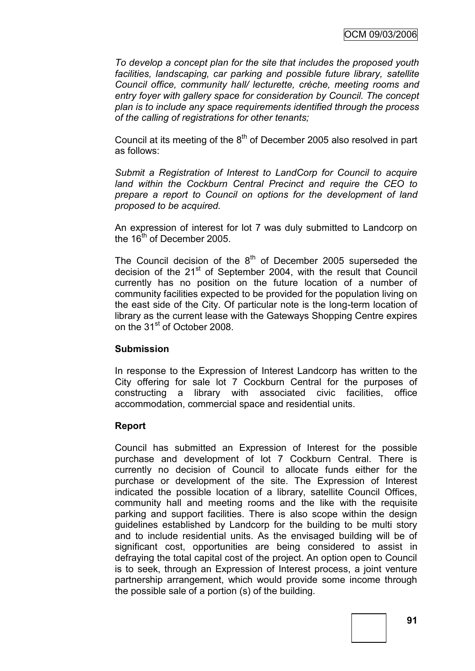*To develop a concept plan for the site that includes the proposed youth facilities, landscaping, car parking and possible future library, satellite Council office, community hall/ lecturette, crèche, meeting rooms and entry foyer with gallery space for consideration by Council. The concept plan is to include any space requirements identified through the process of the calling of registrations for other tenants;*

Council at its meeting of the  $8<sup>th</sup>$  of December 2005 also resolved in part as follows:

*Submit a Registration of Interest to LandCorp for Council to acquire land within the Cockburn Central Precinct and require the CEO to prepare a report to Council on options for the development of land proposed to be acquired.*

An expression of interest for lot 7 was duly submitted to Landcorp on the  $16<sup>th</sup>$  of December 2005.

The Council decision of the  $8<sup>th</sup>$  of December 2005 superseded the decision of the  $21<sup>st</sup>$  of September 2004, with the result that Council currently has no position on the future location of a number of community facilities expected to be provided for the population living on the east side of the City. Of particular note is the long-term location of library as the current lease with the Gateways Shopping Centre expires on the 31<sup>st</sup> of October 2008.

## **Submission**

In response to the Expression of Interest Landcorp has written to the City offering for sale lot 7 Cockburn Central for the purposes of constructing a library with associated civic facilities, office accommodation, commercial space and residential units.

## **Report**

Council has submitted an Expression of Interest for the possible purchase and development of lot 7 Cockburn Central. There is currently no decision of Council to allocate funds either for the purchase or development of the site. The Expression of Interest indicated the possible location of a library, satellite Council Offices, community hall and meeting rooms and the like with the requisite parking and support facilities. There is also scope within the design guidelines established by Landcorp for the building to be multi story and to include residential units. As the envisaged building will be of significant cost, opportunities are being considered to assist in defraying the total capital cost of the project. An option open to Council is to seek, through an Expression of Interest process, a joint venture partnership arrangement, which would provide some income through the possible sale of a portion (s) of the building.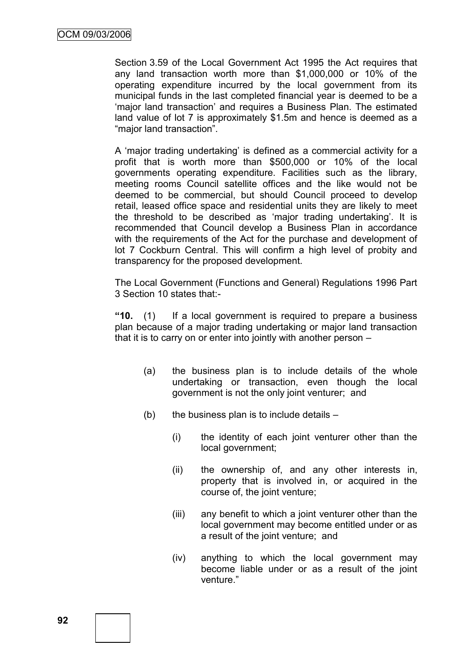Section 3.59 of the Local Government Act 1995 the Act requires that any land transaction worth more than \$1,000,000 or 10% of the operating expenditure incurred by the local government from its municipal funds in the last completed financial year is deemed to be a 'major land transaction' and requires a Business Plan. The estimated land value of lot 7 is approximately \$1.5m and hence is deemed as a "major land transaction".

A "major trading undertaking" is defined as a commercial activity for a profit that is worth more than \$500,000 or 10% of the local governments operating expenditure. Facilities such as the library, meeting rooms Council satellite offices and the like would not be deemed to be commercial, but should Council proceed to develop retail, leased office space and residential units they are likely to meet the threshold to be described as "major trading undertaking". It is recommended that Council develop a Business Plan in accordance with the requirements of the Act for the purchase and development of lot 7 Cockburn Central. This will confirm a high level of probity and transparency for the proposed development.

The Local Government (Functions and General) Regulations 1996 Part 3 Section 10 states that:-

**"10.** (1) If a local government is required to prepare a business plan because of a major trading undertaking or major land transaction that it is to carry on or enter into jointly with another person –

- (a) the business plan is to include details of the whole undertaking or transaction, even though the local government is not the only joint venturer; and
- $(b)$  the business plan is to include details
	- (i) the identity of each joint venturer other than the local government;
	- (ii) the ownership of, and any other interests in, property that is involved in, or acquired in the course of, the joint venture;
	- (iii) any benefit to which a joint venturer other than the local government may become entitled under or as a result of the joint venture; and
	- (iv) anything to which the local government may become liable under or as a result of the joint venture."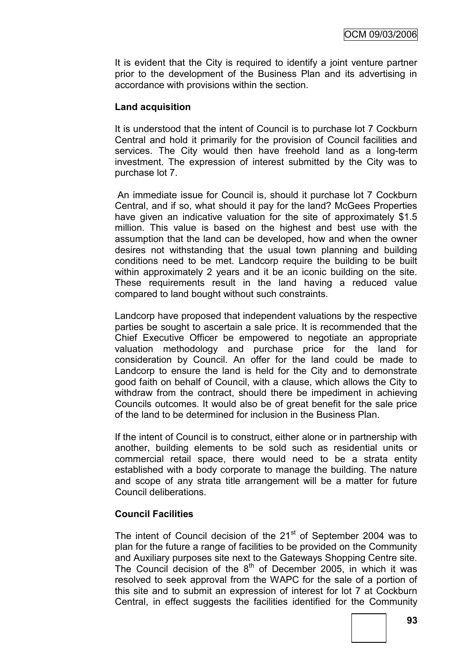It is evident that the City is required to identify a joint venture partner prior to the development of the Business Plan and its advertising in accordance with provisions within the section.

### **Land acquisition**

It is understood that the intent of Council is to purchase lot 7 Cockburn Central and hold it primarily for the provision of Council facilities and services. The City would then have freehold land as a long-term investment. The expression of interest submitted by the City was to purchase lot 7.

An immediate issue for Council is, should it purchase lot 7 Cockburn Central, and if so, what should it pay for the land? McGees Properties have given an indicative valuation for the site of approximately \$1.5 million. This value is based on the highest and best use with the assumption that the land can be developed, how and when the owner desires not withstanding that the usual town planning and building conditions need to be met. Landcorp require the building to be built within approximately 2 years and it be an iconic building on the site. These requirements result in the land having a reduced value compared to land bought without such constraints.

Landcorp have proposed that independent valuations by the respective parties be sought to ascertain a sale price. It is recommended that the Chief Executive Officer be empowered to negotiate an appropriate valuation methodology and purchase price for the land for consideration by Council. An offer for the land could be made to Landcorp to ensure the land is held for the City and to demonstrate good faith on behalf of Council, with a clause, which allows the City to withdraw from the contract, should there be impediment in achieving Councils outcomes. It would also be of great benefit for the sale price of the land to be determined for inclusion in the Business Plan.

If the intent of Council is to construct, either alone or in partnership with another, building elements to be sold such as residential units or commercial retail space, there would need to be a strata entity established with a body corporate to manage the building. The nature and scope of any strata title arrangement will be a matter for future Council deliberations.

## **Council Facilities**

The intent of Council decision of the  $21<sup>st</sup>$  of September 2004 was to plan for the future a range of facilities to be provided on the Community and Auxiliary purposes site next to the Gateways Shopping Centre site. The Council decision of the 8<sup>th</sup> of December 2005, in which it was resolved to seek approval from the WAPC for the sale of a portion of this site and to submit an expression of interest for lot 7 at Cockburn Central, in effect suggests the facilities identified for the Community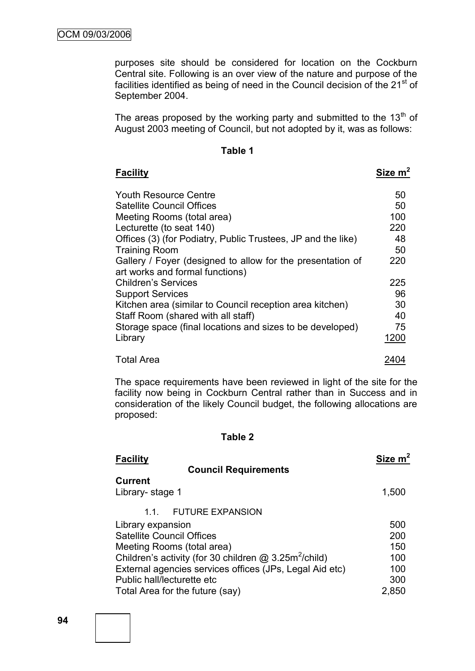purposes site should be considered for location on the Cockburn Central site. Following is an over view of the nature and purpose of the facilities identified as being of need in the Council decision of the  $21<sup>st</sup>$  of September 2004.

The areas proposed by the working party and submitted to the  $13<sup>th</sup>$  of August 2003 meeting of Council, but not adopted by it, was as follows:

| اا<br>ı<br>ю<br>۰<br>. . |  |  |
|--------------------------|--|--|
|--------------------------|--|--|

| <b>Facility</b>                                              | Size $m2$ |
|--------------------------------------------------------------|-----------|
| <b>Youth Resource Centre</b>                                 | 50        |
| <b>Satellite Council Offices</b>                             | 50        |
| Meeting Rooms (total area)                                   | 100       |
| Lecturette (to seat 140)                                     | 220       |
| Offices (3) (for Podiatry, Public Trustees, JP and the like) | 48        |
| <b>Training Room</b>                                         | 50        |
| Gallery / Foyer (designed to allow for the presentation of   | 220       |
| art works and formal functions)                              |           |
| <b>Children's Services</b>                                   | 225       |
| <b>Support Services</b>                                      | 96        |
| Kitchen area (similar to Council reception area kitchen)     | 30        |
| Staff Room (shared with all staff)                           | 40        |
| Storage space (final locations and sizes to be developed)    | 75        |
| Library                                                      | 1200      |
| <b>Total Area</b>                                            | 2404      |

The space requirements have been reviewed in light of the site for the facility now being in Cockburn Central rather than in Success and in consideration of the likely Council budget, the following allocations are proposed:

#### **Table 2**

| <b>Facility</b>                                                     | Size m <sup>2</sup> |
|---------------------------------------------------------------------|---------------------|
| <b>Council Requirements</b>                                         |                     |
| <b>Current</b><br>Library- stage 1                                  | 1,500               |
| <b>FUTURE EXPANSION</b><br>11                                       |                     |
| Library expansion                                                   | 500                 |
| <b>Satellite Council Offices</b>                                    | 200                 |
| Meeting Rooms (total area)                                          | 150                 |
| Children's activity (for 30 children $@$ 3.25m <sup>2</sup> /child) | 100                 |
| External agencies services offices (JPs, Legal Aid etc)             | 100                 |
| Public hall/lecturette etc                                          | 300                 |
| Total Area for the future (say)                                     | 2,850               |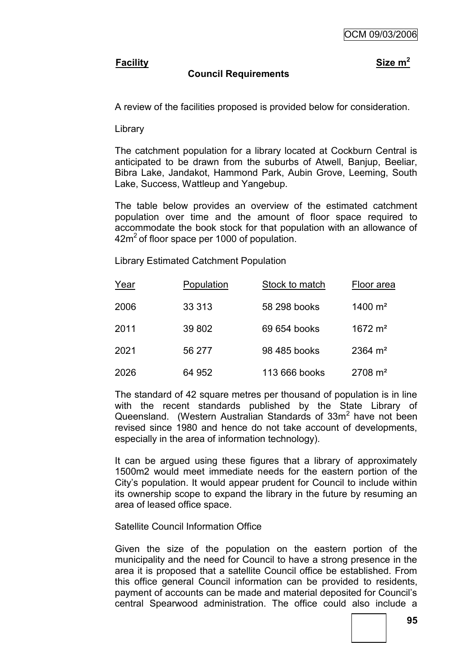## **Facility Size m<sup>2</sup>**

## **Council Requirements**

A review of the facilities proposed is provided below for consideration.

Library

The catchment population for a library located at Cockburn Central is anticipated to be drawn from the suburbs of Atwell, Banjup, Beeliar, Bibra Lake, Jandakot, Hammond Park, Aubin Grove, Leeming, South Lake, Success, Wattleup and Yangebup.

The table below provides an overview of the estimated catchment population over time and the amount of floor space required to accommodate the book stock for that population with an allowance of  $42m<sup>2</sup>$  of floor space per 1000 of population.

Library Estimated Catchment Population

| Year | Population | Stock to match | Floor area         |
|------|------------|----------------|--------------------|
| 2006 | 33 313     | 58 298 books   | 1400 $m2$          |
| 2011 | 39 802     | 69 654 books   | 1672 $m2$          |
| 2021 | 56 277     | 98 485 books   | $2364 \text{ m}^2$ |
| 2026 | 64 952     | 113 666 books  | $2708 \text{ m}^2$ |

The standard of 42 square metres per thousand of population is in line with the recent standards published by the State Library of Queensland. (Western Australian Standards of 33m<sup>2</sup> have not been revised since 1980 and hence do not take account of developments, especially in the area of information technology).

It can be argued using these figures that a library of approximately 1500m2 would meet immediate needs for the eastern portion of the City"s population. It would appear prudent for Council to include within its ownership scope to expand the library in the future by resuming an area of leased office space.

Satellite Council Information Office

Given the size of the population on the eastern portion of the municipality and the need for Council to have a strong presence in the area it is proposed that a satellite Council office be established. From this office general Council information can be provided to residents, payment of accounts can be made and material deposited for Council"s central Spearwood administration. The office could also include a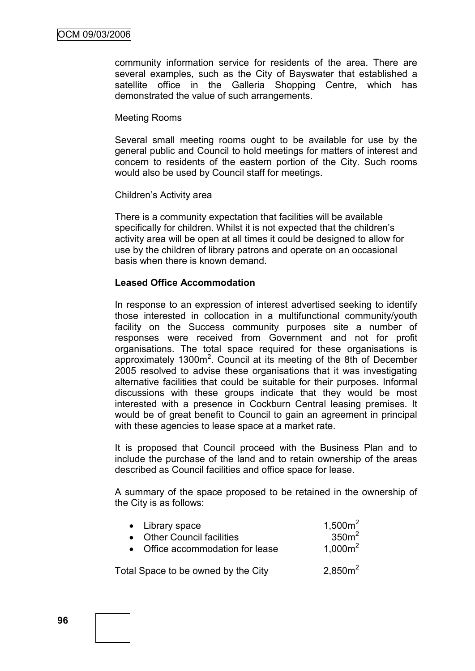community information service for residents of the area. There are several examples, such as the City of Bayswater that established a satellite office in the Galleria Shopping Centre, which has demonstrated the value of such arrangements.

### Meeting Rooms

Several small meeting rooms ought to be available for use by the general public and Council to hold meetings for matters of interest and concern to residents of the eastern portion of the City. Such rooms would also be used by Council staff for meetings.

#### Children"s Activity area

There is a community expectation that facilities will be available specifically for children. Whilst it is not expected that the children's activity area will be open at all times it could be designed to allow for use by the children of library patrons and operate on an occasional basis when there is known demand.

## **Leased Office Accommodation**

In response to an expression of interest advertised seeking to identify those interested in collocation in a multifunctional community/youth facility on the Success community purposes site a number of responses were received from Government and not for profit organisations. The total space required for these organisations is approximately  $1300m^2$ . Council at its meeting of the 8th of December 2005 resolved to advise these organisations that it was investigating alternative facilities that could be suitable for their purposes. Informal discussions with these groups indicate that they would be most interested with a presence in Cockburn Central leasing premises. It would be of great benefit to Council to gain an agreement in principal with these agencies to lease space at a market rate.

It is proposed that Council proceed with the Business Plan and to include the purchase of the land and to retain ownership of the areas described as Council facilities and office space for lease.

A summary of the space proposed to be retained in the ownership of the City is as follows:

| • Library space<br>• Other Council facilities | $1,500m^2$<br>350m <sup>2</sup> |
|-----------------------------------------------|---------------------------------|
| • Office accommodation for lease              | $1.000m^2$                      |
| Total Space to be owned by the City           | $2,850m^2$                      |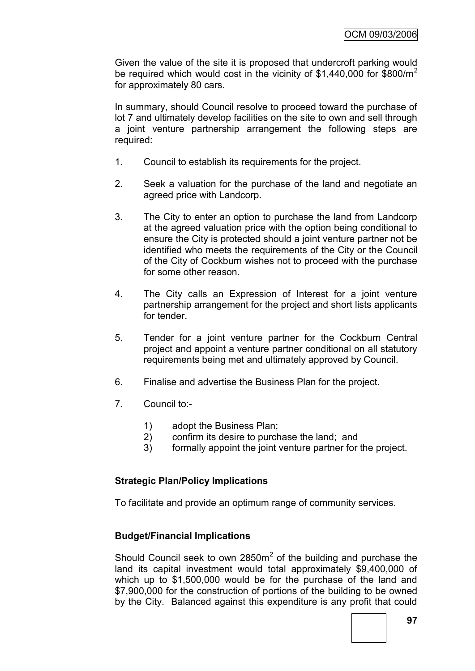Given the value of the site it is proposed that undercroft parking would be required which would cost in the vicinity of  $$1,440,000$  for  $$800/m^2$ for approximately 80 cars.

In summary, should Council resolve to proceed toward the purchase of lot 7 and ultimately develop facilities on the site to own and sell through a joint venture partnership arrangement the following steps are required:

- 1. Council to establish its requirements for the project.
- 2. Seek a valuation for the purchase of the land and negotiate an agreed price with Landcorp.
- 3. The City to enter an option to purchase the land from Landcorp at the agreed valuation price with the option being conditional to ensure the City is protected should a joint venture partner not be identified who meets the requirements of the City or the Council of the City of Cockburn wishes not to proceed with the purchase for some other reason.
- 4. The City calls an Expression of Interest for a joint venture partnership arrangement for the project and short lists applicants for tender.
- 5. Tender for a joint venture partner for the Cockburn Central project and appoint a venture partner conditional on all statutory requirements being met and ultimately approved by Council.
- 6. Finalise and advertise the Business Plan for the project.
- 7. Council to:-
	- 1) adopt the Business Plan;
	- 2) confirm its desire to purchase the land; and
	- 3) formally appoint the joint venture partner for the project.

## **Strategic Plan/Policy Implications**

To facilitate and provide an optimum range of community services.

## **Budget/Financial Implications**

Should Council seek to own  $2850m^2$  of the building and purchase the land its capital investment would total approximately \$9,400,000 of which up to \$1,500,000 would be for the purchase of the land and \$7,900,000 for the construction of portions of the building to be owned by the City. Balanced against this expenditure is any profit that could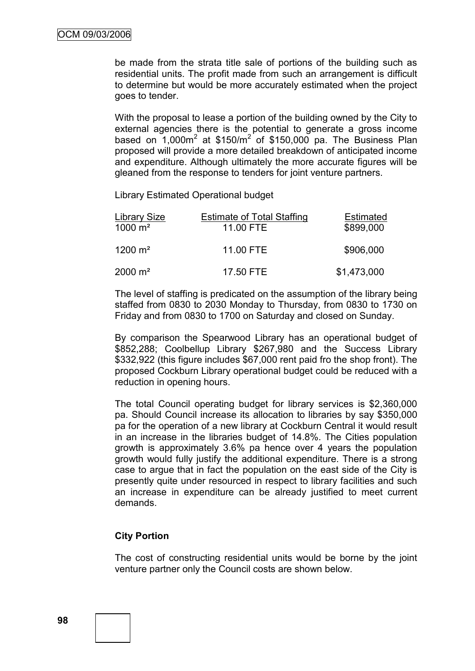be made from the strata title sale of portions of the building such as residential units. The profit made from such an arrangement is difficult to determine but would be more accurately estimated when the project goes to tender.

With the proposal to lease a portion of the building owned by the City to external agencies there is the potential to generate a gross income based on  $1,000m^2$  at \$150/ $m^2$  of \$150,000 pa. The Business Plan proposed will provide a more detailed breakdown of anticipated income and expenditure. Although ultimately the more accurate figures will be gleaned from the response to tenders for joint venture partners.

Library Estimated Operational budget

| <b>Library Size</b>  | <b>Estimate of Total Staffing</b> | <b>Estimated</b> |
|----------------------|-----------------------------------|------------------|
| 1000 $m2$            | 11.00 FTE                         | \$899,000        |
| $1200 \; \text{m}^2$ | 11.00 FTE                         | \$906,000        |
| $2000 \; \text{m}^2$ | 17.50 FTE                         | \$1,473,000      |

The level of staffing is predicated on the assumption of the library being staffed from 0830 to 2030 Monday to Thursday, from 0830 to 1730 on Friday and from 0830 to 1700 on Saturday and closed on Sunday.

By comparison the Spearwood Library has an operational budget of \$852,288; Coolbellup Library \$267,980 and the Success Library \$332,922 (this figure includes \$67,000 rent paid fro the shop front). The proposed Cockburn Library operational budget could be reduced with a reduction in opening hours.

The total Council operating budget for library services is \$2,360,000 pa. Should Council increase its allocation to libraries by say \$350,000 pa for the operation of a new library at Cockburn Central it would result in an increase in the libraries budget of 14.8%. The Cities population growth is approximately 3.6% pa hence over 4 years the population growth would fully justify the additional expenditure. There is a strong case to argue that in fact the population on the east side of the City is presently quite under resourced in respect to library facilities and such an increase in expenditure can be already justified to meet current demands.

## **City Portion**

The cost of constructing residential units would be borne by the joint venture partner only the Council costs are shown below.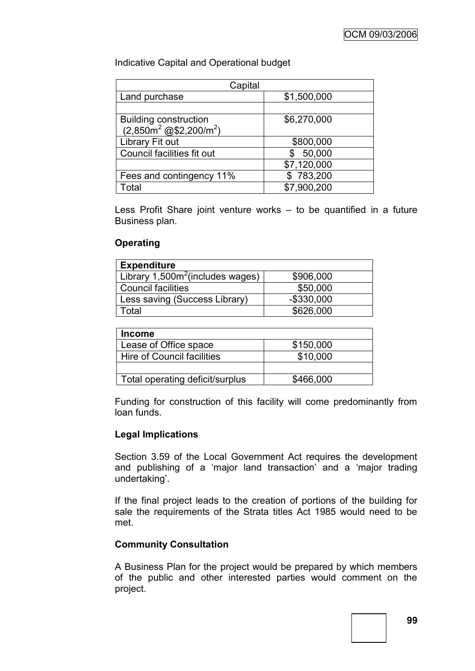Indicative Capital and Operational budget

| Capital                                                     |             |  |
|-------------------------------------------------------------|-------------|--|
| Land purchase                                               | \$1,500,000 |  |
|                                                             |             |  |
| Building construction<br>$(2,850m^2 \text{ @ $2,200/m^2$})$ | \$6,270,000 |  |
|                                                             |             |  |
| Library Fit out                                             | \$800,000   |  |
| Council facilities fit out                                  | 50,000      |  |
|                                                             | \$7,120,000 |  |
| Fees and contingency 11%                                    | \$783,200   |  |
| Total                                                       | \$7,900,200 |  |

Less Profit Share joint venture works – to be quantified in a future Business plan.

## **Operating**

| <b>Expenditure</b>                  |               |
|-------------------------------------|---------------|
| Library $1,500m^2$ (includes wages) | \$906,000     |
| <b>Council facilities</b>           | \$50,000      |
| Less saving (Success Library)       | $-$ \$330,000 |
| Total                               | \$626,000     |

| <b>Income</b>                   |           |
|---------------------------------|-----------|
| Lease of Office space           | \$150,000 |
| Hire of Council facilities      | \$10,000  |
|                                 |           |
| Total operating deficit/surplus | \$466,000 |

Funding for construction of this facility will come predominantly from loan funds.

## **Legal Implications**

Section 3.59 of the Local Government Act requires the development and publishing of a "major land transaction" and a "major trading undertaking'.

If the final project leads to the creation of portions of the building for sale the requirements of the Strata titles Act 1985 would need to be met.

## **Community Consultation**

A Business Plan for the project would be prepared by which members of the public and other interested parties would comment on the project.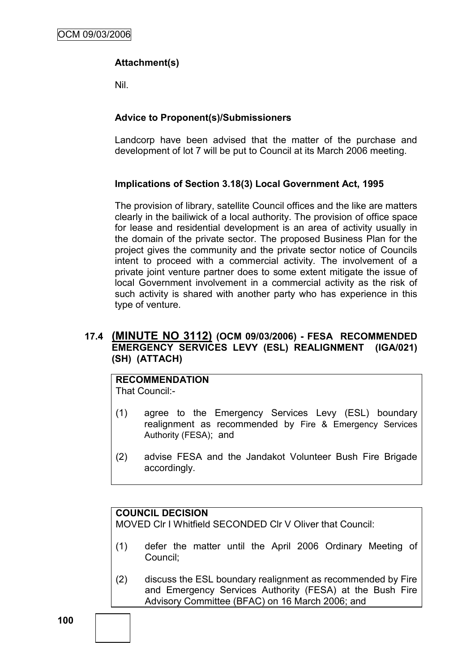## **Attachment(s)**

Nil.

## **Advice to Proponent(s)/Submissioners**

Landcorp have been advised that the matter of the purchase and development of lot 7 will be put to Council at its March 2006 meeting.

## **Implications of Section 3.18(3) Local Government Act, 1995**

The provision of library, satellite Council offices and the like are matters clearly in the bailiwick of a local authority. The provision of office space for lease and residential development is an area of activity usually in the domain of the private sector. The proposed Business Plan for the project gives the community and the private sector notice of Councils intent to proceed with a commercial activity. The involvement of a private joint venture partner does to some extent mitigate the issue of local Government involvement in a commercial activity as the risk of such activity is shared with another party who has experience in this type of venture.

## **17.4 (MINUTE NO 3112) (OCM 09/03/2006) - FESA RECOMMENDED EMERGENCY SERVICES LEVY (ESL) REALIGNMENT (IGA/021) (SH) (ATTACH)**

#### **RECOMMENDATION** That Council:-

- (1) agree to the Emergency Services Levy (ESL) boundary realignment as recommended by Fire & Emergency Services Authority (FESA); and
- (2) advise FESA and the Jandakot Volunteer Bush Fire Brigade accordingly.

## **COUNCIL DECISION**

MOVED Clr I Whitfield SECONDED Clr V Oliver that Council:

- (1) defer the matter until the April 2006 Ordinary Meeting of Council;
- (2) discuss the ESL boundary realignment as recommended by Fire and Emergency Services Authority (FESA) at the Bush Fire Advisory Committee (BFAC) on 16 March 2006; and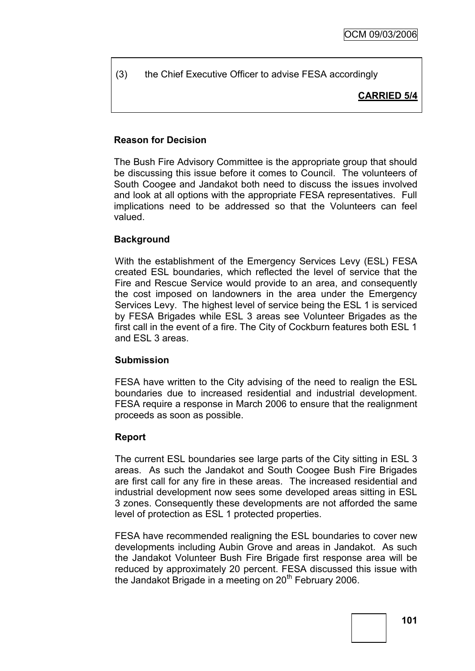(3) the Chief Executive Officer to advise FESA accordingly

**CARRIED 5/4**

## **Reason for Decision**

The Bush Fire Advisory Committee is the appropriate group that should be discussing this issue before it comes to Council. The volunteers of South Coogee and Jandakot both need to discuss the issues involved and look at all options with the appropriate FESA representatives. Full implications need to be addressed so that the Volunteers can feel valued.

## **Background**

With the establishment of the Emergency Services Levy (ESL) FESA created ESL boundaries, which reflected the level of service that the Fire and Rescue Service would provide to an area, and consequently the cost imposed on landowners in the area under the Emergency Services Levy. The highest level of service being the ESL 1 is serviced by FESA Brigades while ESL 3 areas see Volunteer Brigades as the first call in the event of a fire. The City of Cockburn features both ESL 1 and ESL 3 areas.

#### **Submission**

FESA have written to the City advising of the need to realign the ESL boundaries due to increased residential and industrial development. FESA require a response in March 2006 to ensure that the realignment proceeds as soon as possible.

## **Report**

The current ESL boundaries see large parts of the City sitting in ESL 3 areas. As such the Jandakot and South Coogee Bush Fire Brigades are first call for any fire in these areas. The increased residential and industrial development now sees some developed areas sitting in ESL 3 zones. Consequently these developments are not afforded the same level of protection as ESL 1 protected properties.

FESA have recommended realigning the ESL boundaries to cover new developments including Aubin Grove and areas in Jandakot. As such the Jandakot Volunteer Bush Fire Brigade first response area will be reduced by approximately 20 percent. FESA discussed this issue with the Jandakot Brigade in a meeting on 20<sup>th</sup> February 2006.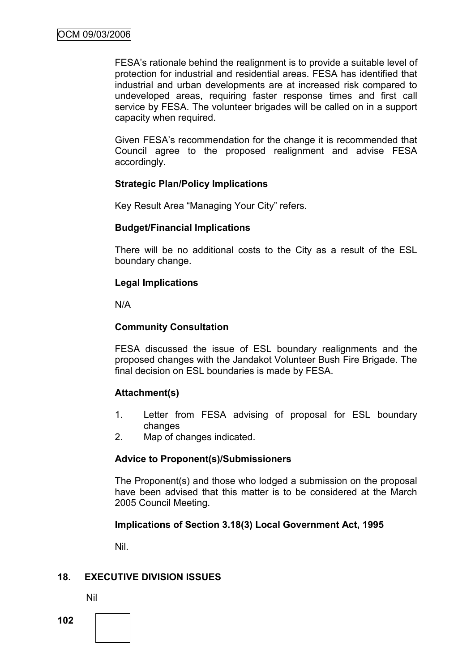FESA"s rationale behind the realignment is to provide a suitable level of protection for industrial and residential areas. FESA has identified that industrial and urban developments are at increased risk compared to undeveloped areas, requiring faster response times and first call service by FESA. The volunteer brigades will be called on in a support capacity when required.

Given FESA"s recommendation for the change it is recommended that Council agree to the proposed realignment and advise FESA accordingly.

## **Strategic Plan/Policy Implications**

Key Result Area "Managing Your City" refers.

## **Budget/Financial Implications**

There will be no additional costs to the City as a result of the ESL boundary change.

### **Legal Implications**

N/A

### **Community Consultation**

FESA discussed the issue of ESL boundary realignments and the proposed changes with the Jandakot Volunteer Bush Fire Brigade. The final decision on ESL boundaries is made by FESA.

## **Attachment(s)**

- 1. Letter from FESA advising of proposal for ESL boundary changes
- 2. Map of changes indicated.

#### **Advice to Proponent(s)/Submissioners**

The Proponent(s) and those who lodged a submission on the proposal have been advised that this matter is to be considered at the March 2005 Council Meeting.

## **Implications of Section 3.18(3) Local Government Act, 1995**

Nil.

## **18. EXECUTIVE DIVISION ISSUES**

Nil

**102**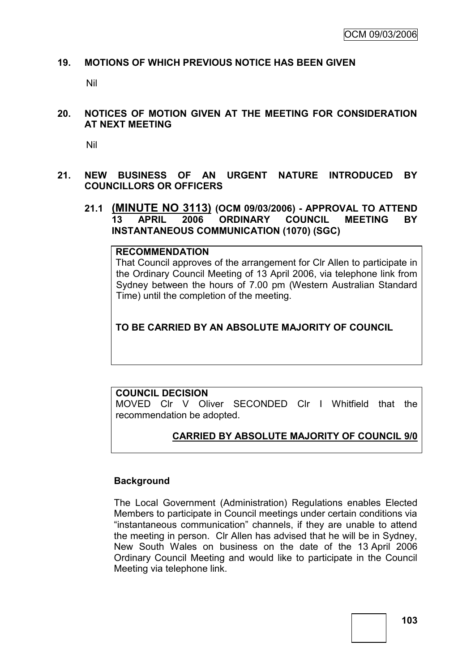### **19. MOTIONS OF WHICH PREVIOUS NOTICE HAS BEEN GIVEN**

Nil

**20. NOTICES OF MOTION GIVEN AT THE MEETING FOR CONSIDERATION AT NEXT MEETING**

Nil

- **21. NEW BUSINESS OF AN URGENT NATURE INTRODUCED BY COUNCILLORS OR OFFICERS**
	- **21.1 (MINUTE NO 3113) (OCM 09/03/2006) - APPROVAL TO ATTEND 13 APRIL 2006 ORDINARY COUNCIL MEETING BY INSTANTANEOUS COMMUNICATION (1070) (SGC)**

**RECOMMENDATION** That Council approves of the arrangement for Clr Allen to participate in the Ordinary Council Meeting of 13 April 2006, via telephone link from Sydney between the hours of 7.00 pm (Western Australian Standard Time) until the completion of the meeting.

**TO BE CARRIED BY AN ABSOLUTE MAJORITY OF COUNCIL**

#### **COUNCIL DECISION**

MOVED Clr V Oliver SECONDED Clr I Whitfield that the recommendation be adopted.

## **CARRIED BY ABSOLUTE MAJORITY OF COUNCIL 9/0**

#### **Background**

The Local Government (Administration) Regulations enables Elected Members to participate in Council meetings under certain conditions via "instantaneous communication" channels, if they are unable to attend the meeting in person. Clr Allen has advised that he will be in Sydney, New South Wales on business on the date of the 13 April 2006 Ordinary Council Meeting and would like to participate in the Council Meeting via telephone link.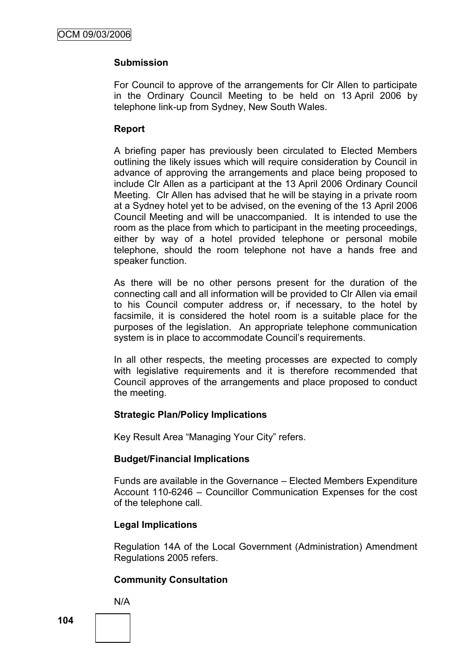## **Submission**

For Council to approve of the arrangements for Clr Allen to participate in the Ordinary Council Meeting to be held on 13 April 2006 by telephone link-up from Sydney, New South Wales.

## **Report**

A briefing paper has previously been circulated to Elected Members outlining the likely issues which will require consideration by Council in advance of approving the arrangements and place being proposed to include Clr Allen as a participant at the 13 April 2006 Ordinary Council Meeting. Clr Allen has advised that he will be staying in a private room at a Sydney hotel yet to be advised, on the evening of the 13 April 2006 Council Meeting and will be unaccompanied. It is intended to use the room as the place from which to participant in the meeting proceedings, either by way of a hotel provided telephone or personal mobile telephone, should the room telephone not have a hands free and speaker function.

As there will be no other persons present for the duration of the connecting call and all information will be provided to Clr Allen via email to his Council computer address or, if necessary, to the hotel by facsimile, it is considered the hotel room is a suitable place for the purposes of the legislation. An appropriate telephone communication system is in place to accommodate Council's requirements.

In all other respects, the meeting processes are expected to comply with legislative requirements and it is therefore recommended that Council approves of the arrangements and place proposed to conduct the meeting.

## **Strategic Plan/Policy Implications**

Key Result Area "Managing Your City" refers.

## **Budget/Financial Implications**

Funds are available in the Governance – Elected Members Expenditure Account 110-6246 – Councillor Communication Expenses for the cost of the telephone call.

## **Legal Implications**

Regulation 14A of the Local Government (Administration) Amendment Regulations 2005 refers.

## **Community Consultation**

N/A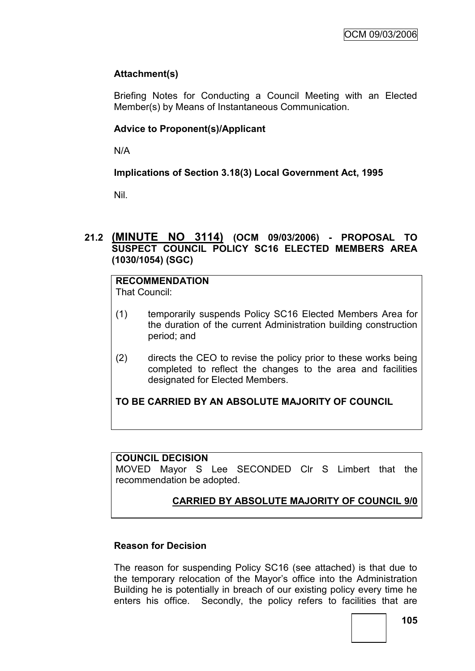# **Attachment(s)**

Briefing Notes for Conducting a Council Meeting with an Elected Member(s) by Means of Instantaneous Communication.

## **Advice to Proponent(s)/Applicant**

N/A

**Implications of Section 3.18(3) Local Government Act, 1995**

Nil.

## **21.2 (MINUTE NO 3114) (OCM 09/03/2006) - PROPOSAL TO SUSPECT COUNCIL POLICY SC16 ELECTED MEMBERS AREA (1030/1054) (SGC)**

# **RECOMMENDATION**

That Council:

- (1) temporarily suspends Policy SC16 Elected Members Area for the duration of the current Administration building construction period; and
- (2) directs the CEO to revise the policy prior to these works being completed to reflect the changes to the area and facilities designated for Elected Members.

# **TO BE CARRIED BY AN ABSOLUTE MAJORITY OF COUNCIL**

#### **COUNCIL DECISION**

MOVED Mayor S Lee SECONDED Clr S Limbert that the recommendation be adopted.

# **CARRIED BY ABSOLUTE MAJORITY OF COUNCIL 9/0**

#### **Reason for Decision**

The reason for suspending Policy SC16 (see attached) is that due to the temporary relocation of the Mayor"s office into the Administration Building he is potentially in breach of our existing policy every time he enters his office. Secondly, the policy refers to facilities that are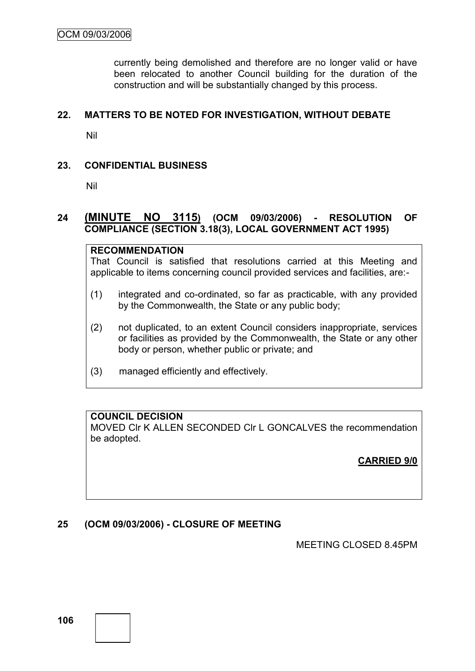currently being demolished and therefore are no longer valid or have been relocated to another Council building for the duration of the construction and will be substantially changed by this process.

#### **22. MATTERS TO BE NOTED FOR INVESTIGATION, WITHOUT DEBATE**

Nil

#### **23. CONFIDENTIAL BUSINESS**

Nil

## **24 (MINUTE NO 3115) (OCM 09/03/2006) - RESOLUTION OF COMPLIANCE (SECTION 3.18(3), LOCAL GOVERNMENT ACT 1995)**

#### **RECOMMENDATION**

That Council is satisfied that resolutions carried at this Meeting and applicable to items concerning council provided services and facilities, are:-

- (1) integrated and co-ordinated, so far as practicable, with any provided by the Commonwealth, the State or any public body;
- (2) not duplicated, to an extent Council considers inappropriate, services or facilities as provided by the Commonwealth, the State or any other body or person, whether public or private; and
- (3) managed efficiently and effectively.

# **COUNCIL DECISION**

MOVED Clr K ALLEN SECONDED Clr L GONCALVES the recommendation be adopted.

**CARRIED 9/0**

#### **25 (OCM 09/03/2006) - CLOSURE OF MEETING**

MEETING CLOSED 8.45PM

**106**